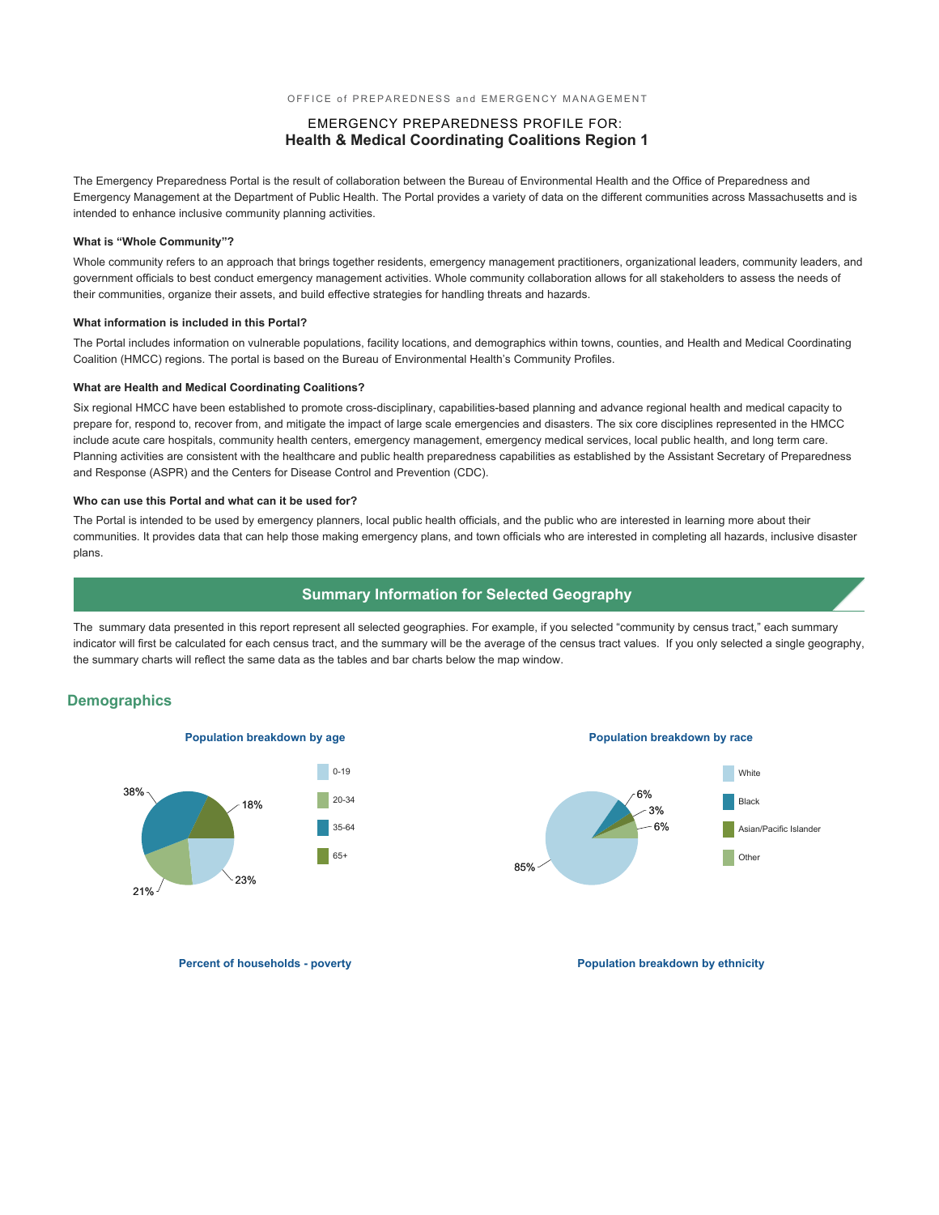#### OFFICE of PREPAREDNESS and EMERGENCY MANAGEMENT

### EMERGENCY PREPAREDNESS PROFILE FOR: **Health & Medical Coordinating Coalitions Region 1**

The Emergency Preparedness Portal is the result of collaboration between the Bureau of Environmental Health and the Office of Preparedness and Emergency Management at the Department of Public Health. The Portal provides a variety of data on the different communities across Massachusetts and is intended to enhance inclusive community planning activities.

#### **What is "Whole Community"?**

Whole community refers to an approach that brings together residents, emergency management practitioners, organizational leaders, community leaders, and government officials to best conduct emergency management activities. Whole community collaboration allows for all stakeholders to assess the needs of their communities, organize their assets, and build effective strategies for handling threats and hazards.

#### **What information is included in this Portal?**

The Portal includes information on vulnerable populations, facility locations, and demographics within towns, counties, and Health and Medical Coordinating Coalition (HMCC) regions. The portal is based on the Bureau of Environmental Health's Community Profiles.

#### **What are Health and Medical Coordinating Coalitions?**

Six regional HMCC have been established to promote cross-disciplinary, capabilities-based planning and advance regional health and medical capacity to prepare for, respond to, recover from, and mitigate the impact of large scale emergencies and disasters. The six core disciplines represented in the HMCC include acute care hospitals, community health centers, emergency management, emergency medical services, local public health, and long term care. Planning activities are consistent with the healthcare and public health preparedness capabilities as established by the Assistant Secretary of Preparedness and Response (ASPR) and the Centers for Disease Control and Prevention (CDC).

#### **Who can use this Portal and what can it be used for?**

The Portal is intended to be used by emergency planners, local public health officials, and the public who are interested in learning more about their communities. It provides data that can help those making emergency plans, and town officials who are interested in completing all hazards, inclusive disaster plans.

#### **Summary Information for Selected Geography**

The summary data presented in this report represent all selected geographies. For example, if you selected "community by census tract," each summary indicator will first be calculated for each census tract, and the summary will be the average of the census tract values. If you only selected a single geography, the summary charts will reflect the same data as the tables and bar charts below the map window.

#### **Demographics**



**Population breakdown by age Population breakdown by race**



**Percent of households - poverty and the powerty of the population breakdown by ethnicity**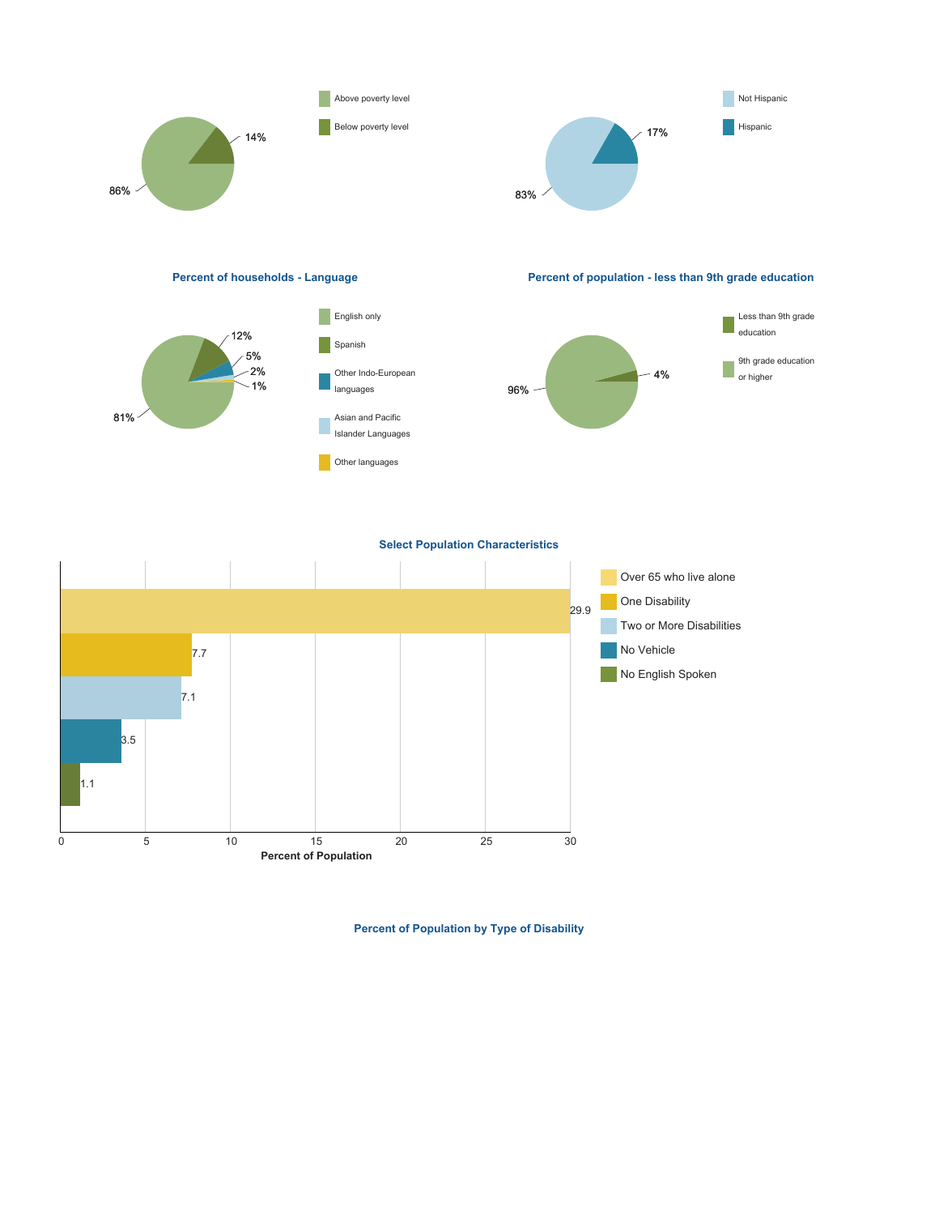





**Percent of households - Language Percent of population - less than 9th grade education**



**Select Population Characteristics**



**Percent of Population by Type of Disability**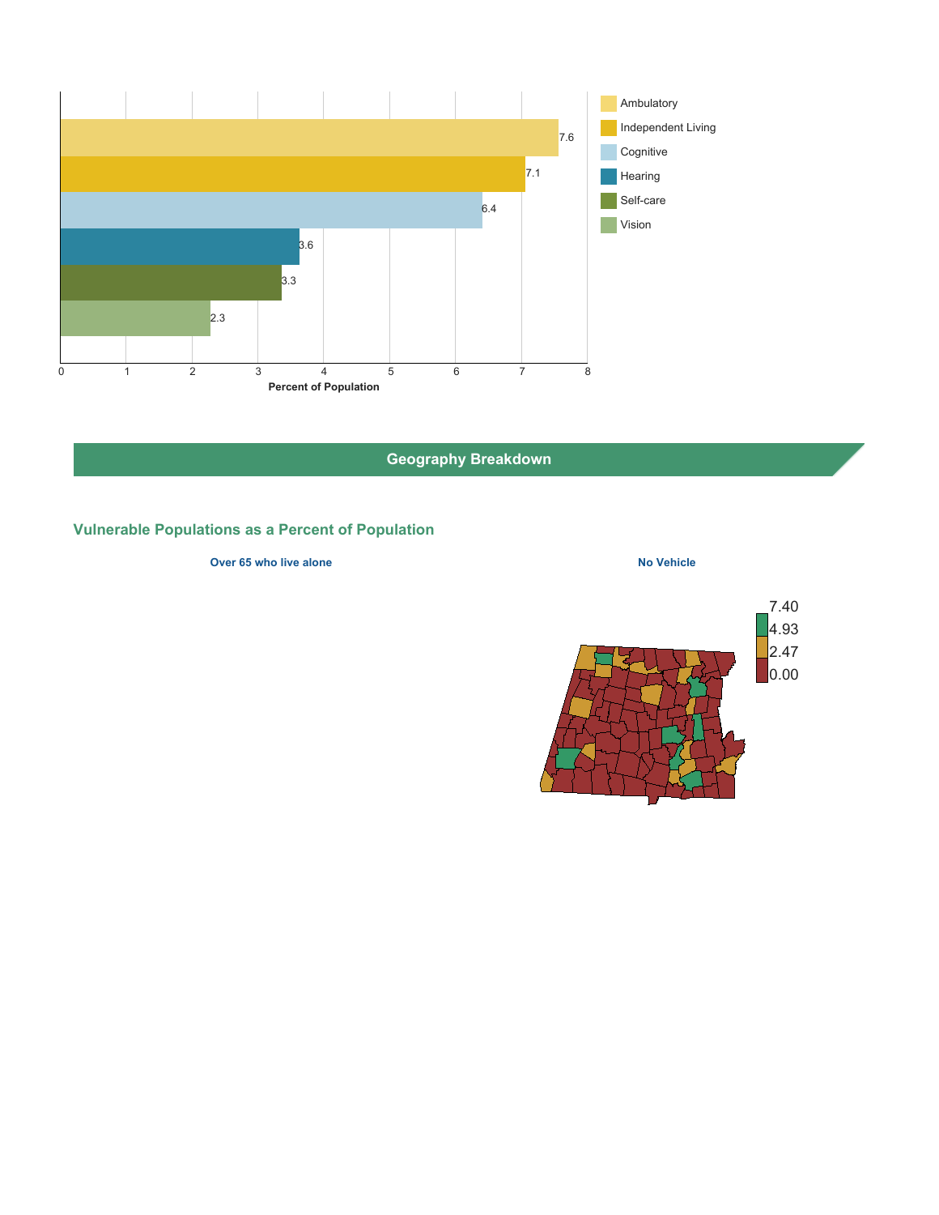

**Geography Breakdown**

## **Vulnerable Populations as a Percent of Population**

### **Over 65 who live alone No Vehicle No Vehicle**

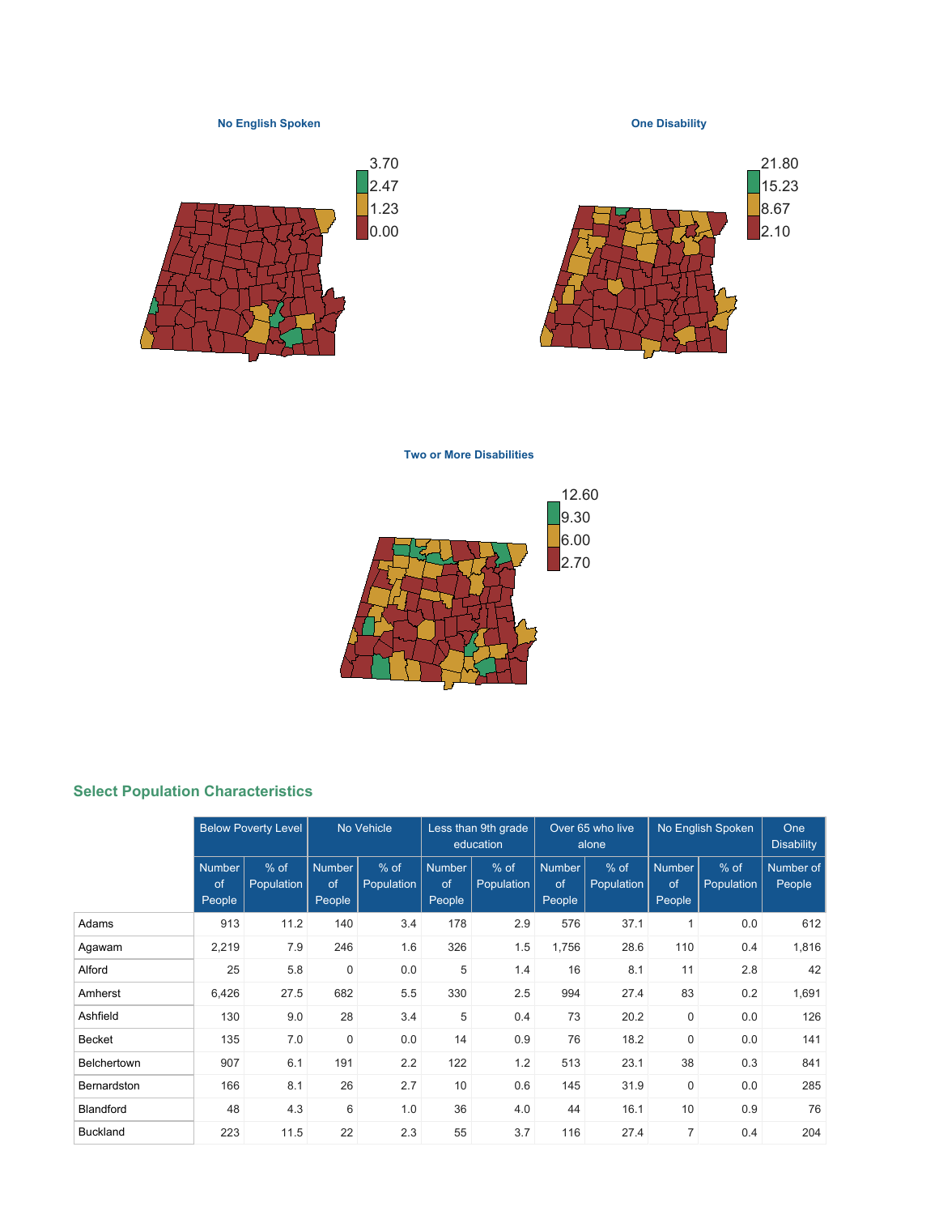

**Two or More Disabilities**



## **Select Population Characteristics**

|                    | <b>Below Poverty Level</b>    |                      | No Vehicle                    |                      | Less than 9th grade<br>education |                      | Over 65 who live<br>alone     |                      | No English Spoken             | One<br><b>Disability</b> |                     |
|--------------------|-------------------------------|----------------------|-------------------------------|----------------------|----------------------------------|----------------------|-------------------------------|----------------------|-------------------------------|--------------------------|---------------------|
|                    | <b>Number</b><br>of<br>People | $%$ of<br>Population | <b>Number</b><br>of<br>People | $%$ of<br>Population | <b>Number</b><br>of<br>People    | $%$ of<br>Population | <b>Number</b><br>of<br>People | $%$ of<br>Population | <b>Number</b><br>of<br>People | $%$ of<br>Population     | Number of<br>People |
| Adams              | 913                           | 11.2                 | 140                           | 3.4                  | 178                              | 2.9                  | 576                           | 37.1                 | $\mathbf{1}$                  | 0.0                      | 612                 |
| Agawam             | 2,219                         | 7.9                  | 246                           | 1.6                  | 326                              | 1.5                  | 1,756                         | 28.6                 | 110                           | 0.4                      | 1,816               |
| Alford             | 25                            | 5.8                  | $\mathbf 0$                   | 0.0                  | 5                                | 1.4                  | 16                            | 8.1                  | 11                            | 2.8                      | 42                  |
| Amherst            | 6,426                         | 27.5                 | 682                           | 5.5                  | 330                              | 2.5                  | 994                           | 27.4                 | 83                            | 0.2                      | 1,691               |
| Ashfield           | 130                           | 9.0                  | 28                            | 3.4                  | 5                                | 0.4                  | 73                            | 20.2                 | $\mathbf 0$                   | 0.0                      | 126                 |
| <b>Becket</b>      | 135                           | 7.0                  | $\mathbf 0$                   | 0.0                  | 14                               | 0.9                  | 76                            | 18.2                 | $\mathbf 0$                   | 0.0                      | 141                 |
| <b>Belchertown</b> | 907                           | 6.1                  | 191                           | 2.2                  | 122                              | 1.2                  | 513                           | 23.1                 | 38                            | 0.3                      | 841                 |
| Bernardston        | 166                           | 8.1                  | 26                            | 2.7                  | 10                               | 0.6                  | 145                           | 31.9                 | $\mathbf 0$                   | 0.0                      | 285                 |
| <b>Blandford</b>   | 48                            | 4.3                  | 6                             | 1.0                  | 36                               | 4.0                  | 44                            | 16.1                 | 10                            | 0.9                      | 76                  |
| <b>Buckland</b>    | 223                           | 11.5                 | 22                            | 2.3                  | 55                               | 3.7                  | 116                           | 27.4                 | 7                             | 0.4                      | 204                 |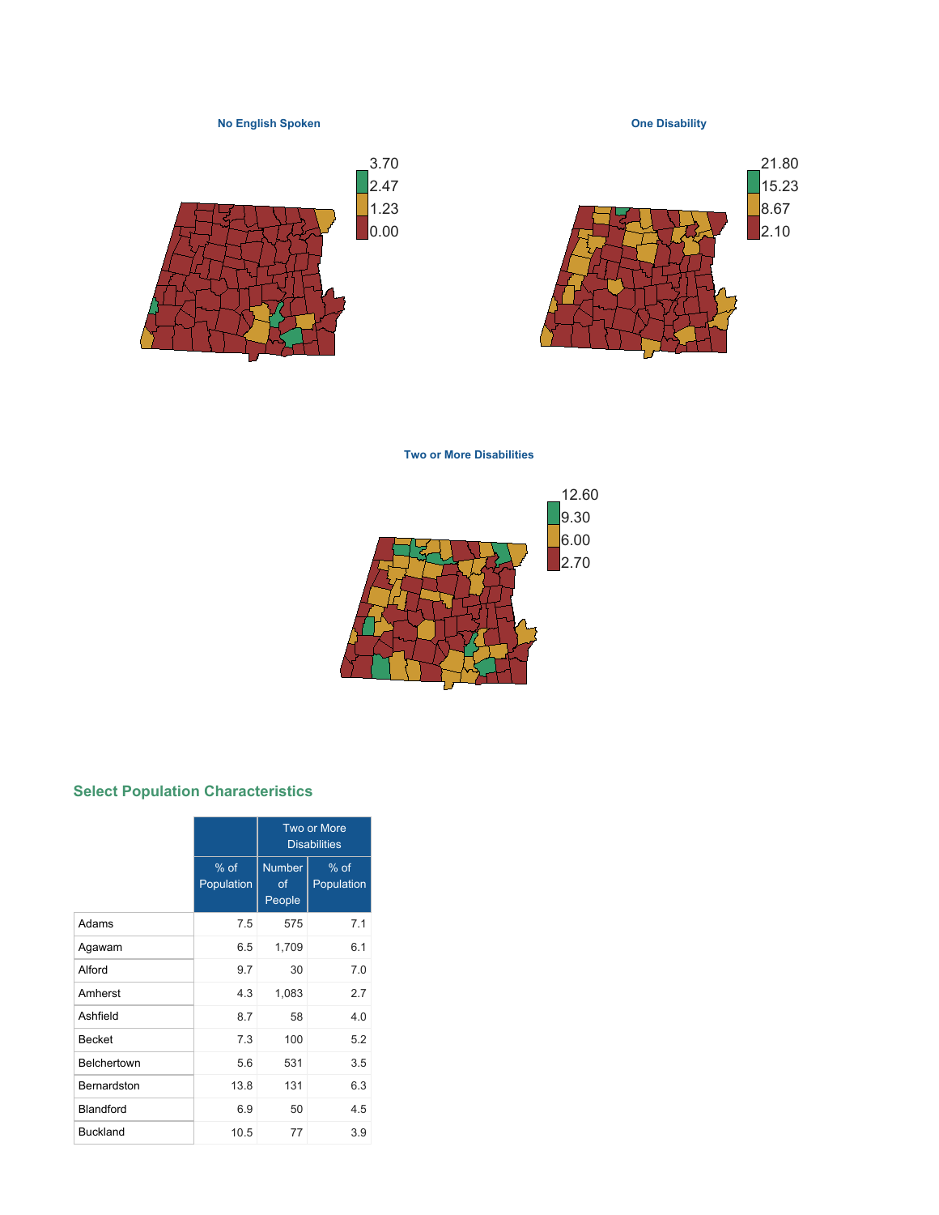

**Two or More Disabilities**



## **Select Population Characteristics**

|                 |                      | <b>Two or More</b><br><b>Disabilities</b> |                      |  |  |  |
|-----------------|----------------------|-------------------------------------------|----------------------|--|--|--|
|                 | $%$ of<br>Population | <b>Number</b><br>οf<br>People             | $%$ of<br>Population |  |  |  |
| Adams           | 7.5                  | 575                                       | 7.1                  |  |  |  |
| Agawam          | 6.5                  | 1,709                                     | 6.1                  |  |  |  |
| Alford          | 9.7                  | 30                                        | 7.0                  |  |  |  |
| Amherst         | 4.3                  | 1,083                                     | 2.7                  |  |  |  |
| Ashfield        | 8.7                  | 58                                        | 4.0                  |  |  |  |
| <b>Becket</b>   | 7.3                  | 100                                       | 5.2                  |  |  |  |
| Belchertown     | 5.6                  | 531                                       | 3.5                  |  |  |  |
| Bernardston     | 13.8                 | 131                                       | 6.3                  |  |  |  |
| Blandford       | 6.9                  | 50                                        | 45                   |  |  |  |
| <b>Buckland</b> | 10.5                 | 77                                        | 3.9                  |  |  |  |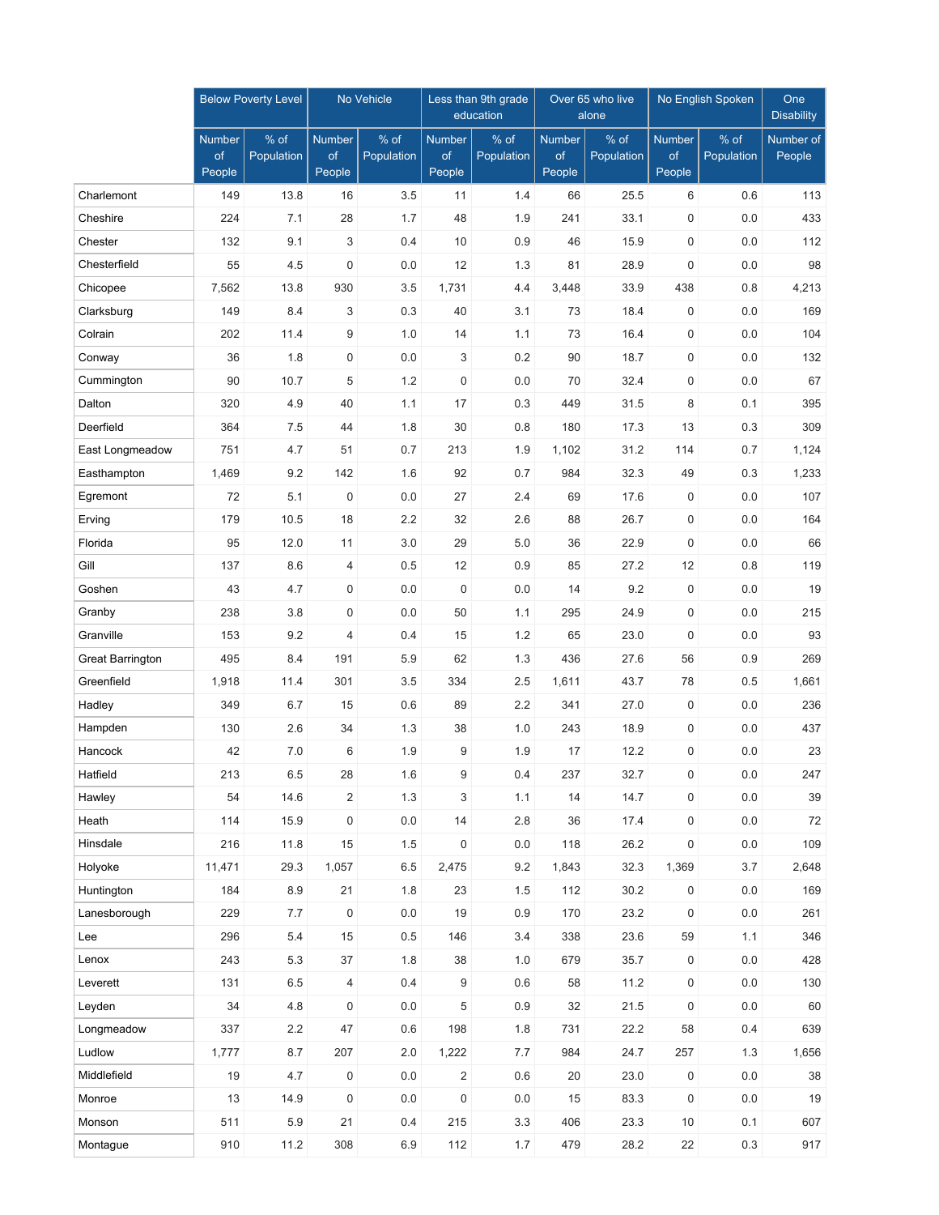|                         |                               | <b>Below Poverty Level</b> | No Vehicle                    |                    |                               | Less than 9th grade<br>education |                               | Over 65 who live<br>alone | No English Spoken             | One<br><b>Disability</b> |                     |
|-------------------------|-------------------------------|----------------------------|-------------------------------|--------------------|-------------------------------|----------------------------------|-------------------------------|---------------------------|-------------------------------|--------------------------|---------------------|
|                         | <b>Number</b><br>of<br>People | % of<br>Population         | <b>Number</b><br>of<br>People | % of<br>Population | <b>Number</b><br>of<br>People | % of<br>Population               | <b>Number</b><br>of<br>People | $%$ of<br>Population      | <b>Number</b><br>of<br>People | $%$ of<br>Population     | Number of<br>People |
| Charlemont              | 149                           | 13.8                       | 16                            | 3.5                | 11                            | 1.4                              | 66                            | 25.5                      | 6                             | 0.6                      | 113                 |
| Cheshire                | 224                           | 7.1                        | 28                            | 1.7                | 48                            | 1.9                              | 241                           | 33.1                      | 0                             | 0.0                      | 433                 |
| Chester                 | 132                           | 9.1                        | 3                             | 0.4                | 10                            | 0.9                              | 46                            | 15.9                      | 0                             | 0.0                      | 112                 |
| Chesterfield            | 55                            | 4.5                        | $\mathbf 0$                   | 0.0                | 12                            | 1.3                              | 81                            | 28.9                      | $\mathbf 0$                   | 0.0                      | 98                  |
| Chicopee                | 7,562                         | 13.8                       | 930                           | 3.5                | 1,731                         | 4.4                              | 3,448                         | 33.9                      | 438                           | 0.8                      | 4,213               |
| Clarksburg              | 149                           | 8.4                        | 3                             | 0.3                | 40                            | 3.1                              | 73                            | 18.4                      | $\mathsf{O}\xspace$           | 0.0                      | 169                 |
| Colrain                 | 202                           | 11.4                       | 9                             | 1.0                | 14                            | 1.1                              | 73                            | 16.4                      | 0                             | 0.0                      | 104                 |
| Conway                  | 36                            | 1.8                        | $\mathbf 0$                   | 0.0                | 3                             | 0.2                              | 90                            | 18.7                      | 0                             | 0.0                      | 132                 |
| Cummington              | 90                            | 10.7                       | 5                             | 1.2                | 0                             | 0.0                              | 70                            | 32.4                      | 0                             | 0.0                      | 67                  |
| Dalton                  | 320                           | 4.9                        | 40                            | 1.1                | 17                            | 0.3                              | 449                           | 31.5                      | 8                             | 0.1                      | 395                 |
| Deerfield               | 364                           | 7.5                        | 44                            | 1.8                | 30                            | 0.8                              | 180                           | 17.3                      | 13                            | 0.3                      | 309                 |
| East Longmeadow         | 751                           | 4.7                        | 51                            | 0.7                | 213                           | 1.9                              | 1,102                         | 31.2                      | 114                           | 0.7                      | 1,124               |
| Easthampton             | 1,469                         | 9.2                        | 142                           | 1.6                | 92                            | 0.7                              | 984                           | 32.3                      | 49                            | 0.3                      | 1,233               |
| Egremont                | 72                            | 5.1                        | $\mathbf 0$                   | 0.0                | 27                            | 2.4                              | 69                            | 17.6                      | $\boldsymbol{0}$              | 0.0                      | 107                 |
| Erving                  | 179                           | 10.5                       | 18                            | 2.2                | 32                            | 2.6                              | 88                            | 26.7                      | 0                             | 0.0                      | 164                 |
| Florida                 | 95                            | 12.0                       | 11                            | 3.0                | 29                            | 5.0                              | 36                            | 22.9                      | 0                             | 0.0                      | 66                  |
| Gill                    | 137                           | 8.6                        | 4                             | 0.5                | 12                            | 0.9                              | 85                            | 27.2                      | 12                            | 0.8                      | 119                 |
| Goshen                  | 43                            | 4.7                        | $\mathbf 0$                   | 0.0                | $\mathbf 0$                   | 0.0                              | 14                            | 9.2                       | 0                             | 0.0                      | 19                  |
| Granby                  | 238                           | 3.8                        | $\mathbf 0$                   | 0.0                | 50                            | 1.1                              | 295                           | 24.9                      | $\boldsymbol{0}$              | 0.0                      | 215                 |
| Granville               | 153                           | 9.2                        | $\overline{4}$                | 0.4                | 15                            | 1.2                              | 65                            | 23.0                      | $\mathbf 0$                   | 0.0                      | 93                  |
| <b>Great Barrington</b> | 495                           | 8.4                        | 191                           | 5.9                | 62                            | 1.3                              | 436                           | 27.6                      | 56                            | 0.9                      | 269                 |
| Greenfield              | 1,918                         | 11.4                       | 301                           | 3.5                | 334                           | 2.5                              | 1,611                         | 43.7                      | 78                            | 0.5                      | 1,661               |
| Hadley                  | 349                           | 6.7                        | 15                            | 0.6                | 89                            | 2.2                              | 341                           | 27.0                      | 0                             | 0.0                      | 236                 |
| Hampden                 | 130                           | 2.6                        | 34                            | 1.3                | 38                            | 1.0                              | 243                           | 18.9                      | 0                             | 0.0                      | 437                 |
| Hancock                 | 42                            | 7.0                        | 6                             | 1.9                | 9                             | 1.9                              | 17                            | 12.2                      | $\boldsymbol{0}$              | 0.0                      | 23                  |
| Hatfield                | 213                           | 6.5                        | 28                            | 1.6                | 9                             | 0.4                              | 237                           | 32.7                      | 0                             | 0.0                      | 247                 |
| Hawley                  | 54                            | 14.6                       | 2                             | 1.3                | 3                             | 1.1                              | 14                            | 14.7                      | 0                             | 0.0                      | 39                  |
| Heath                   | 114                           | 15.9                       | $\boldsymbol{0}$              | 0.0                | 14                            | 2.8                              | 36                            | 17.4                      | $\mathsf{O}\xspace$           | 0.0                      | $72\,$              |
| Hinsdale                | 216                           | 11.8                       | 15                            | $1.5$              | $\mathsf 0$                   | 0.0                              | 118                           | 26.2                      | $\mathsf{O}\xspace$           | $0.0\,$                  | 109                 |
| Holyoke                 | 11,471                        | 29.3                       | 1,057                         | $6.5\,$            | 2,475                         | 9.2                              | 1,843                         | 32.3                      | 1,369                         | 3.7                      | 2,648               |
| Huntington              | 184                           | 8.9                        | 21                            | 1.8                | 23                            | 1.5                              | 112                           | 30.2                      | 0                             | 0.0                      | 169                 |
| Lanesborough            | 229                           | 7.7                        | $\pmb{0}$                     | 0.0                | 19                            | 0.9                              | 170                           | 23.2                      | $\mathsf{O}\xspace$           | $0.0\,$                  | 261                 |
| Lee                     | 296                           | $5.4\,$                    | 15                            | 0.5                | 146                           | 3.4                              | 338                           | 23.6                      | 59                            | 1.1                      | 346                 |
| Lenox                   | 243                           | 5.3                        | 37                            | 1.8                | 38                            | 1.0                              | 679                           | 35.7                      | $\mathsf{O}\xspace$           | $0.0\,$                  | 428                 |
| Leverett                | 131                           | $6.5\,$                    | $\overline{4}$                | 0.4                | 9                             | 0.6                              | 58                            | 11.2                      | $\mathsf{O}\xspace$           | $0.0\,$                  | 130                 |
| Leyden                  | 34                            | 4.8                        | $\pmb{0}$                     | $0.0\,$            | $\,$ 5 $\,$                   | 0.9                              | 32                            | 21.5                      | $\mathsf{O}\xspace$           | $0.0\,$                  | 60                  |
| Longmeadow              | 337                           | 2.2                        | 47                            | 0.6                | 198                           | 1.8                              | 731                           | 22.2                      | 58                            | 0.4                      | 639                 |
| Ludlow                  | 1,777                         | 8.7                        | 207                           | 2.0                | 1,222                         | 7.7                              | 984                           | 24.7                      | 257                           | 1.3                      | 1,656               |
| Middlefield             | 19                            | 4.7                        | $\pmb{0}$                     | 0.0                | $\overline{2}$                | 0.6                              | $20\,$                        | 23.0                      | $\mathsf{O}\xspace$           | 0.0                      | 38                  |
| Monroe                  | 13                            | 14.9                       | $\mathbf 0$                   | 0.0                | 0                             | $0.0\,$                          | 15                            | 83.3                      | $\mathsf{O}\xspace$           | $0.0\,$                  | $19$                |
| Monson                  | 511                           | 5.9                        | 21                            | 0.4                | 215                           | 3.3                              | 406                           | 23.3                      | 10                            | 0.1                      | 607                 |
| Montague                | 910                           | 11.2                       | 308                           | 6.9                | 112                           | 1.7                              | 479                           | 28.2                      | 22                            | 0.3                      | 917                 |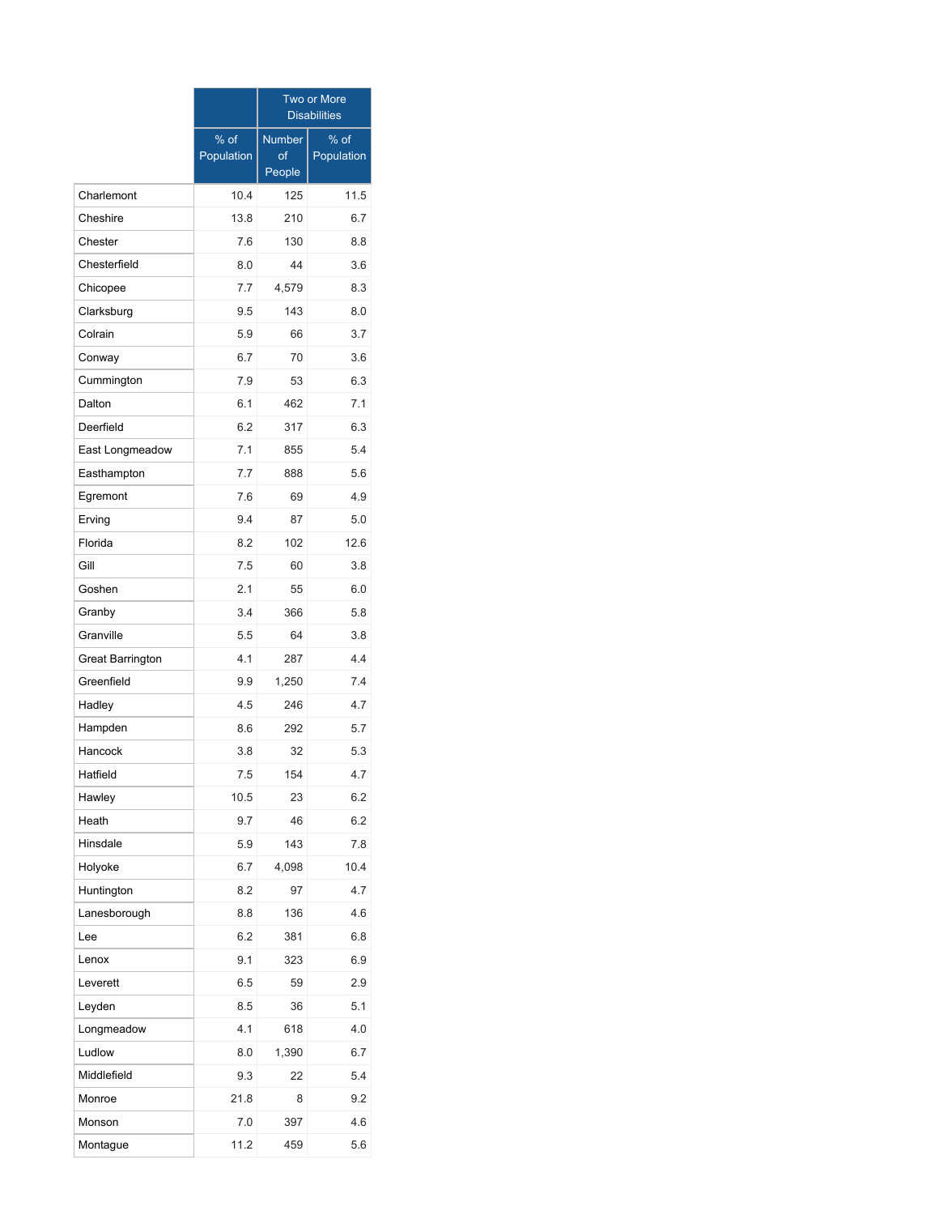|                  |                    | Two or More<br><b>Disabilities</b> |                      |  |  |  |  |
|------------------|--------------------|------------------------------------|----------------------|--|--|--|--|
|                  | % of<br>Population | <b>Number</b><br>of<br>People      | $%$ of<br>Population |  |  |  |  |
| Charlemont       | 10.4               | 125                                | 11.5                 |  |  |  |  |
| Cheshire         | 13.8               | 210                                | 6.7                  |  |  |  |  |
| Chester          | 7.6                | 130                                | 8.8                  |  |  |  |  |
| Chesterfield     | 8.0                | 44                                 | 3.6                  |  |  |  |  |
| Chicopee         | 7.7                | 4,579                              | 8.3                  |  |  |  |  |
| Clarksburg       | 9.5                | 143                                | 8.0                  |  |  |  |  |
| Colrain          | 5.9                | 66                                 | 3.7                  |  |  |  |  |
| Conway           | 6.7                | 70                                 | 3.6                  |  |  |  |  |
| Cummington       | 7.9                | 53                                 | 6.3                  |  |  |  |  |
| Dalton           | 6.1                | 462                                | 7.1                  |  |  |  |  |
| Deerfield        | 6.2                | 317                                | 6.3                  |  |  |  |  |
| East Longmeadow  | 7.1                | 855                                | 5.4                  |  |  |  |  |
| Easthampton      | 7.7                | 888                                | 5.6                  |  |  |  |  |
| Egremont         | 7.6                | 69                                 | 4.9                  |  |  |  |  |
| Erving           | 9.4                | 87                                 | 5.0                  |  |  |  |  |
| Florida          | 8.2                | 102                                | 12.6                 |  |  |  |  |
| Gill             | 7.5                | 60                                 | 3.8                  |  |  |  |  |
| Goshen           | 2.1                | 55                                 | 6.0                  |  |  |  |  |
| Granby           | 3.4                | 366                                | 5.8                  |  |  |  |  |
| Granville        | 5.5                | 64                                 | 3.8                  |  |  |  |  |
| Great Barrington | 4.1                | 287                                | 4.4                  |  |  |  |  |
| Greenfield       | 9.9                | 1,250                              | 7.4                  |  |  |  |  |
| Hadley           | 4.5                | 246                                | 4.7                  |  |  |  |  |
| Hampden          | 8.6                | 292                                | 5.7                  |  |  |  |  |
| Hancock          | 3.8                | 32                                 | 5.3                  |  |  |  |  |
| Hatfield         | 7.5                | 154                                | 4.7                  |  |  |  |  |
| Hawley           | 10.5               | 23                                 | 6.2                  |  |  |  |  |
| Heath            | 9.7                | 46                                 | 6.2                  |  |  |  |  |
| Hinsdale         | 5.9                | 143                                | 7.8                  |  |  |  |  |
| Holyoke          | 6.7                | 4,098                              | 10.4                 |  |  |  |  |
| Huntington       | 8.2                | 97                                 | 4.7                  |  |  |  |  |
| Lanesborough     | 8.8                | 136                                | 4.6                  |  |  |  |  |
| Lee              | 6.2                | 381                                | 6.8                  |  |  |  |  |
| Lenox            | 9.1                | 323                                | 6.9                  |  |  |  |  |
| Leverett         | 6.5                | 59                                 | 2.9                  |  |  |  |  |
| Leyden           | 8.5                | 36                                 | 5.1                  |  |  |  |  |
| Longmeadow       | 4.1                | 618                                | 4.0                  |  |  |  |  |
| Ludlow           | 8.0                | 1,390                              | 6.7                  |  |  |  |  |
| Middlefield      | 9.3                | 22                                 | 5.4                  |  |  |  |  |
| Monroe           | 21.8               | 8                                  | 9.2                  |  |  |  |  |
| Monson           | 7.0                | 397                                | 4.6                  |  |  |  |  |
| Montague         | 11.2               | 459                                | 5.6                  |  |  |  |  |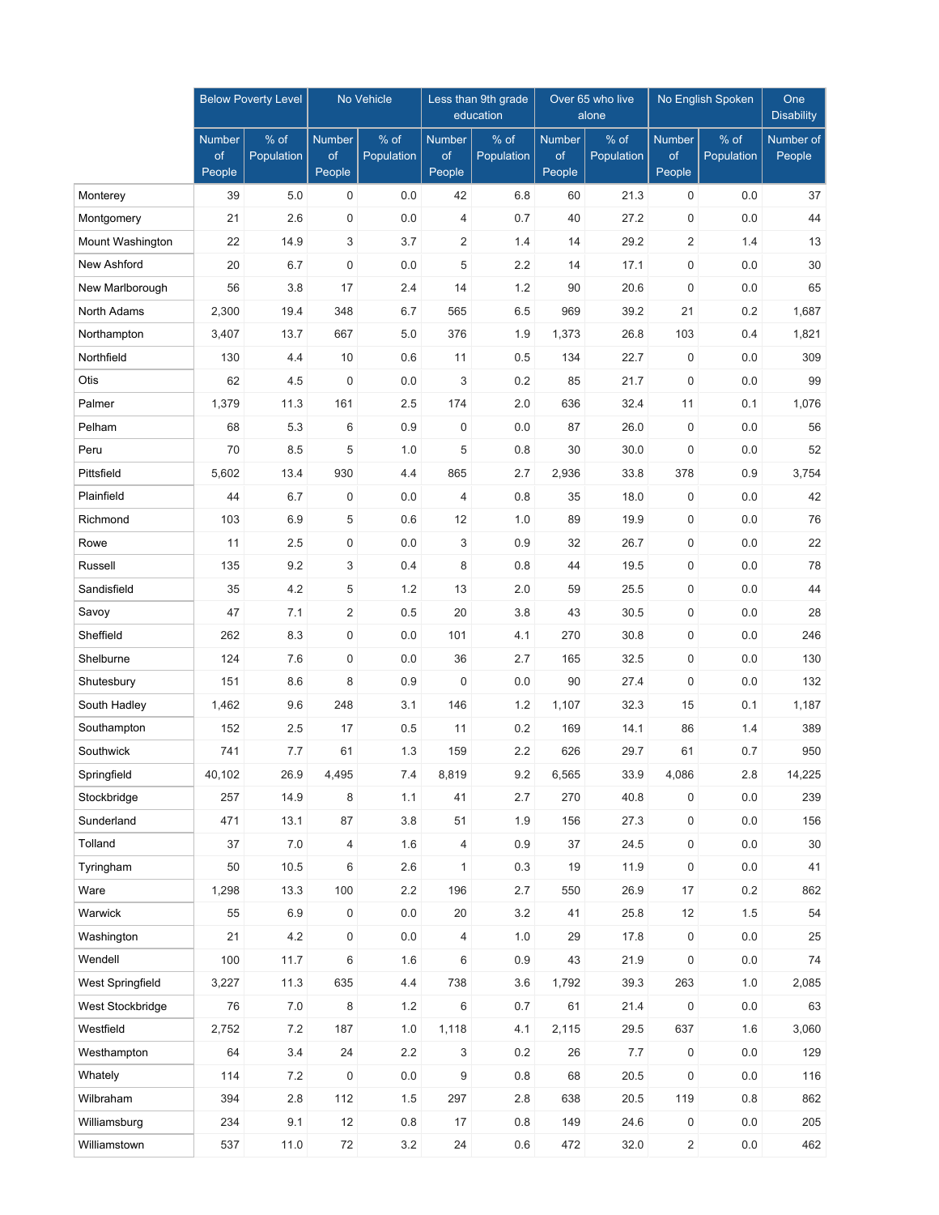|                  | <b>Below Poverty Level</b>    |                    | No Vehicle                    |                    | Less than 9th grade<br>education |                    |                               | Over 65 who live<br>alone | No English Spoken      | One<br><b>Disability</b> |                     |
|------------------|-------------------------------|--------------------|-------------------------------|--------------------|----------------------------------|--------------------|-------------------------------|---------------------------|------------------------|--------------------------|---------------------|
|                  | <b>Number</b><br>of<br>People | % of<br>Population | <b>Number</b><br>of<br>People | % of<br>Population | <b>Number</b><br>of<br>People    | % of<br>Population | <b>Number</b><br>of<br>People | % of<br>Population        | Number<br>of<br>People | % of<br>Population       | Number of<br>People |
| Monterey         | 39                            | 5.0                | 0                             | 0.0                | 42                               | 6.8                | 60                            | 21.3                      | 0                      | 0.0                      | 37                  |
| Montgomery       | 21                            | 2.6                | $\mathbf 0$                   | 0.0                | 4                                | 0.7                | 40                            | 27.2                      | $\mathbf 0$            | 0.0                      | 44                  |
| Mount Washington | 22                            | 14.9               | 3                             | 3.7                | 2                                | 1.4                | 14                            | 29.2                      | $\overline{2}$         | 1.4                      | 13                  |
| New Ashford      | 20                            | 6.7                | $\mathbf 0$                   | 0.0                | 5                                | 2.2                | 14                            | 17.1                      | $\mathbf 0$            | 0.0                      | 30                  |
| New Marlborough  | 56                            | 3.8                | 17                            | 2.4                | 14                               | 1.2                | 90                            | 20.6                      | $\mathbf 0$            | 0.0                      | 65                  |
| North Adams      | 2,300                         | 19.4               | 348                           | 6.7                | 565                              | 6.5                | 969                           | 39.2                      | 21                     | 0.2                      | 1,687               |
| Northampton      | 3,407                         | 13.7               | 667                           | 5.0                | 376                              | 1.9                | 1,373                         | 26.8                      | 103                    | 0.4                      | 1,821               |
| Northfield       | 130                           | 4.4                | 10                            | 0.6                | 11                               | 0.5                | 134                           | 22.7                      | $\mathbf 0$            | 0.0                      | 309                 |
| Otis             | 62                            | 4.5                | $\mathbf 0$                   | 0.0                | 3                                | 0.2                | 85                            | 21.7                      | $\mathbf 0$            | 0.0                      | 99                  |
| Palmer           | 1,379                         | 11.3               | 161                           | 2.5                | 174                              | 2.0                | 636                           | 32.4                      | 11                     | 0.1                      | 1,076               |
| Pelham           | 68                            | 5.3                | 6                             | 0.9                | 0                                | 0.0                | 87                            | 26.0                      | $\mathbf 0$            | 0.0                      | 56                  |
| Peru             | 70                            | 8.5                | 5                             | 1.0                | 5                                | 0.8                | 30                            | 30.0                      | $\mathbf 0$            | 0.0                      | 52                  |
| Pittsfield       | 5,602                         | 13.4               | 930                           | 4.4                | 865                              | 2.7                | 2,936                         | 33.8                      | 378                    | 0.9                      | 3,754               |
| Plainfield       | 44                            | 6.7                | $\mathbf 0$                   | 0.0                | 4                                | 0.8                | 35                            | 18.0                      | $\mathbf 0$            | 0.0                      | 42                  |
| Richmond         | 103                           | 6.9                | 5                             | 0.6                | 12                               | 1.0                | 89                            | 19.9                      | $\mathbf 0$            | 0.0                      | 76                  |
| Rowe             | 11                            | 2.5                | $\mathbf 0$                   | 0.0                | 3                                | 0.9                | 32                            | 26.7                      | 0                      | 0.0                      | 22                  |
| Russell          | 135                           | 9.2                | 3                             | 0.4                | 8                                | 0.8                | 44                            | 19.5                      | $\mathbf 0$            | 0.0                      | 78                  |
| Sandisfield      | 35                            | 4.2                | 5                             | 1.2                | 13                               | 2.0                | 59                            | 25.5                      | $\mathbf 0$            | 0.0                      | 44                  |
| Savoy            | 47                            | 7.1                | $\overline{2}$                | 0.5                | 20                               | 3.8                | 43                            | 30.5                      | $\mathbf 0$            | 0.0                      | 28                  |
| Sheffield        | 262                           | 8.3                | $\mathbf 0$                   | 0.0                | 101                              | 4.1                | 270                           | 30.8                      | $\mathbf 0$            | 0.0                      | 246                 |
| Shelburne        | 124                           | 7.6                | $\mathbf 0$                   | 0.0                | 36                               | 2.7                | 165                           | 32.5                      | $\mathbf 0$            | 0.0                      | 130                 |
| Shutesbury       | 151                           | 8.6                | 8                             | 0.9                | $\mathbf 0$                      | 0.0                | 90                            | 27.4                      | $\mathbf 0$            | 0.0                      | 132                 |
| South Hadley     | 1,462                         | 9.6                | 248                           | 3.1                | 146                              | 1.2                | 1,107                         | 32.3                      | 15                     | 0.1                      | 1,187               |
| Southampton      | 152                           | 2.5                | 17                            | 0.5                | 11                               | 0.2                | 169                           | 14.1                      | 86                     | 1.4                      | 389                 |
| Southwick        | 741                           | 7.7                | 61                            | 1.3                | 159                              | 2.2                | 626                           | 29.7                      | 61                     | 0.7                      | 950                 |
| Springfield      | 40,102                        | 26.9               | 4,495                         | 7.4                | 8,819                            | 9.2                | 6,565                         | 33.9                      | 4,086                  | 2.8                      | 14,225              |
| Stockbridge      | 257                           | 14.9               | 8                             | 1.1                | 41                               | 2.7                | 270                           | 40.8                      | 0                      | 0.0                      | 239                 |
| Sunderland       | 471                           | 13.1               | 87                            | 3.8                | 51                               | 1.9                | 156                           | 27.3                      | $\mathsf{O}\xspace$    | 0.0                      | 156                 |
| Tolland          | 37                            | $7.0$              | 4                             | 1.6                | 4                                | 0.9                | 37                            | 24.5                      | $\mathsf{O}\xspace$    | 0.0                      | 30                  |
| Tyringham        | 50                            | 10.5               | 6                             | 2.6                | $\mathbf{1}$                     | 0.3                | 19                            | 11.9                      | $\mathsf{O}\xspace$    | $0.0\,$                  | 41                  |
| Ware             | 1,298                         | 13.3               | 100                           | 2.2                | 196                              | 2.7                | 550                           | 26.9                      | 17                     | 0.2                      | 862                 |
| Warwick          | 55                            | 6.9                | $\mathsf{O}\xspace$           | 0.0                | 20                               | 3.2                | 41                            | 25.8                      | 12                     | 1.5                      | 54                  |
| Washington       | 21                            | 4.2                | $\mathsf{O}\xspace$           | $0.0\,$            | $\overline{4}$                   | 1.0                | 29                            | 17.8                      | 0                      | $0.0\,$                  | 25                  |
| Wendell          | 100                           | 11.7               | 6                             | 1.6                | 6                                | 0.9                | 43                            | 21.9                      | $\mathsf{O}\xspace$    | $0.0\,$                  | $74\,$              |
| West Springfield | 3,227                         | 11.3               | 635                           | 4.4                | 738                              | 3.6                | 1,792                         | 39.3                      | 263                    | 1.0                      | 2,085               |
| West Stockbridge | 76                            | $7.0\,$            | 8                             | $1.2\,$            | $\,6\,$                          | 0.7                | 61                            | 21.4                      | $\boldsymbol{0}$       | 0.0                      | 63                  |
| Westfield        | 2,752                         | $7.2\,$            | 187                           | 1.0                | 1,118                            | 4.1                | 2,115                         | 29.5                      | 637                    | 1.6                      | 3,060               |
| Westhampton      | 64                            | 3.4                | 24                            | 2.2                | 3                                | 0.2                | 26                            | 7.7                       | $\mathsf{O}\xspace$    | 0.0                      | 129                 |
| Whately          | 114                           | $7.2\,$            | $\pmb{0}$                     | 0.0                | 9                                | 0.8                | 68                            | 20.5                      | $\boldsymbol{0}$       | 0.0                      | 116                 |
| Wilbraham        | 394                           | 2.8                | 112                           | $1.5\,$            | 297                              | 2.8                | 638                           | 20.5                      | 119                    | $0.8\,$                  | 862                 |
| Williamsburg     | 234                           | 9.1                | 12                            | 0.8                | 17                               | 0.8                | 149                           | 24.6                      | 0                      | 0.0                      | 205                 |
| Williamstown     | 537                           | 11.0               | 72                            | 3.2                | 24                               | 0.6                | 472                           | 32.0                      | $\overline{c}$         | 0.0                      | 462                 |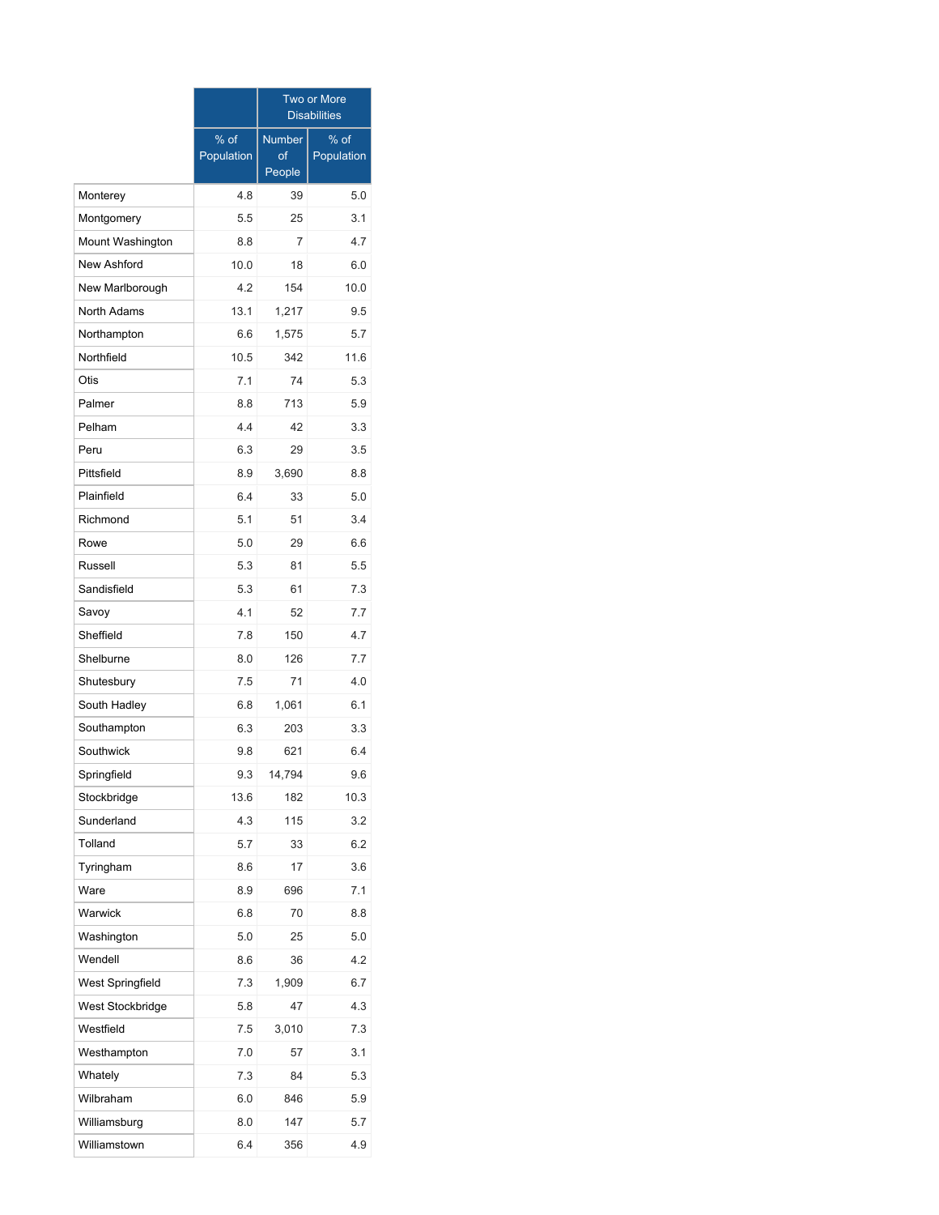|                  |                      | <b>Two or More</b><br><b>Disabilities</b> |                      |  |  |  |  |
|------------------|----------------------|-------------------------------------------|----------------------|--|--|--|--|
|                  | $%$ of<br>Population | <b>Number</b><br>of                       | $%$ of<br>Population |  |  |  |  |
|                  |                      | People                                    |                      |  |  |  |  |
| Monterey         | 4.8                  | 39                                        | 5.0                  |  |  |  |  |
| Montgomery       | 5.5                  | 25                                        | 3.1                  |  |  |  |  |
| Mount Washington | 8.8                  | 7                                         | 4.7                  |  |  |  |  |
| New Ashford      | 10.0                 | 18                                        | 6.0                  |  |  |  |  |
| New Marlborough  | 4.2                  | 154                                       | 10.0                 |  |  |  |  |
| North Adams      | 13.1                 | 1,217                                     | 9.5                  |  |  |  |  |
| Northampton      | 6.6                  | 1,575                                     | 5.7                  |  |  |  |  |
| Northfield       | 10.5                 | 342                                       | 11.6                 |  |  |  |  |
| Otis             | 7.1                  | 74                                        | 5.3                  |  |  |  |  |
| Palmer           | 8.8                  | 713                                       | 5.9                  |  |  |  |  |
| Pelham           | 4.4                  | 42                                        | 3.3                  |  |  |  |  |
| Peru             | 6.3                  | 29                                        | 3.5                  |  |  |  |  |
| Pittsfield       | 8.9                  | 3,690                                     | 8.8                  |  |  |  |  |
| Plainfield       | 6.4                  | 33                                        | 5.0                  |  |  |  |  |
| Richmond         | 5.1                  | 51                                        | 3.4                  |  |  |  |  |
| Rowe             | 5.0                  | 29                                        | 6.6                  |  |  |  |  |
| Russell          | 5.3                  | 81                                        | 5.5                  |  |  |  |  |
| Sandisfield      | 5.3                  | 61                                        | 7.3                  |  |  |  |  |
| Savoy            | 4.1                  | 52                                        | 7.7                  |  |  |  |  |
| Sheffield        | 7.8                  | 150                                       | 4.7                  |  |  |  |  |
| Shelburne        | 8.0                  | 126                                       | 7.7                  |  |  |  |  |
| Shutesbury       | 7.5                  | 71                                        | 4.0                  |  |  |  |  |
| South Hadley     | 6.8                  | 1,061                                     | 6.1                  |  |  |  |  |
| Southampton      | 6.3                  | 203                                       | 3.3                  |  |  |  |  |
| Southwick        | 9.8                  | 621                                       | 6.4                  |  |  |  |  |
| Springfield      | 9.3                  | 14,794                                    | 9.6                  |  |  |  |  |
| Stockbridge      | 13.6                 | 182                                       | 10.3                 |  |  |  |  |
| Sunderland       | 4.3                  | 115                                       | 3.2                  |  |  |  |  |
| Tolland          | 5.7                  | 33                                        | 6.2                  |  |  |  |  |
| Tyringham        | 8.6                  | 17                                        | 3.6                  |  |  |  |  |
| Ware             | 8.9                  | 696                                       | 7.1                  |  |  |  |  |
| Warwick          | 6.8                  | 70                                        | 8.8                  |  |  |  |  |
| Washington       | 5.0                  | 25                                        | 5.0                  |  |  |  |  |
| Wendell          | 8.6                  | 36                                        | 4.2                  |  |  |  |  |
| West Springfield | 7.3                  | 1,909                                     | 6.7                  |  |  |  |  |
| West Stockbridge | 5.8                  | 47                                        | 4.3                  |  |  |  |  |
| Westfield        | 7.5                  | 3,010                                     | 7.3                  |  |  |  |  |
| Westhampton      | 7.0                  | 57                                        | 3.1                  |  |  |  |  |
| Whately          | 7.3                  | 84                                        | 5.3                  |  |  |  |  |
| Wilbraham        | 6.0                  | 846                                       | 5.9                  |  |  |  |  |
| Williamsburg     | 8.0                  | 147                                       | 5.7                  |  |  |  |  |
| Williamstown     | 6.4                  | 356                                       | 4.9                  |  |  |  |  |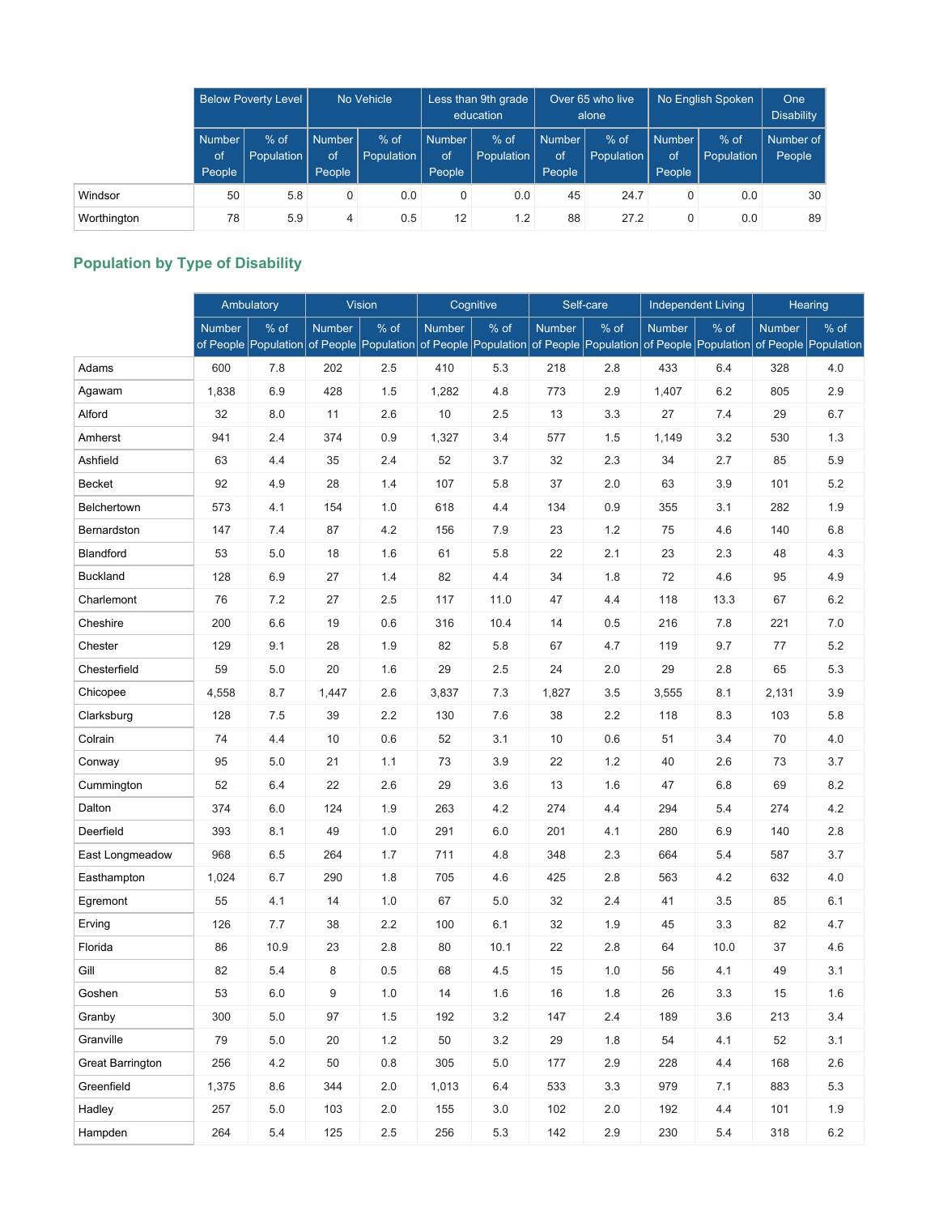|             | <b>Below Poverty Level</b>    |                      | No Vehicle                    |                      | Less than 9th grade<br>education     |                      | Over 65 who live<br>alone     |                      | No English Spoken             | <b>One</b><br><b>Disability</b> |                     |
|-------------|-------------------------------|----------------------|-------------------------------|----------------------|--------------------------------------|----------------------|-------------------------------|----------------------|-------------------------------|---------------------------------|---------------------|
|             | <b>Number</b><br>of<br>People | $%$ of<br>Population | <b>Number</b><br>of<br>People | $%$ of<br>Population | <b>Number</b><br><b>of</b><br>People | $%$ of<br>Population | <b>Number</b><br>of<br>People | $%$ of<br>Population | <b>Number</b><br>of<br>People | $%$ of<br>Population            | Number of<br>People |
| Windsor     | 50                            | 5.8                  | 0                             | 0.0                  |                                      | 0.0                  | 45                            | 24.7                 | 0                             | 0.0                             | 30                  |
| Worthington | 78                            | 5.9                  | 4                             | 0.5                  | 12                                   | 1.2                  | 88                            | 27.2                 | 0                             | 0.0                             | 89                  |

# **Population by Type of Disability**

|                  |        | Ambulatory                   |        | <b>Vision</b>                |        | Cognitive                    |        | Self-care                                                              |               | <b>Independent Living</b> |               | Hearing |
|------------------|--------|------------------------------|--------|------------------------------|--------|------------------------------|--------|------------------------------------------------------------------------|---------------|---------------------------|---------------|---------|
|                  | Number | % of<br>of People Population | Number | % of<br>of People Population | Number | % of<br>of People Population | Number | % of<br>of People Population of People Population of People Population | <b>Number</b> | % of                      | <b>Number</b> | % of    |
| Adams            | 600    | 7.8                          | 202    | 2.5                          | 410    | 5.3                          | 218    | 2.8                                                                    | 433           | 6.4                       | 328           | 4.0     |
| Agawam           | 1,838  | 6.9                          | 428    | 1.5                          | 1,282  | 4.8                          | 773    | 2.9                                                                    | 1,407         | 6.2                       | 805           | 2.9     |
| Alford           | 32     | 8.0                          | 11     | 2.6                          | 10     | 2.5                          | 13     | 3.3                                                                    | 27            | 7.4                       | 29            | 6.7     |
| Amherst          | 941    | 2.4                          | 374    | 0.9                          | 1,327  | 3.4                          | 577    | 1.5                                                                    | 1,149         | 3.2                       | 530           | 1.3     |
| Ashfield         | 63     | 4.4                          | 35     | 2.4                          | 52     | 3.7                          | 32     | 2.3                                                                    | 34            | 2.7                       | 85            | 5.9     |
| Becket           | 92     | 4.9                          | 28     | 1.4                          | 107    | 5.8                          | 37     | 2.0                                                                    | 63            | 3.9                       | 101           | 5.2     |
| Belchertown      | 573    | 4.1                          | 154    | 1.0                          | 618    | 4.4                          | 134    | 0.9                                                                    | 355           | 3.1                       | 282           | 1.9     |
| Bernardston      | 147    | 7.4                          | 87     | 4.2                          | 156    | 7.9                          | 23     | 1.2                                                                    | 75            | 4.6                       | 140           | 6.8     |
| Blandford        | 53     | 5.0                          | 18     | 1.6                          | 61     | 5.8                          | 22     | 2.1                                                                    | 23            | 2.3                       | 48            | 4.3     |
| <b>Buckland</b>  | 128    | 6.9                          | 27     | 1.4                          | 82     | 4.4                          | 34     | 1.8                                                                    | 72            | 4.6                       | 95            | 4.9     |
| Charlemont       | 76     | 7.2                          | 27     | 2.5                          | 117    | 11.0                         | 47     | 4.4                                                                    | 118           | 13.3                      | 67            | 6.2     |
| Cheshire         | 200    | 6.6                          | 19     | 0.6                          | 316    | 10.4                         | 14     | 0.5                                                                    | 216           | 7.8                       | 221           | 7.0     |
| Chester          | 129    | 9.1                          | 28     | 1.9                          | 82     | 5.8                          | 67     | 4.7                                                                    | 119           | 9.7                       | 77            | 5.2     |
| Chesterfield     | 59     | 5.0                          | 20     | 1.6                          | 29     | 2.5                          | 24     | 2.0                                                                    | 29            | 2.8                       | 65            | 5.3     |
| Chicopee         | 4,558  | 8.7                          | 1,447  | 2.6                          | 3,837  | 7.3                          | 1,827  | 3.5                                                                    | 3,555         | 8.1                       | 2,131         | 3.9     |
| Clarksburg       | 128    | 7.5                          | 39     | 2.2                          | 130    | 7.6                          | 38     | 2.2                                                                    | 118           | 8.3                       | 103           | 5.8     |
| Colrain          | 74     | 4.4                          | 10     | 0.6                          | 52     | 3.1                          | 10     | 0.6                                                                    | 51            | 3.4                       | 70            | 4.0     |
| Conway           | 95     | 5.0                          | 21     | 1.1                          | 73     | 3.9                          | 22     | 1.2                                                                    | 40            | 2.6                       | 73            | 3.7     |
| Cummington       | 52     | 6.4                          | 22     | 2.6                          | 29     | 3.6                          | 13     | 1.6                                                                    | 47            | 6.8                       | 69            | 8.2     |
| Dalton           | 374    | 6.0                          | 124    | 1.9                          | 263    | 4.2                          | 274    | 4.4                                                                    | 294           | 5.4                       | 274           | 4.2     |
| Deerfield        | 393    | 8.1                          | 49     | 1.0                          | 291    | 6.0                          | 201    | 4.1                                                                    | 280           | 6.9                       | 140           | 2.8     |
| East Longmeadow  | 968    | 6.5                          | 264    | 1.7                          | 711    | 4.8                          | 348    | 2.3                                                                    | 664           | 5.4                       | 587           | 3.7     |
| Easthampton      | 1,024  | 6.7                          | 290    | 1.8                          | 705    | 4.6                          | 425    | 2.8                                                                    | 563           | 4.2                       | 632           | 4.0     |
| Egremont         | 55     | 4.1                          | 14     | 1.0                          | 67     | 5.0                          | 32     | 2.4                                                                    | 41            | 3.5                       | 85            | 6.1     |
| Erving           | 126    | 7.7                          | 38     | 2.2                          | 100    | 6.1                          | 32     | 1.9                                                                    | 45            | 3.3                       | 82            | 4.7     |
| Florida          | 86     | 10.9                         | 23     | 2.8                          | 80     | 10.1                         | 22     | 2.8                                                                    | 64            | 10.0                      | 37            | 4.6     |
| Gill             | 82     | 5.4                          | 8      | 0.5                          | 68     | 4.5                          | 15     | 1.0                                                                    | 56            | 4.1                       | 49            | 3.1     |
| Goshen           | 53     | 6.0                          | 9      | $1.0$                        | 14     | 1.6                          | 16     | 1.8                                                                    | 26            | 3.3                       | 15            | 1.6     |
| Granby           | 300    | 5.0                          | 97     | $1.5$                        | 192    | $3.2\,$                      | 147    | 2.4                                                                    | 189           | 3.6                       | 213           | 3.4     |
| Granville        | 79     | 5.0                          | 20     | 1.2                          | 50     | 3.2                          | 29     | 1.8                                                                    | 54            | 4.1                       | 52            | 3.1     |
| Great Barrington | 256    | 4.2                          | 50     | 0.8                          | 305    | 5.0                          | 177    | 2.9                                                                    | 228           | 4.4                       | 168           | 2.6     |
| Greenfield       | 1,375  | 8.6                          | 344    | 2.0                          | 1,013  | 6.4                          | 533    | 3.3                                                                    | 979           | 7.1                       | 883           | 5.3     |
| Hadley           | 257    | 5.0                          | 103    | 2.0                          | 155    | 3.0                          | 102    | $2.0\,$                                                                | 192           | 4.4                       | 101           | 1.9     |
| Hampden          | 264    | $5.4\,$                      | 125    | $2.5\,$                      | 256    | 5.3                          | 142    | 2.9                                                                    | 230           | 5.4                       | 318           | $6.2\,$ |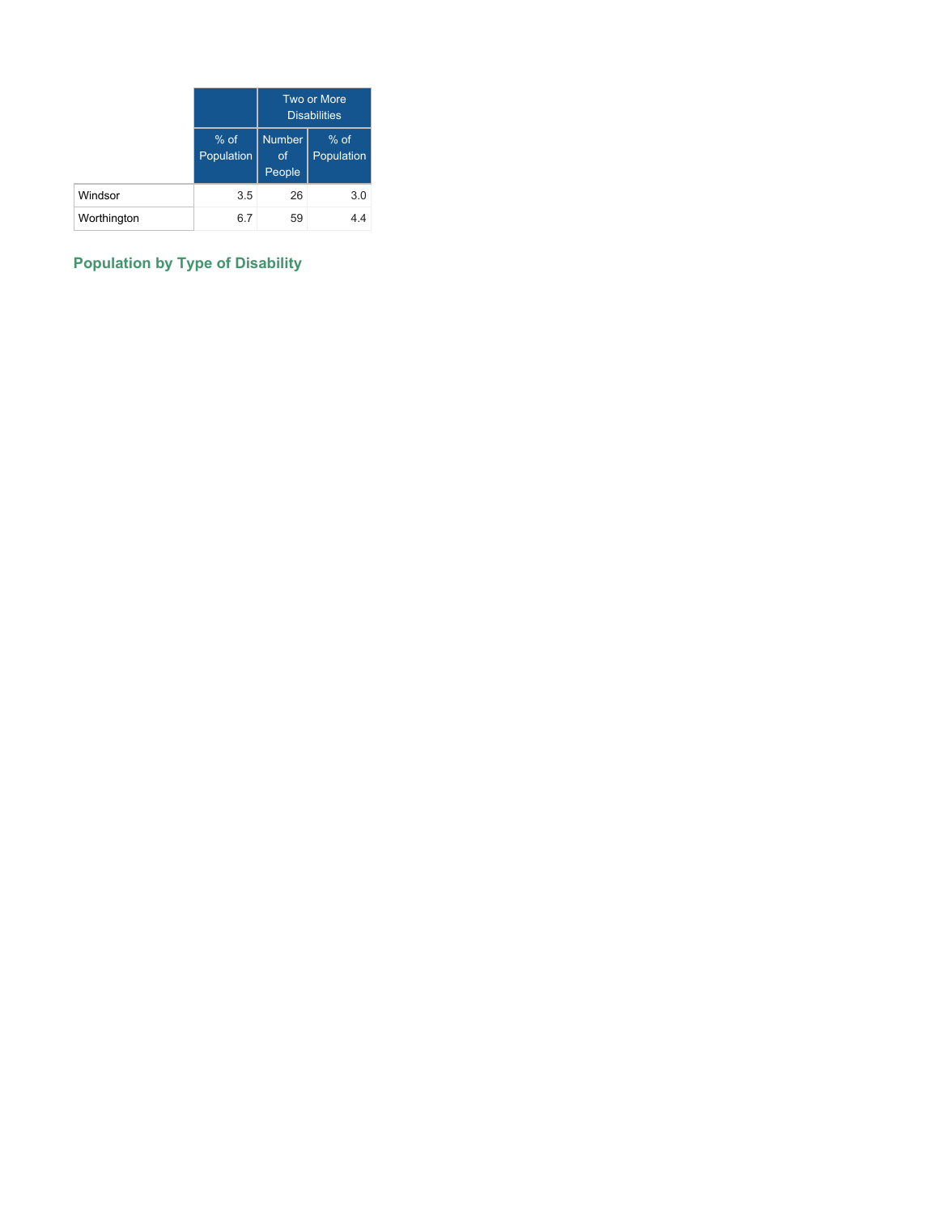|             |                      |                                      | Two or More<br><b>Disabilities</b> |
|-------------|----------------------|--------------------------------------|------------------------------------|
|             | $%$ of<br>Population | <b>Number</b><br><b>of</b><br>People | $%$ of<br>Population               |
| Windsor     | 3.5                  | 26                                   | 3.0                                |
| Worthington | 6.7                  | 59                                   | 4.4                                |

# **Population by Type of Disability**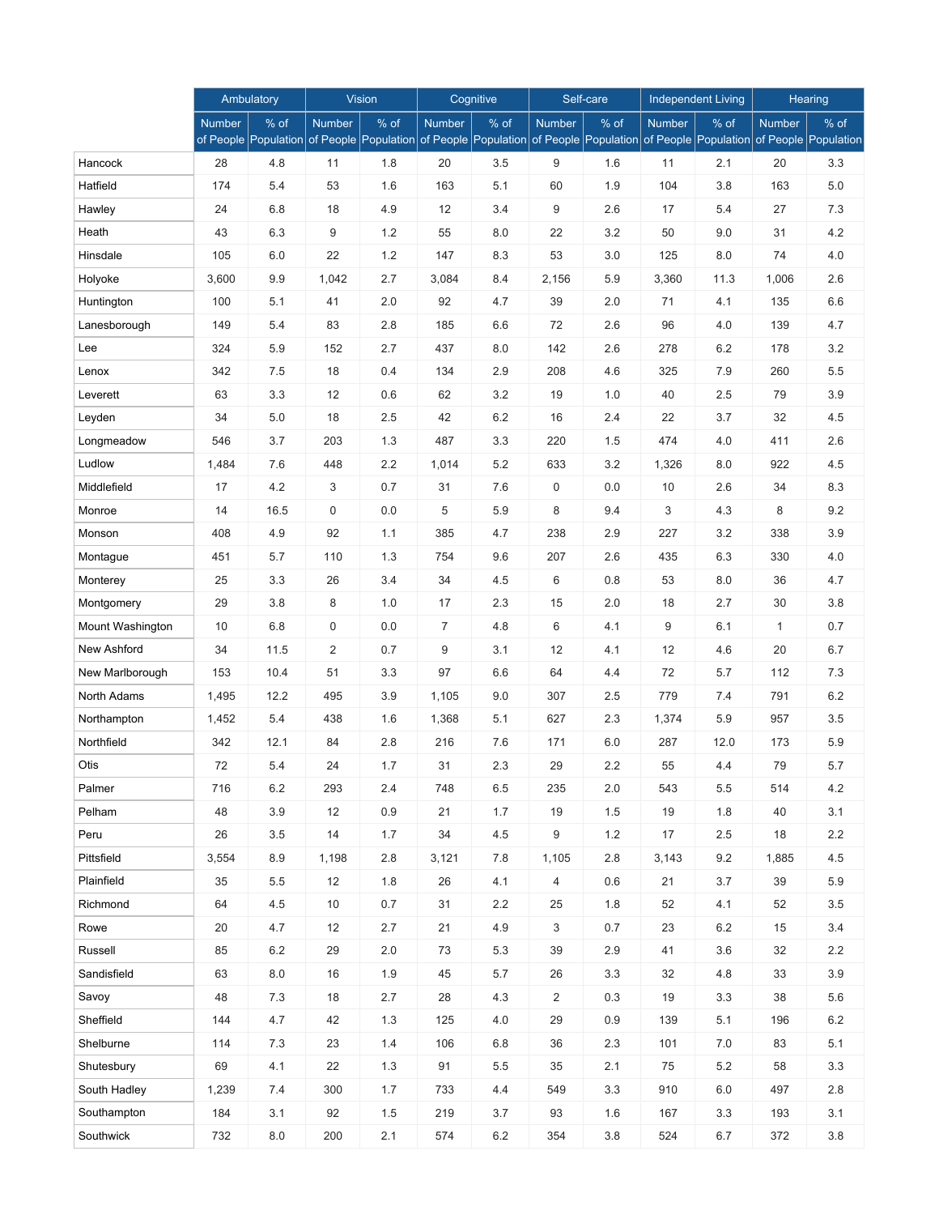|                  |               | Ambulatory                   |               | <b>Vision</b>                |                | Cognitive                    |                | Self-care                    |               | <b>Independent Living</b>    |               | <b>Hearing</b>                 |
|------------------|---------------|------------------------------|---------------|------------------------------|----------------|------------------------------|----------------|------------------------------|---------------|------------------------------|---------------|--------------------------------|
|                  | <b>Number</b> | % of<br>of People Population | <b>Number</b> | % of<br>of People Population | <b>Number</b>  | % of<br>of People Population | <b>Number</b>  | % of<br>of People Population | <b>Number</b> | % of<br>of People Population | <b>Number</b> | $%$ of<br>of People Population |
| Hancock          | 28            | 4.8                          | 11            | 1.8                          | 20             | 3.5                          | 9              | 1.6                          | 11            | 2.1                          | 20            | 3.3                            |
| Hatfield         | 174           | 5.4                          | 53            | 1.6                          | 163            | 5.1                          | 60             | 1.9                          | 104           | 3.8                          | 163           | $5.0$                          |
| Hawley           | 24            | 6.8                          | 18            | 4.9                          | 12             | 3.4                          | 9              | 2.6                          | 17            | 5.4                          | 27            | 7.3                            |
| Heath            | 43            | 6.3                          | 9             | 1.2                          | 55             | 8.0                          | 22             | 3.2                          | 50            | 9.0                          | 31            | 4.2                            |
| Hinsdale         | 105           | 6.0                          | 22            | 1.2                          | 147            | 8.3                          | 53             | 3.0                          | 125           | 8.0                          | 74            | 4.0                            |
| Holyoke          | 3,600         | 9.9                          | 1,042         | 2.7                          | 3,084          | 8.4                          | 2,156          | 5.9                          | 3,360         | 11.3                         | 1,006         | 2.6                            |
| Huntington       | 100           | 5.1                          | 41            | 2.0                          | 92             | 4.7                          | 39             | 2.0                          | 71            | 4.1                          | 135           | 6.6                            |
| Lanesborough     | 149           | 5.4                          | 83            | 2.8                          | 185            | 6.6                          | 72             | 2.6                          | 96            | 4.0                          | 139           | 4.7                            |
| Lee              | 324           | 5.9                          | 152           | 2.7                          | 437            | 8.0                          | 142            | 2.6                          | 278           | 6.2                          | 178           | 3.2                            |
| Lenox            | 342           | 7.5                          | 18            | 0.4                          | 134            | 2.9                          | 208            | 4.6                          | 325           | 7.9                          | 260           | 5.5                            |
| Leverett         | 63            | 3.3                          | 12            | 0.6                          | 62             | 3.2                          | 19             | 1.0                          | 40            | 2.5                          | 79            | 3.9                            |
| Leyden           | 34            | 5.0                          | 18            | 2.5                          | 42             | 6.2                          | 16             | 2.4                          | 22            | 3.7                          | 32            | 4.5                            |
| Longmeadow       | 546           | 3.7                          | 203           | 1.3                          | 487            | 3.3                          | 220            | 1.5                          | 474           | 4.0                          | 411           | 2.6                            |
| Ludlow           | 1,484         | 7.6                          | 448           | 2.2                          | 1,014          | 5.2                          | 633            | 3.2                          | 1,326         | 8.0                          | 922           | 4.5                            |
| Middlefield      | 17            | 4.2                          | 3             | 0.7                          | 31             | 7.6                          | 0              | 0.0                          | 10            | 2.6                          | 34            | 8.3                            |
| Monroe           | 14            | 16.5                         | 0             | 0.0                          | 5              | 5.9                          | 8              | 9.4                          | 3             | 4.3                          | 8             | 9.2                            |
| Monson           | 408           | 4.9                          | 92            | 1.1                          | 385            | 4.7                          | 238            | 2.9                          | 227           | 3.2                          | 338           | 3.9                            |
| Montague         | 451           | 5.7                          | 110           | 1.3                          | 754            | 9.6                          | 207            | 2.6                          | 435           | 6.3                          | 330           | 4.0                            |
| Monterey         | 25            | 3.3                          | 26            | 3.4                          | 34             | 4.5                          | 6              | 0.8                          | 53            | 8.0                          | 36            | 4.7                            |
| Montgomery       | 29            | 3.8                          | 8             | 1.0                          | 17             | 2.3                          | 15             | 2.0                          | 18            | 2.7                          | 30            | 3.8                            |
| Mount Washington | 10            | 6.8                          | $\pmb{0}$     | 0.0                          | $\overline{7}$ | 4.8                          | 6              | 4.1                          | 9             | 6.1                          | $\mathbf{1}$  | 0.7                            |
| New Ashford      | 34            | 11.5                         | 2             | 0.7                          | 9              | 3.1                          | 12             | 4.1                          | 12            | 4.6                          | 20            | 6.7                            |
| New Marlborough  | 153           | 10.4                         | 51            | 3.3                          | 97             | 6.6                          | 64             | 4.4                          | 72            | 5.7                          | 112           | 7.3                            |
| North Adams      | 1,495         | 12.2                         | 495           | 3.9                          | 1,105          | 9.0                          | 307            | 2.5                          | 779           | 7.4                          | 791           | 6.2                            |
| Northampton      | 1,452         | 5.4                          | 438           | 1.6                          | 1,368          | 5.1                          | 627            | 2.3                          | 1,374         | 5.9                          | 957           | 3.5                            |
| Northfield       | 342           | 12.1                         | 84            | 2.8                          | 216            | 7.6                          | 171            | 6.0                          | 287           | 12.0                         | 173           | 5.9                            |
| Otis             | 72            | 5.4                          | 24            | 1.7                          | 31             | 2.3                          | 29             | 2.2                          | 55            | 4.4                          | 79            | 5.7                            |
| Palmer           | 716           | $6.2\,$                      | 293           | $2.4\,$                      | 748            | 6.5                          | 235            | 2.0                          | 543           | 5.5                          | 514           | 4.2                            |
| Pelham           | 48            | 3.9                          | $12$          | $0.9\,$                      | 21             | 1.7                          | 19             | $1.5\,$                      | 19            | 1.8                          | 40            | 3.1                            |
| Peru             | 26            | 3.5                          | 14            | 1.7                          | 34             | 4.5                          | 9              | $1.2$                        | 17            | $2.5\,$                      | 18            | 2.2                            |
| Pittsfield       | 3,554         | 8.9                          | 1,198         | 2.8                          | 3,121          | 7.8                          | 1,105          | 2.8                          | 3,143         | 9.2                          | 1,885         | 4.5                            |
| Plainfield       | 35            | 5.5                          | 12            | 1.8                          | 26             | 4.1                          | 4              | 0.6                          | 21            | 3.7                          | 39            | 5.9                            |
| Richmond         | 64            | $4.5\,$                      | 10            | 0.7                          | 31             | 2.2                          | 25             | 1.8                          | 52            | 4.1                          | 52            | $3.5\,$                        |
| Rowe             | 20            | 4.7                          | 12            | 2.7                          | 21             | 4.9                          | 3              | 0.7                          | 23            | $6.2\,$                      | 15            | 3.4                            |
| Russell          | 85            | $6.2\,$                      | 29            | 2.0                          | 73             | 5.3                          | 39             | 2.9                          | 41            | 3.6                          | 32            | 2.2                            |
| Sandisfield      | 63            | 8.0                          | 16            | 1.9                          | 45             | 5.7                          | 26             | 3.3                          | 32            | 4.8                          | 33            | 3.9                            |
| Savoy            | 48            | 7.3                          | 18            | 2.7                          | 28             | 4.3                          | $\overline{c}$ | 0.3                          | 19            | 3.3                          | 38            | 5.6                            |
| Sheffield        | 144           | 4.7                          | 42            | 1.3                          | 125            | 4.0                          | 29             | 0.9                          | 139           | 5.1                          | 196           | 6.2                            |
| Shelburne        | 114           | 7.3                          | 23            | $1.4$                        | 106            | 6.8                          | 36             | 2.3                          | 101           | 7.0                          | 83            | 5.1                            |
| Shutesbury       | 69            | 4.1                          | 22            | 1.3                          | 91             | 5.5                          | 35             | 2.1                          | 75            | $5.2\,$                      | 58            | 3.3                            |
| South Hadley     | 1,239         | 7.4                          | 300           | 1.7                          | 733            | 4.4                          | 549            | 3.3                          | 910           | 6.0                          | 497           | $2.8\,$                        |
| Southampton      | 184           | 3.1                          | 92            | 1.5                          | 219            | 3.7                          | 93             | 1.6                          | 167           | 3.3                          | 193           | 3.1                            |
| Southwick        | 732           | 8.0                          | 200           | 2.1                          | 574            | $6.2\,$                      | 354            | $3.8\,$                      | 524           | 6.7                          | 372           | $3.8\,$                        |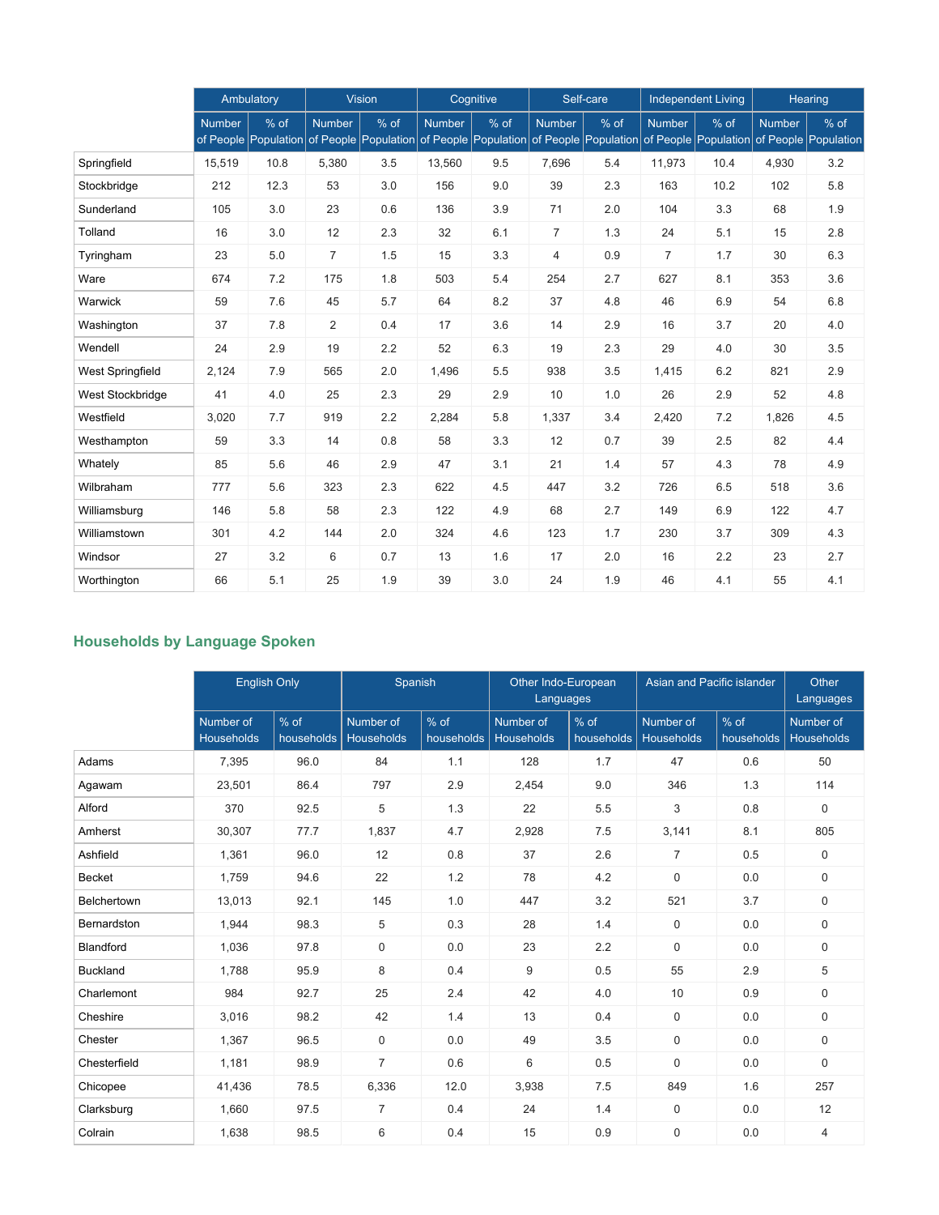|                         |               | Ambulatory                   | <b>Vision</b>  |                              |               | Cognitive                    |                | Self-care                    | <b>Independent Living</b> |                              | Hearing       |                                |
|-------------------------|---------------|------------------------------|----------------|------------------------------|---------------|------------------------------|----------------|------------------------------|---------------------------|------------------------------|---------------|--------------------------------|
|                         | <b>Number</b> | % of<br>of People Population | <b>Number</b>  | % of<br>of People Population | <b>Number</b> | % of<br>of People Population | <b>Number</b>  | % of<br>of People Population | <b>Number</b>             | % of<br>of People Population | <b>Number</b> | $%$ of<br>of People Population |
| Springfield             | 15,519        | 10.8                         | 5,380          | 3.5                          | 13,560        | 9.5                          | 7,696          | 5.4                          | 11,973                    | 10.4                         | 4,930         | 3.2                            |
| Stockbridge             | 212           | 12.3                         | 53             | 3.0                          | 156           | 9.0                          | 39             | 2.3                          | 163                       | 10.2                         | 102           | 5.8                            |
| Sunderland              | 105           | 3.0                          | 23             | 0.6                          | 136           | 3.9                          | 71             | 2.0                          | 104                       | 3.3                          | 68            | 1.9                            |
| Tolland                 | 16            | 3.0                          | 12             | 2.3                          | 32            | 6.1                          | $\overline{7}$ | 1.3                          | 24                        | 5.1                          | 15            | 2.8                            |
| Tyringham               | 23            | 5.0                          | $\overline{7}$ | 1.5                          | 15            | 3.3                          | $\overline{4}$ | 0.9                          | $\overline{7}$            | 1.7                          | 30            | 6.3                            |
| Ware                    | 674           | 7.2                          | 175            | 1.8                          | 503           | 5.4                          | 254            | 2.7                          | 627                       | 8.1                          | 353           | 3.6                            |
| Warwick                 | 59            | 7.6                          | 45             | 5.7                          | 64            | 8.2                          | 37             | 4.8                          | 46                        | 6.9                          | 54            | 6.8                            |
| Washington              | 37            | 7.8                          | 2              | 0.4                          | 17            | 3.6                          | 14             | 2.9                          | 16                        | 3.7                          | 20            | 4.0                            |
| Wendell                 | 24            | 2.9                          | 19             | 2.2                          | 52            | 6.3                          | 19             | 2.3                          | 29                        | 4.0                          | 30            | 3.5                            |
| <b>West Springfield</b> | 2,124         | 7.9                          | 565            | 2.0                          | 1,496         | 5.5                          | 938            | 3.5                          | 1,415                     | 6.2                          | 821           | 2.9                            |
| West Stockbridge        | 41            | 4.0                          | 25             | 2.3                          | 29            | 2.9                          | 10             | 1.0                          | 26                        | 2.9                          | 52            | 4.8                            |
| Westfield               | 3,020         | 7.7                          | 919            | 2.2                          | 2,284         | 5.8                          | 1,337          | 3.4                          | 2,420                     | 7.2                          | 1,826         | 4.5                            |
| Westhampton             | 59            | 3.3                          | 14             | 0.8                          | 58            | 3.3                          | 12             | 0.7                          | 39                        | 2.5                          | 82            | 4.4                            |
| Whately                 | 85            | 5.6                          | 46             | 2.9                          | 47            | 3.1                          | 21             | 1.4                          | 57                        | 4.3                          | 78            | 4.9                            |
| Wilbraham               | 777           | 5.6                          | 323            | 2.3                          | 622           | 4.5                          | 447            | 3.2                          | 726                       | 6.5                          | 518           | 3.6                            |
| Williamsburg            | 146           | 5.8                          | 58             | 2.3                          | 122           | 4.9                          | 68             | 2.7                          | 149                       | 6.9                          | 122           | 4.7                            |
| Williamstown            | 301           | 4.2                          | 144            | 2.0                          | 324           | 4.6                          | 123            | 1.7                          | 230                       | 3.7                          | 309           | 4.3                            |
| Windsor                 | 27            | 3.2                          | 6              | 0.7                          | 13            | 1.6                          | 17             | 2.0                          | 16                        | 2.2                          | 23            | 2.7                            |
| Worthington             | 66            | 5.1                          | 25             | 1.9                          | 39            | 3.0                          | 24             | 1.9                          | 46                        | 4.1                          | 55            | 4.1                            |

# **Households by Language Spoken**

|                 |                                | <b>English Only</b>  |                         | Spanish              | Other Indo-European<br>Languages |                      | Asian and Pacific islander     | Other<br>Languages   |                         |
|-----------------|--------------------------------|----------------------|-------------------------|----------------------|----------------------------------|----------------------|--------------------------------|----------------------|-------------------------|
|                 | Number of<br><b>Households</b> | $%$ of<br>households | Number of<br>Households | $%$ of<br>households | Number of<br>Households          | $%$ of<br>households | Number of<br><b>Households</b> | $%$ of<br>households | Number of<br>Households |
| Adams           | 7,395                          | 96.0                 | 84                      | 1.1                  | 128                              | 1.7                  | 47                             | 0.6                  | 50                      |
| Agawam          | 23,501                         | 86.4                 | 797                     | 2.9                  | 2,454                            | 9.0                  | 346                            | 1.3                  | 114                     |
| Alford          | 370                            | 92.5                 | 5                       | 1.3                  | 22                               | 5.5                  | 3                              | 0.8                  | $\mathbf 0$             |
| Amherst         | 30,307                         | 77.7                 | 1,837                   | 4.7                  | 2,928                            | 7.5                  | 3,141                          | 8.1                  | 805                     |
| Ashfield        | 1,361                          | 96.0                 | 12                      | 0.8                  | 37                               | 2.6                  | $\overline{7}$                 | 0.5                  | 0                       |
| <b>Becket</b>   | 1,759                          | 94.6                 | 22                      | 1.2                  | 78                               | 4.2                  | $\Omega$                       | 0.0                  | $\mathbf 0$             |
| Belchertown     | 13,013                         | 92.1                 | 145                     | 1.0                  | 447                              | 3.2                  | 521                            | 3.7                  | $\mathbf 0$             |
| Bernardston     | 1,944                          | 98.3                 | 5                       | 0.3                  | 28                               | 1.4                  | $\mathbf 0$                    | 0.0                  | $\mathbf 0$             |
| Blandford       | 1,036                          | 97.8                 | $\mathbf 0$             | 0.0                  | 23                               | 2.2                  | $\mathbf 0$                    | 0.0                  | $\mathbf 0$             |
| <b>Buckland</b> | 1,788                          | 95.9                 | 8                       | 0.4                  | 9                                | 0.5                  | 55                             | 2.9                  | 5                       |
| Charlemont      | 984                            | 92.7                 | 25                      | 2.4                  | 42                               | 4.0                  | 10                             | 0.9                  | $\mathbf 0$             |
| Cheshire        | 3,016                          | 98.2                 | 42                      | 1.4                  | 13                               | 0.4                  | $\mathbf 0$                    | 0.0                  | $\mathbf 0$             |
| Chester         | 1,367                          | 96.5                 | $\mathsf 0$             | 0.0                  | 49                               | 3.5                  | $\mathbf 0$                    | 0.0                  | 0                       |
| Chesterfield    | 1,181                          | 98.9                 | $\overline{7}$          | 0.6                  | 6                                | 0.5                  | $\mathbf 0$                    | 0.0                  | $\mathbf 0$             |
| Chicopee        | 41,436                         | 78.5                 | 6,336                   | 12.0                 | 3,938                            | 7.5                  | 849                            | 1.6                  | 257                     |
| Clarksburg      | 1,660                          | 97.5                 | $\overline{7}$          | 0.4                  | 24                               | 1.4                  | $\mathbf 0$                    | 0.0                  | 12                      |
| Colrain         | 1,638                          | 98.5                 | 6                       | 0.4                  | 15                               | 0.9                  | $\Omega$                       | 0.0                  | $\overline{4}$          |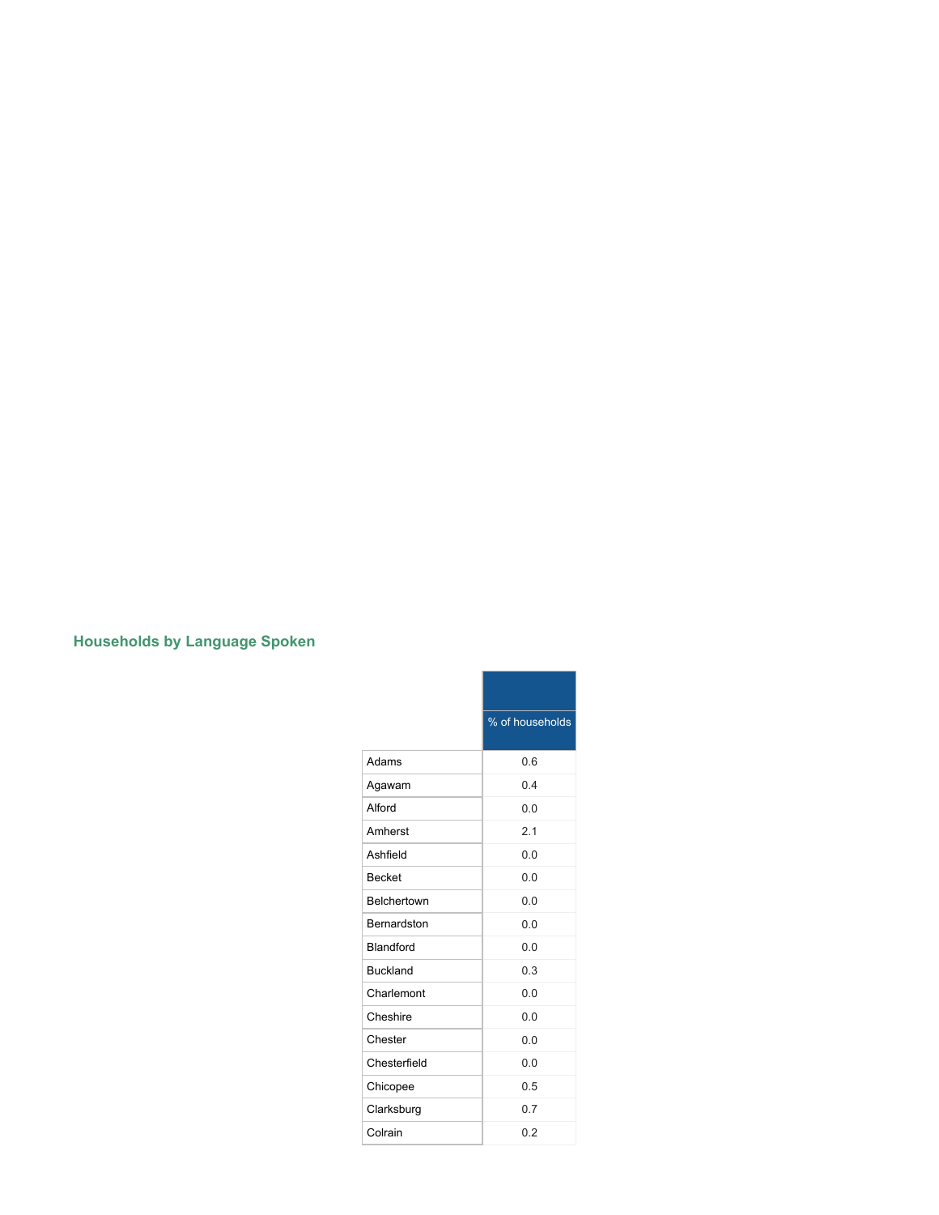## **Households by Language Spoken**

|                  | % of households |
|------------------|-----------------|
| Adams            | 0.6             |
| Agawam           | 0.4             |
| Alford           | 0.0             |
| Amherst          | 2.1             |
| Ashfield         | 0.0             |
| <b>Becket</b>    | 0 <sub>0</sub>  |
| Belchertown      | 0.0             |
| Bernardston      | 0.0             |
| <b>Blandford</b> | 0.0             |
| <b>Buckland</b>  | 0.3             |
| Charlemont       | 0.0             |
| Cheshire         | 0.0             |
| Chester          | 0.0             |
| Chesterfield     | 0.0             |
| Chicopee         | 0.5             |
| Clarksburg       | 0.7             |
| Colrain          | 0.2             |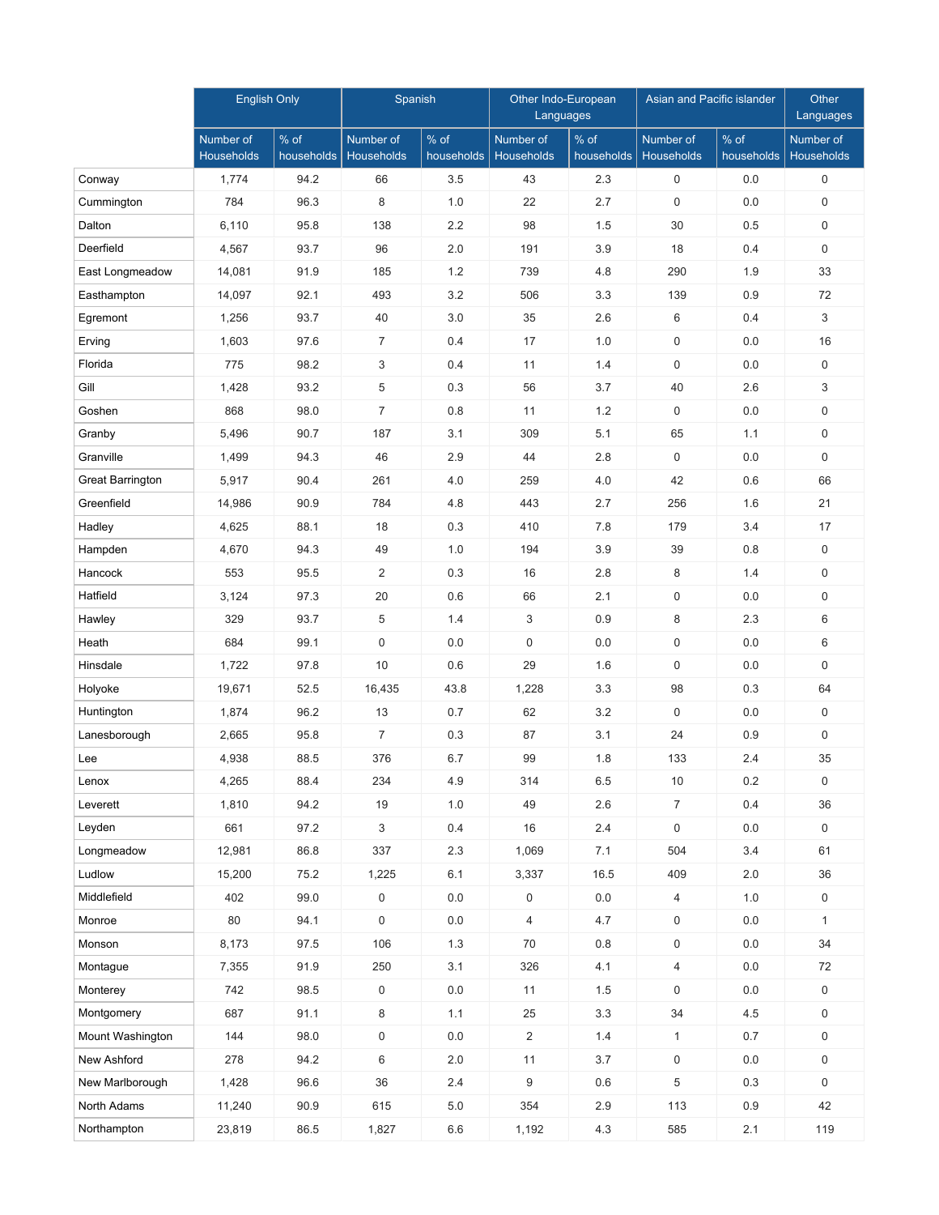|                         | <b>English Only</b>            |                    | Spanish                 |                      | Other Indo-European<br>Languages |                      | Asian and Pacific islander |                    | Other<br>Languages      |
|-------------------------|--------------------------------|--------------------|-------------------------|----------------------|----------------------------------|----------------------|----------------------------|--------------------|-------------------------|
|                         | Number of<br><b>Households</b> | % of<br>households | Number of<br>Households | $%$ of<br>households | Number of<br><b>Households</b>   | $%$ of<br>households | Number of<br>Households    | % of<br>households | Number of<br>Households |
| Conway                  | 1,774                          | 94.2               | 66                      | 3.5                  | 43                               | 2.3                  | 0                          | 0.0                | 0                       |
| Cummington              | 784                            | 96.3               | 8                       | 1.0                  | 22                               | 2.7                  | $\mathbf 0$                | 0.0                | $\mathsf{O}$            |
| Dalton                  | 6,110                          | 95.8               | 138                     | 2.2                  | 98                               | 1.5                  | 30                         | 0.5                | $\mathbf 0$             |
| Deerfield               | 4,567                          | 93.7               | 96                      | 2.0                  | 191                              | 3.9                  | 18                         | 0.4                | $\mathbf 0$             |
| East Longmeadow         | 14,081                         | 91.9               | 185                     | 1.2                  | 739                              | 4.8                  | 290                        | 1.9                | 33                      |
| Easthampton             | 14,097                         | 92.1               | 493                     | 3.2                  | 506                              | 3.3                  | 139                        | 0.9                | 72                      |
| Egremont                | 1,256                          | 93.7               | 40                      | 3.0                  | 35                               | 2.6                  | 6                          | 0.4                | 3                       |
| Erving                  | 1,603                          | 97.6               | $\overline{7}$          | 0.4                  | 17                               | 1.0                  | $\mathbf 0$                | 0.0                | 16                      |
| Florida                 | 775                            | 98.2               | 3                       | 0.4                  | 11                               | 1.4                  | $\mathbf 0$                | 0.0                | 0                       |
| Gill                    | 1,428                          | 93.2               | 5                       | 0.3                  | 56                               | 3.7                  | 40                         | 2.6                | 3                       |
| Goshen                  | 868                            | 98.0               | $\overline{7}$          | 0.8                  | 11                               | 1.2                  | 0                          | 0.0                | 0                       |
| Granby                  | 5,496                          | 90.7               | 187                     | 3.1                  | 309                              | 5.1                  | 65                         | 1.1                | 0                       |
| Granville               | 1,499                          | 94.3               | 46                      | 2.9                  | 44                               | 2.8                  | $\mathbf 0$                | 0.0                | 0                       |
| <b>Great Barrington</b> | 5,917                          | 90.4               | 261                     | 4.0                  | 259                              | 4.0                  | 42                         | 0.6                | 66                      |
| Greenfield              | 14,986                         | 90.9               | 784                     | 4.8                  | 443                              | 2.7                  | 256                        | 1.6                | 21                      |
| Hadley                  | 4,625                          | 88.1               | 18                      | 0.3                  | 410                              | 7.8                  | 179                        | 3.4                | 17                      |
| Hampden                 | 4,670                          | 94.3               | 49                      | 1.0                  | 194                              | 3.9                  | 39                         | 0.8                | 0                       |
| Hancock                 | 553                            | 95.5               | 2                       | 0.3                  | 16                               | 2.8                  | 8                          | 1.4                | 0                       |
| Hatfield                | 3,124                          | 97.3               | 20                      | 0.6                  | 66                               | 2.1                  | $\mathbf 0$                | 0.0                | 0                       |
| Hawley                  | 329                            | 93.7               | 5                       | 1.4                  | 3                                | 0.9                  | 8                          | 2.3                | 6                       |
| Heath                   | 684                            | 99.1               | 0                       | 0.0                  | 0                                | 0.0                  | $\mathbf 0$                | 0.0                | 6                       |
| Hinsdale                | 1,722                          | 97.8               | 10                      | 0.6                  | 29                               | 1.6                  | $\mathbf 0$                | 0.0                | 0                       |
| Holyoke                 | 19,671                         | 52.5               | 16,435                  | 43.8                 | 1,228                            | 3.3                  | 98                         | 0.3                | 64                      |
| Huntington              | 1,874                          | 96.2               | 13                      | 0.7                  | 62                               | 3.2                  | 0                          | 0.0                | $\mathsf{O}$            |
| Lanesborough            | 2,665                          | 95.8               | $\overline{7}$          | 0.3                  | 87                               | 3.1                  | 24                         | 0.9                | 0                       |
| Lee                     | 4,938                          | 88.5               | 376                     | 6.7                  | 99                               | 1.8                  | 133                        | 2.4                | 35                      |
| Lenox                   | 4,265                          | 88.4               | 234                     | 4.9                  | 314                              | $6.5\,$              | $10$                       | 0.2                | 0                       |
| Leverett                | 1,810                          | 94.2               | 19                      | 1.0                  | 49                               | 2.6                  | $\overline{7}$             | 0.4                | 36                      |
| Leyden                  | 661                            | 97.2               | $\mathbf{3}$            | 0.4                  | 16                               | $2.4\,$              | 0                          | 0.0                | $\mathbf 0$             |
| Longmeadow              | 12,981                         | 86.8               | 337                     | 2.3                  | 1,069                            | 7.1                  | 504                        | 3.4                | 61                      |
| Ludlow                  | 15,200                         | 75.2               | 1,225                   | 6.1                  | 3,337                            | 16.5                 | 409                        | 2.0                | 36                      |
| Middlefield             | 402                            | 99.0               | $\mathsf{O}$            | 0.0                  | 0                                | 0.0                  | $\overline{4}$             | 1.0                | $\mathbf 0$             |
| Monroe                  | 80                             | 94.1               | $\mathsf{O}$            | 0.0                  | 4                                | 4.7                  | 0                          | 0.0                | $\mathbf{1}$            |
| Monson                  | 8,173                          | 97.5               | 106                     | 1.3                  | 70                               | 0.8                  | 0                          | 0.0                | 34                      |
| Montague                | 7,355                          | 91.9               | 250                     | 3.1                  | 326                              | 4.1                  | $\overline{4}$             | 0.0                | 72                      |
| Monterey                | 742                            | 98.5               | 0                       | 0.0                  | 11                               | 1.5                  | 0                          | 0.0                | 0                       |
| Montgomery              | 687                            | 91.1               | 8                       | 1.1                  | 25                               | 3.3                  | 34                         | 4.5                | $\mathsf{O}$            |
| Mount Washington        | 144                            | 98.0               | 0                       | 0.0                  | $\overline{2}$                   | 1.4                  | $\mathbf{1}$               | 0.7                | $\mathbf 0$             |
| New Ashford             | 278                            | 94.2               | 6                       | 2.0                  | 11                               | 3.7                  | $\mathsf 0$                | 0.0                | $\mathsf{O}$            |
| New Marlborough         | 1,428                          | 96.6               | 36                      | 2.4                  | 9                                | 0.6                  | 5                          | 0.3                | $\mathsf{O}$            |
| North Adams             | 11,240                         | 90.9               | 615                     | $5.0\,$              | 354                              | 2.9                  | 113                        | 0.9                | 42                      |
| Northampton             | 23,819                         | 86.5               | 1,827                   | $6.6\,$              | 1,192                            | 4.3                  | 585                        | 2.1                | 119                     |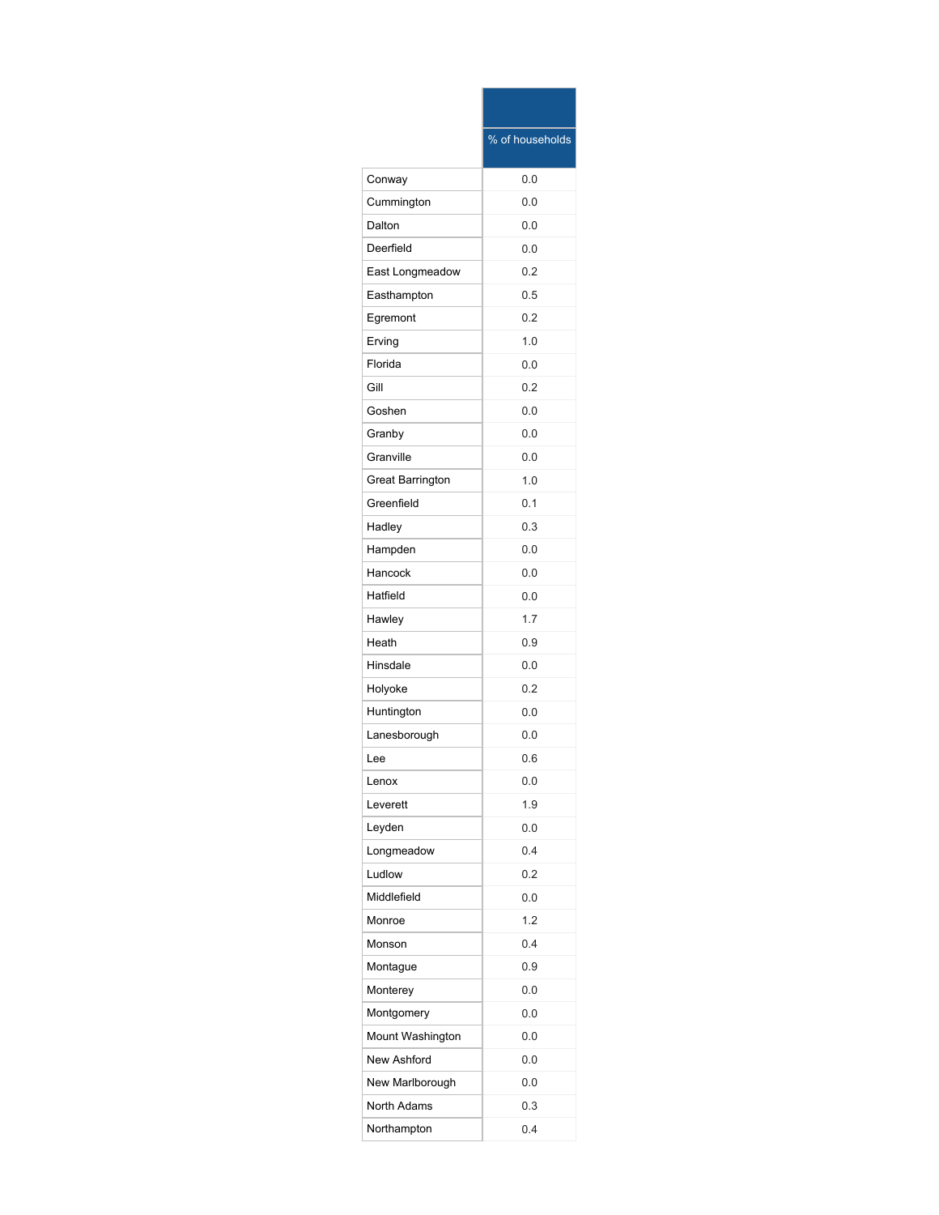|                         | % of households |
|-------------------------|-----------------|
| Conway                  | 0.0             |
| Cummington              | 0.0             |
| Dalton                  | 0.0             |
| Deerfield               | 0.0             |
| East Longmeadow         | 0.2             |
| Easthampton             | 0.5             |
| Egremont                | 0.2             |
| Erving                  | 1.0             |
| Florida                 | 0.0             |
| Gill                    | 0.2             |
| Goshen                  | 0.0             |
| Granby                  | 0.0             |
| Granville               | 0.0             |
| <b>Great Barrington</b> | 1.0             |
| Greenfield              | 0.1             |
| Hadley                  | 0.3             |
| Hampden                 | 0.0             |
| Hancock                 | 0.0             |
| Hatfield                | 0.0             |
| Hawley                  | 1.7             |
| Heath                   | 0.9             |
| Hinsdale                | 0.0             |
| Holyoke                 | 0.2             |
| Huntington              | 0.0             |
| Lanesborough            | 0.0             |
| Lee                     | 0.6             |
| Lenox                   | 0.0             |
| Leverett                | 1.9             |
| Leyden                  | 0.0             |
| Longmeadow              | 0.4             |
| Ludlow                  | 0.2             |
| Middlefield             | 0.0             |
| Monroe                  | 1.2             |
| Monson                  | 0.4             |
| Montague                | 0.9             |
| Monterey                | 0.0             |
| Montgomery              | 0.0             |
| Mount Washington        | 0.0             |
| New Ashford             | 0.0             |
| New Marlborough         | 0.0             |
| <b>North Adams</b>      | 0.3             |
| Northampton             | 0.4             |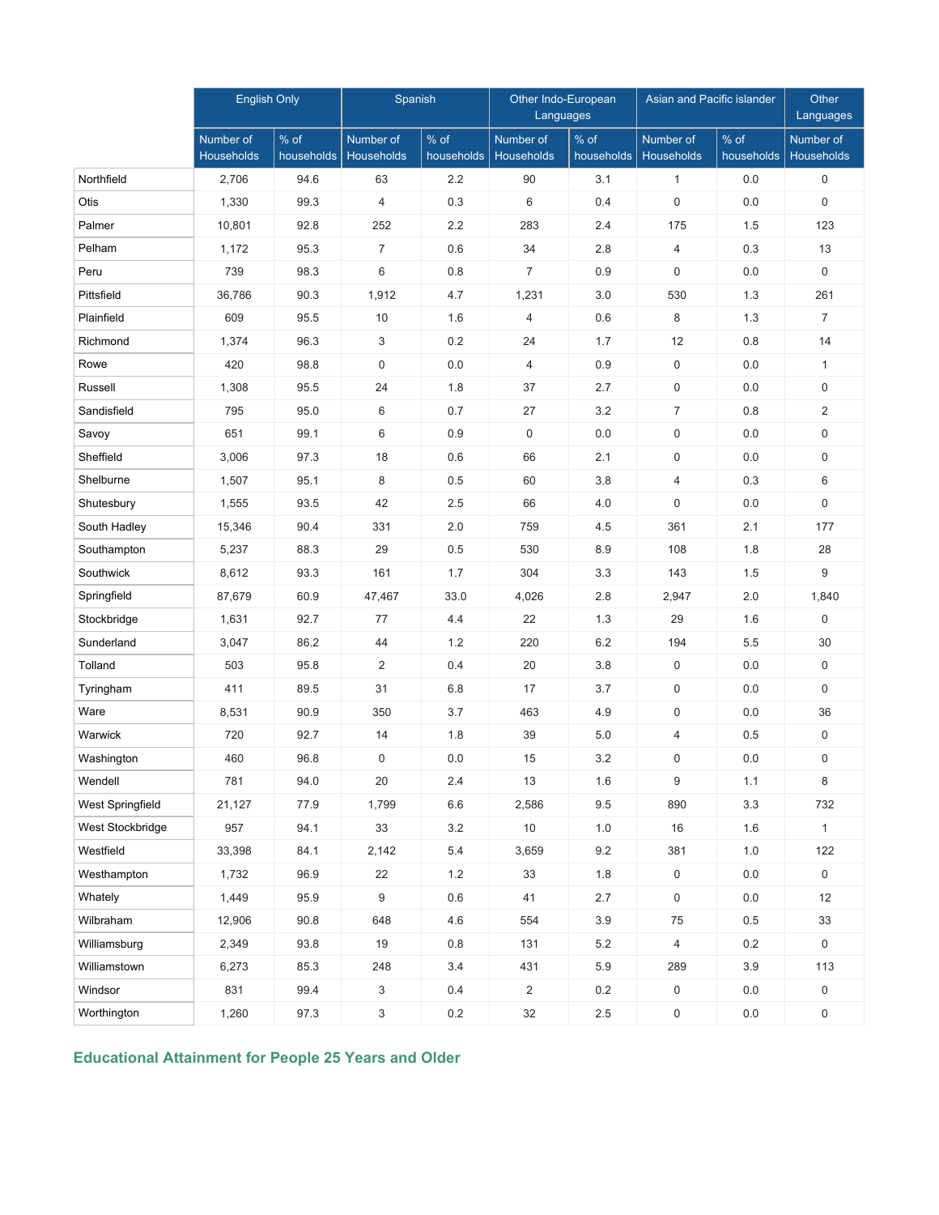|                  | <b>English Only</b>            |                    | Spanish                 |                      | Other Indo-European<br>Languages |                    | <b>Asian and Pacific islander</b> |                    | Other<br>Languages             |
|------------------|--------------------------------|--------------------|-------------------------|----------------------|----------------------------------|--------------------|-----------------------------------|--------------------|--------------------------------|
|                  | Number of<br><b>Households</b> | % of<br>households | Number of<br>Households | $%$ of<br>households | Number of<br>Households          | % of<br>households | Number of<br>Households           | % of<br>households | Number of<br><b>Households</b> |
| Northfield       | 2,706                          | 94.6               | 63                      | 2.2                  | 90                               | 3.1                | $\mathbf{1}$                      | 0.0                | 0                              |
| Otis             | 1,330                          | 99.3               | $\overline{4}$          | 0.3                  | 6                                | 0.4                | $\boldsymbol{0}$                  | 0.0                | 0                              |
| Palmer           | 10,801                         | 92.8               | 252                     | 2.2                  | 283                              | 2.4                | 175                               | 1.5                | 123                            |
| Pelham           | 1,172                          | 95.3               | $\overline{7}$          | 0.6                  | 34                               | 2.8                | $\overline{4}$                    | 0.3                | 13                             |
| Peru             | 739                            | 98.3               | 6                       | 0.8                  | $\overline{7}$                   | 0.9                | $\mathbf 0$                       | 0.0                | 0                              |
| Pittsfield       | 36,786                         | 90.3               | 1,912                   | 4.7                  | 1,231                            | 3.0                | 530                               | 1.3                | 261                            |
| Plainfield       | 609                            | 95.5               | 10                      | 1.6                  | $\overline{4}$                   | 0.6                | 8                                 | 1.3                | $\overline{7}$                 |
| Richmond         | 1,374                          | 96.3               | 3                       | 0.2                  | 24                               | 1.7                | 12                                | 0.8                | 14                             |
| Rowe             | 420                            | 98.8               | 0                       | 0.0                  | $\overline{4}$                   | 0.9                | $\mathbf 0$                       | 0.0                | $\mathbf{1}$                   |
| Russell          | 1,308                          | 95.5               | 24                      | 1.8                  | 37                               | 2.7                | 0                                 | 0.0                | 0                              |
| Sandisfield      | 795                            | 95.0               | 6                       | 0.7                  | 27                               | 3.2                | $\overline{7}$                    | 0.8                | $\overline{2}$                 |
| Savoy            | 651                            | 99.1               | 6                       | 0.9                  | $\mathbf 0$                      | 0.0                | 0                                 | 0.0                | 0                              |
| Sheffield        | 3,006                          | 97.3               | 18                      | 0.6                  | 66                               | 2.1                | 0                                 | 0.0                | 0                              |
| Shelburne        | 1,507                          | 95.1               | 8                       | 0.5                  | 60                               | 3.8                | $\overline{4}$                    | 0.3                | 6                              |
| Shutesbury       | 1,555                          | 93.5               | 42                      | 2.5                  | 66                               | 4.0                | $\mathbf 0$                       | 0.0                | 0                              |
| South Hadley     | 15,346                         | 90.4               | 331                     | 2.0                  | 759                              | 4.5                | 361                               | 2.1                | 177                            |
| Southampton      | 5,237                          | 88.3               | 29                      | 0.5                  | 530                              | 8.9                | 108                               | 1.8                | 28                             |
| Southwick        | 8,612                          | 93.3               | 161                     | 1.7                  | 304                              | 3.3                | 143                               | 1.5                | 9                              |
| Springfield      | 87,679                         | 60.9               | 47,467                  | 33.0                 | 4,026                            | 2.8                | 2,947                             | 2.0                | 1,840                          |
| Stockbridge      | 1,631                          | 92.7               | 77                      | 4.4                  | 22                               | 1.3                | 29                                | 1.6                | $\mathsf{O}$                   |
| Sunderland       | 3,047                          | 86.2               | 44                      | 1.2                  | 220                              | 6.2                | 194                               | 5.5                | 30                             |
| Tolland          | 503                            | 95.8               | $\overline{2}$          | 0.4                  | 20                               | 3.8                | 0                                 | 0.0                | $\mathbf 0$                    |
| Tyringham        | 411                            | 89.5               | 31                      | 6.8                  | 17                               | 3.7                | 0                                 | 0.0                | $\mathbf 0$                    |
| Ware             | 8,531                          | 90.9               | 350                     | 3.7                  | 463                              | 4.9                | 0                                 | 0.0                | 36                             |
| Warwick          | 720                            | 92.7               | 14                      | 1.8                  | 39                               | 5.0                | $\overline{4}$                    | 0.5                | $\mathbf 0$                    |
| Washington       | 460                            | 96.8               | 0                       | 0.0                  | 15                               | 3.2                | 0                                 | 0.0                | 0                              |
| Wendell          | 781                            | 94.0               | 20                      | 2.4                  | 13                               | 1.6                | 9                                 | 1.1                | 8                              |
| West Springfield | 21,127                         | 77.9               | 1,799                   | 6.6                  | 2,586                            | 9.5                | 890                               | 3.3                | 732                            |
| West Stockbridge | 957                            | 94.1               | 33                      | $3.2\,$              | $10$                             | $1.0$              | 16                                | 1.6                | $\mathbf{1}$                   |
| Westfield        | 33,398                         | 84.1               | 2,142                   | 5.4                  | 3,659                            | 9.2                | 381                               | 1.0                | 122                            |
| Westhampton      | 1,732                          | 96.9               | 22                      | 1.2                  | 33                               | 1.8                | 0                                 | 0.0                | $\mathsf{O}\xspace$            |
| Whately          | 1,449                          | 95.9               | 9                       | 0.6                  | 41                               | 2.7                | 0                                 | 0.0                | 12                             |
| Wilbraham        | 12,906                         | 90.8               | 648                     | 4.6                  | 554                              | 3.9                | 75                                | 0.5                | 33                             |
| Williamsburg     | 2,349                          | 93.8               | 19                      | 0.8                  | 131                              | $5.2\,$            | $\overline{4}$                    | 0.2                | $\mathbf 0$                    |
| Williamstown     | 6,273                          | 85.3               | 248                     | 3.4                  | 431                              | 5.9                | 289                               | 3.9                | 113                            |
| Windsor          | 831                            | 99.4               | 3                       | 0.4                  | $\overline{2}$                   | 0.2                | 0                                 | 0.0                | $\mathbf 0$                    |
| Worthington      | 1,260                          | 97.3               | 3                       | 0.2                  | 32                               | $2.5\,$            | 0                                 | 0.0                | $\mathbf 0$                    |

**Educational Attainment for People 25 Years and Older**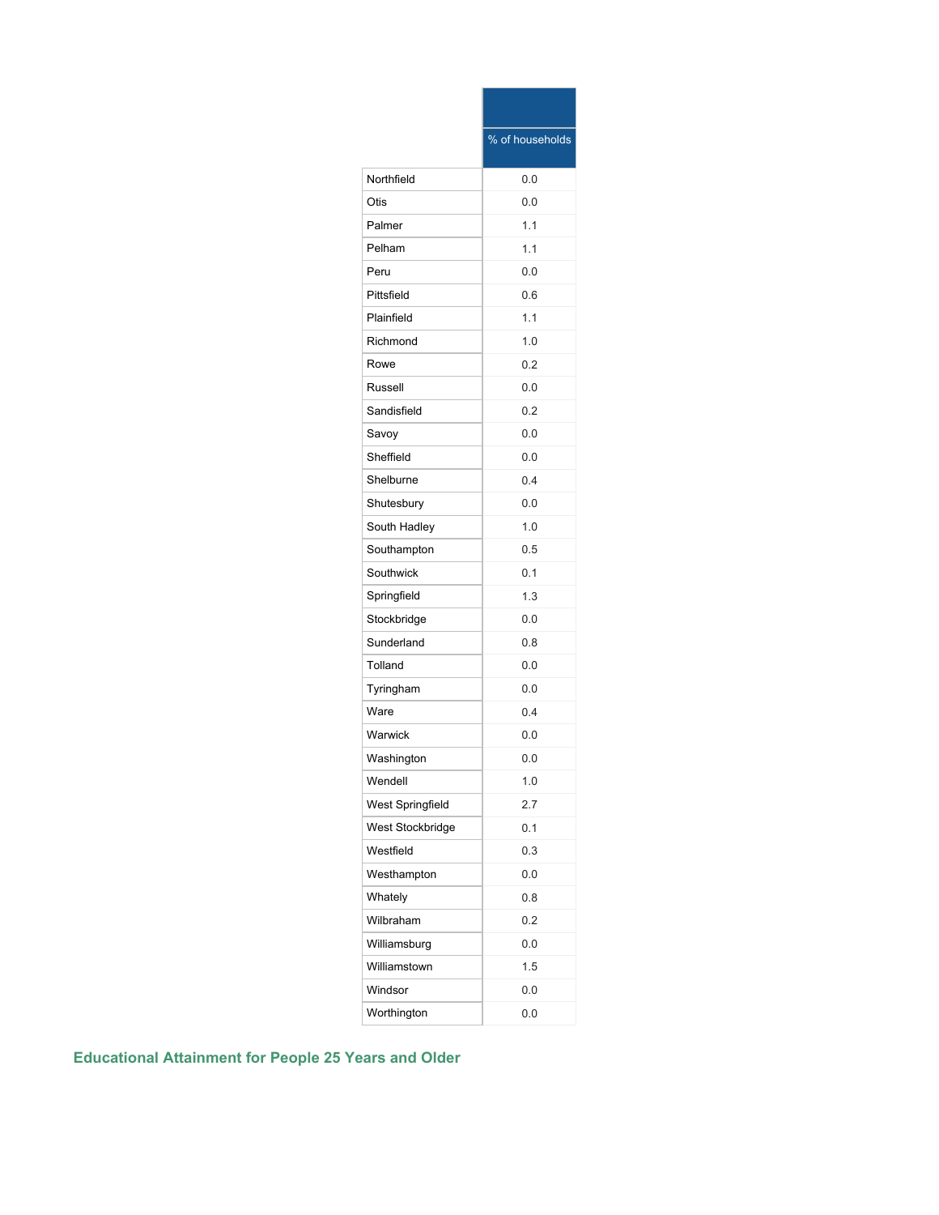|                         | % of households |
|-------------------------|-----------------|
| Northfield              | 0.0             |
| Otis                    | 0.0             |
| Palmer                  | 1.1             |
| Pelham                  | 1.1             |
| Peru                    | 0.0             |
| Pittsfield              | 0.6             |
| Plainfield              | 1.1             |
| Richmond                | 1.0             |
| Rowe                    | 0.2             |
| Russell                 | 0.0             |
| Sandisfield             | 0.2             |
| Savoy                   | 0.0             |
| Sheffield               | 0.0             |
| Shelburne               | 0.4             |
| Shutesbury              | 0.0             |
| South Hadley            | 1.0             |
| Southampton             | 0.5             |
| Southwick               | 0.1             |
| Springfield             | 1.3             |
| Stockbridge             | 0.0             |
| Sunderland              | 0.8             |
| Tolland                 | 0.0             |
| Tyringham               | 0.0             |
| Ware                    | 0.4             |
| Warwick                 | 0.0             |
| Washington              | 0.0             |
| Wendell                 | 1.0             |
| <b>West Springfield</b> | 2.7             |
| West Stockbridge        | 0.1             |
| Westfield               | 0.3             |
| Westhampton             | 0.0             |
| Whately                 | 0.8             |
| Wilbraham               | 0.2             |
| Williamsburg            | 0.0             |
| Williamstown            | 1.5             |
| Windsor                 | 0.0             |
| Worthington             | 0.0             |

**Educational Attainment for People 25 Years and Older**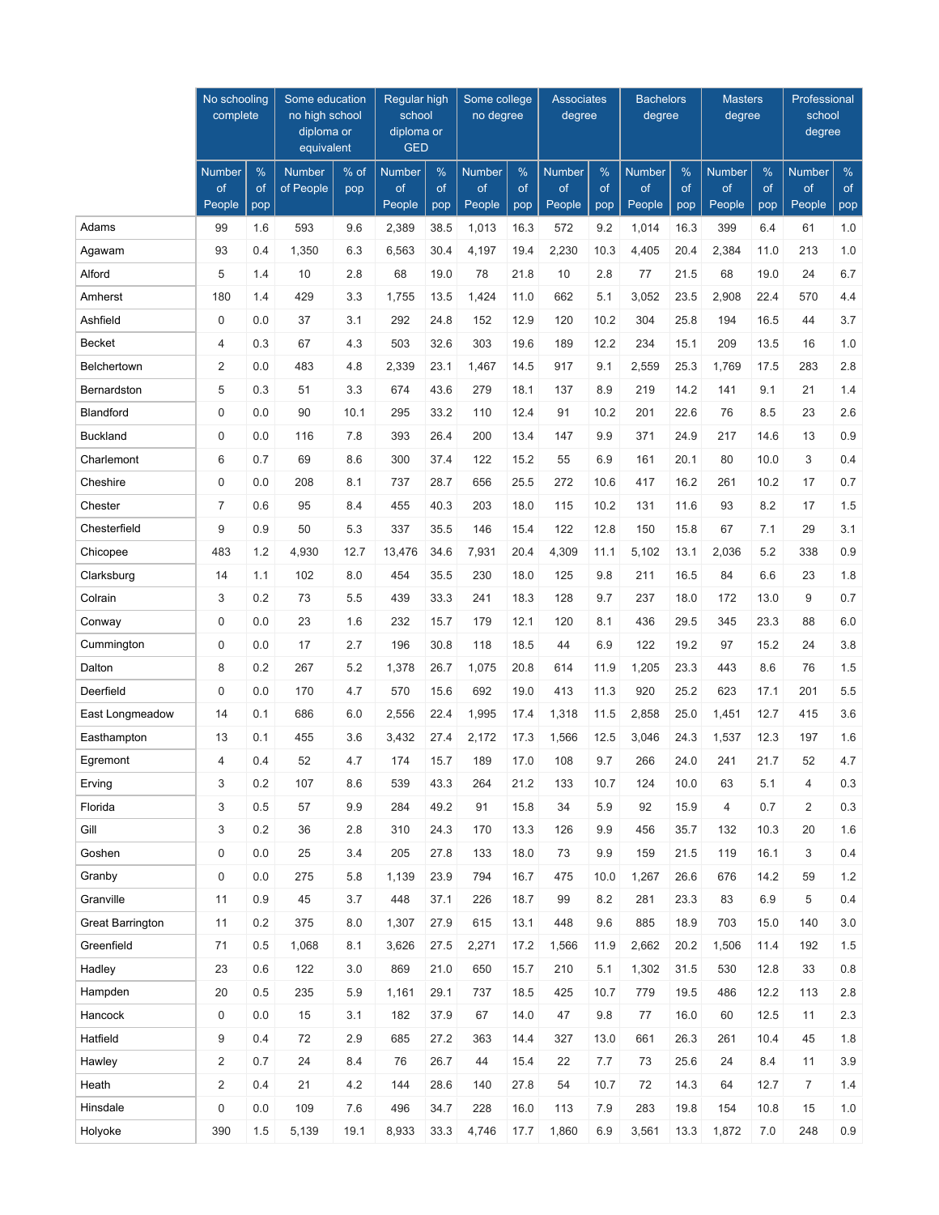|                         | No schooling<br>complete |           | Some education<br>no high school<br>diploma or<br>equivalent |      | Regular high<br>school<br>diploma or<br><b>GED</b> |           | Some college<br>no degree |           | <b>Associates</b><br>degree |           | <b>Bachelors</b><br>degree |           | <b>Masters</b><br>degree |           | Professional<br>school<br>degree |           |
|-------------------------|--------------------------|-----------|--------------------------------------------------------------|------|----------------------------------------------------|-----------|---------------------------|-----------|-----------------------------|-----------|----------------------------|-----------|--------------------------|-----------|----------------------------------|-----------|
|                         | Number                   | %         | <b>Number</b>                                                | % of | <b>Number</b>                                      | %         | Number                    | %         | <b>Number</b>               | %         | <b>Number</b>              | %         | <b>Number</b>            | %         | <b>Number</b>                    | $\%$      |
|                         | of<br>People             | of<br>pop | of People                                                    | pop  | of<br>People                                       | of<br>pop | of<br>People              | of<br>pop | of<br>People                | of<br>pop | of<br>People               | of<br>pop | of<br>People             | of<br>pop | of<br>People                     | of<br>pop |
| Adams                   | 99                       | 1.6       | 593                                                          | 9.6  | 2,389                                              | 38.5      | 1,013                     | 16.3      | 572                         | 9.2       | 1,014                      | 16.3      | 399                      | 6.4       | 61                               | 1.0       |
| Agawam                  | 93                       | 0.4       | 1,350                                                        | 6.3  | 6,563                                              | 30.4      | 4,197                     | 19.4      | 2,230                       | 10.3      | 4,405                      | 20.4      | 2,384                    | 11.0      | 213                              | 1.0       |
| Alford                  | 5                        | 1.4       | 10                                                           | 2.8  | 68                                                 | 19.0      | 78                        | 21.8      | 10                          | 2.8       | 77                         | 21.5      | 68                       | 19.0      | 24                               | 6.7       |
| Amherst                 | 180                      | 1.4       | 429                                                          | 3.3  | 1,755                                              | 13.5      | 1,424                     | 11.0      | 662                         | 5.1       | 3,052                      | 23.5      | 2,908                    | 22.4      | 570                              | 4.4       |
| Ashfield                | $\mathbf 0$              | 0.0       | 37                                                           | 3.1  | 292                                                | 24.8      | 152                       | 12.9      | 120                         | 10.2      | 304                        | 25.8      | 194                      | 16.5      | 44                               | 3.7       |
| <b>Becket</b>           | $\overline{4}$           | 0.3       | 67                                                           | 4.3  | 503                                                | 32.6      | 303                       | 19.6      | 189                         | 12.2      | 234                        | 15.1      | 209                      | 13.5      | 16                               | 1.0       |
| Belchertown             | $\overline{2}$           | 0.0       | 483                                                          | 4.8  | 2,339                                              | 23.1      | 1,467                     | 14.5      | 917                         | 9.1       | 2,559                      | 25.3      | 1,769                    | 17.5      | 283                              | 2.8       |
| Bernardston             | 5                        | 0.3       | 51                                                           | 3.3  | 674                                                | 43.6      | 279                       | 18.1      | 137                         | 8.9       | 219                        | 14.2      | 141                      | 9.1       | 21                               | 1.4       |
| <b>Blandford</b>        | 0                        | 0.0       | 90                                                           | 10.1 | 295                                                | 33.2      | 110                       | 12.4      | 91                          | 10.2      | 201                        | 22.6      | 76                       | 8.5       | 23                               | 2.6       |
| <b>Buckland</b>         | $\mathbf 0$              | 0.0       | 116                                                          | 7.8  | 393                                                | 26.4      | 200                       | 13.4      | 147                         | 9.9       | 371                        | 24.9      | 217                      | 14.6      | 13                               | 0.9       |
| Charlemont              | 6                        | 0.7       | 69                                                           | 8.6  | 300                                                | 37.4      | 122                       | 15.2      | 55                          | 6.9       | 161                        | 20.1      | 80                       | 10.0      | 3                                | 0.4       |
| Cheshire                | $\mathbf 0$              | 0.0       | 208                                                          | 8.1  | 737                                                | 28.7      | 656                       | 25.5      | 272                         | 10.6      | 417                        | 16.2      | 261                      | 10.2      | 17                               | 0.7       |
| Chester                 | $\overline{7}$           | 0.6       | 95                                                           | 8.4  | 455                                                | 40.3      | 203                       | 18.0      | 115                         | 10.2      | 131                        | 11.6      | 93                       | 8.2       | 17                               | 1.5       |
| Chesterfield            | 9                        | 0.9       | 50                                                           | 5.3  | 337                                                | 35.5      | 146                       | 15.4      | 122                         | 12.8      | 150                        | 15.8      | 67                       | 7.1       | 29                               | 3.1       |
| Chicopee                | 483                      | 1.2       | 4,930                                                        | 12.7 | 13,476                                             | 34.6      | 7,931                     | 20.4      | 4,309                       | 11.1      | 5,102                      | 13.1      | 2,036                    | 5.2       | 338                              | 0.9       |
| Clarksburg              | 14                       | 1.1       | 102                                                          | 8.0  | 454                                                | 35.5      | 230                       | 18.0      | 125                         | 9.8       | 211                        | 16.5      | 84                       | 6.6       | 23                               | 1.8       |
| Colrain                 | 3                        | 0.2       | 73                                                           | 5.5  | 439                                                | 33.3      | 241                       | 18.3      | 128                         | 9.7       | 237                        | 18.0      | 172                      | 13.0      | 9                                | 0.7       |
| Conway                  | $\mathbf 0$              | 0.0       | 23                                                           | 1.6  | 232                                                | 15.7      | 179                       | 12.1      | 120                         | 8.1       | 436                        | 29.5      | 345                      | 23.3      | 88                               | $6.0\,$   |
| Cummington              | $\mathbf 0$              | 0.0       | 17                                                           | 2.7  | 196                                                | 30.8      | 118                       | 18.5      | 44                          | 6.9       | 122                        | 19.2      | 97                       | 15.2      | 24                               | 3.8       |
| Dalton                  | 8                        | 0.2       | 267                                                          | 5.2  | 1,378                                              | 26.7      | 1,075                     | 20.8      | 614                         | 11.9      | 1,205                      | 23.3      | 443                      | 8.6       | 76                               | 1.5       |
| Deerfield               | $\mathbf 0$              | 0.0       | 170                                                          | 4.7  | 570                                                | 15.6      | 692                       | 19.0      | 413                         | 11.3      | 920                        | 25.2      | 623                      | 17.1      | 201                              | 5.5       |
| East Longmeadow         | 14                       | 0.1       | 686                                                          | 6.0  | 2,556                                              | 22.4      | 1,995                     | 17.4      | 1,318                       | 11.5      | 2,858                      | 25.0      | 1,451                    | 12.7      | 415                              | 3.6       |
| Easthampton             | 13                       | 0.1       | 455                                                          | 3.6  | 3,432                                              | 27.4      | 2,172                     | 17.3      | 1,566                       | 12.5      | 3,046                      | 24.3      | 1,537                    | 12.3      | 197                              | 1.6       |
| Egremont                | $\overline{4}$           | 0.4       | 52                                                           | 4.7  | 174                                                | 15.7      | 189                       | 17.0      | 108                         | 9.7       | 266                        | 24.0      | 241                      | 21.7      | 52                               | 4.7       |
| Erving                  | 3                        | 0.2       | 107                                                          | 8.6  | 539                                                | 43.3      | 264                       | 21.2      | 133                         | 10.7      | 124                        | 10.0      | 63                       | 5.1       | 4                                | 0.3       |
| Florida                 | 3                        | 0.5       | 57                                                           | 9.9  | 284                                                | 49.2      | 91                        | 15.8      | 34                          | 5.9       | 92                         | 15.9      | $\overline{4}$           | 0.7       | $\overline{2}$                   | 0.3       |
| Gill                    | 3                        | 0.2       | 36                                                           | 2.8  | 310                                                | 24.3      | 170                       | 13.3      | 126                         | 9.9       | 456                        | 35.7      | 132                      | 10.3      | 20                               | 1.6       |
| Goshen                  | $\mathbf 0$              | 0.0       | 25                                                           | 3.4  | 205                                                | 27.8      | 133                       | 18.0      | 73                          | 9.9       | 159                        | 21.5      | 119                      | 16.1      | 3                                | 0.4       |
| Granby                  | $\mathbf 0$              | 0.0       | 275                                                          | 5.8  | 1,139                                              | 23.9      | 794                       | 16.7      | 475                         | 10.0      | 1,267                      | 26.6      | 676                      | 14.2      | 59                               | 1.2       |
| Granville               | 11                       | 0.9       | 45                                                           | 3.7  | 448                                                | 37.1      | 226                       | 18.7      | 99                          | 8.2       | 281                        | 23.3      | 83                       | 6.9       | 5                                | 0.4       |
| <b>Great Barrington</b> | 11                       | 0.2       | 375                                                          | 8.0  | 1,307                                              | 27.9      | 615                       | 13.1      | 448                         | 9.6       | 885                        | 18.9      | 703                      | 15.0      | 140                              | 3.0       |
| Greenfield              | 71                       | 0.5       | 1,068                                                        | 8.1  | 3,626                                              | 27.5      | 2,271                     | 17.2      | 1,566                       | 11.9      | 2,662                      | 20.2      | 1,506                    | 11.4      | 192                              | 1.5       |
| Hadley                  | 23                       | 0.6       | 122                                                          | 3.0  | 869                                                | 21.0      | 650                       | 15.7      | 210                         | 5.1       | 1,302                      | 31.5      | 530                      | 12.8      | 33                               | $0.8\,$   |
| Hampden                 | 20                       | 0.5       | 235                                                          | 5.9  | 1,161                                              | 29.1      | 737                       | 18.5      | 425                         | 10.7      | 779                        | 19.5      | 486                      | 12.2      | 113                              | $2.8\,$   |
| Hancock                 | $\mathbf 0$              | 0.0       | 15                                                           | 3.1  | 182                                                | 37.9      | 67                        | 14.0      | 47                          | 9.8       | 77                         | 16.0      | 60                       | 12.5      | 11                               | 2.3       |
| Hatfield                | 9                        | 0.4       | 72                                                           | 2.9  | 685                                                | 27.2      | 363                       | 14.4      | 327                         | 13.0      | 661                        | 26.3      | 261                      | 10.4      | 45                               | 1.8       |
| Hawley                  | $\overline{2}$           | 0.7       | 24                                                           | 8.4  | 76                                                 | 26.7      | 44                        | 15.4      | 22                          | 7.7       | 73                         | 25.6      | 24                       | 8.4       | 11                               | 3.9       |
| Heath                   | 2                        | 0.4       | 21                                                           | 4.2  | 144                                                | 28.6      | 140                       | 27.8      | 54                          | 10.7      | 72                         | 14.3      | 64                       | 12.7      | $\overline{7}$                   | $1.4$     |
| Hinsdale                | $\mathbf 0$              | 0.0       | 109                                                          | 7.6  | 496                                                | 34.7      | 228                       | 16.0      | 113                         | 7.9       | 283                        | 19.8      | 154                      | 10.8      | 15                               | $1.0$     |
| Holyoke                 | 390                      | 1.5       | 5,139                                                        | 19.1 | 8,933                                              | 33.3      | 4,746                     | 17.7      | 1,860                       | 6.9       | 3,561                      | 13.3      | 1,872                    | 7.0       | 248                              | 0.9       |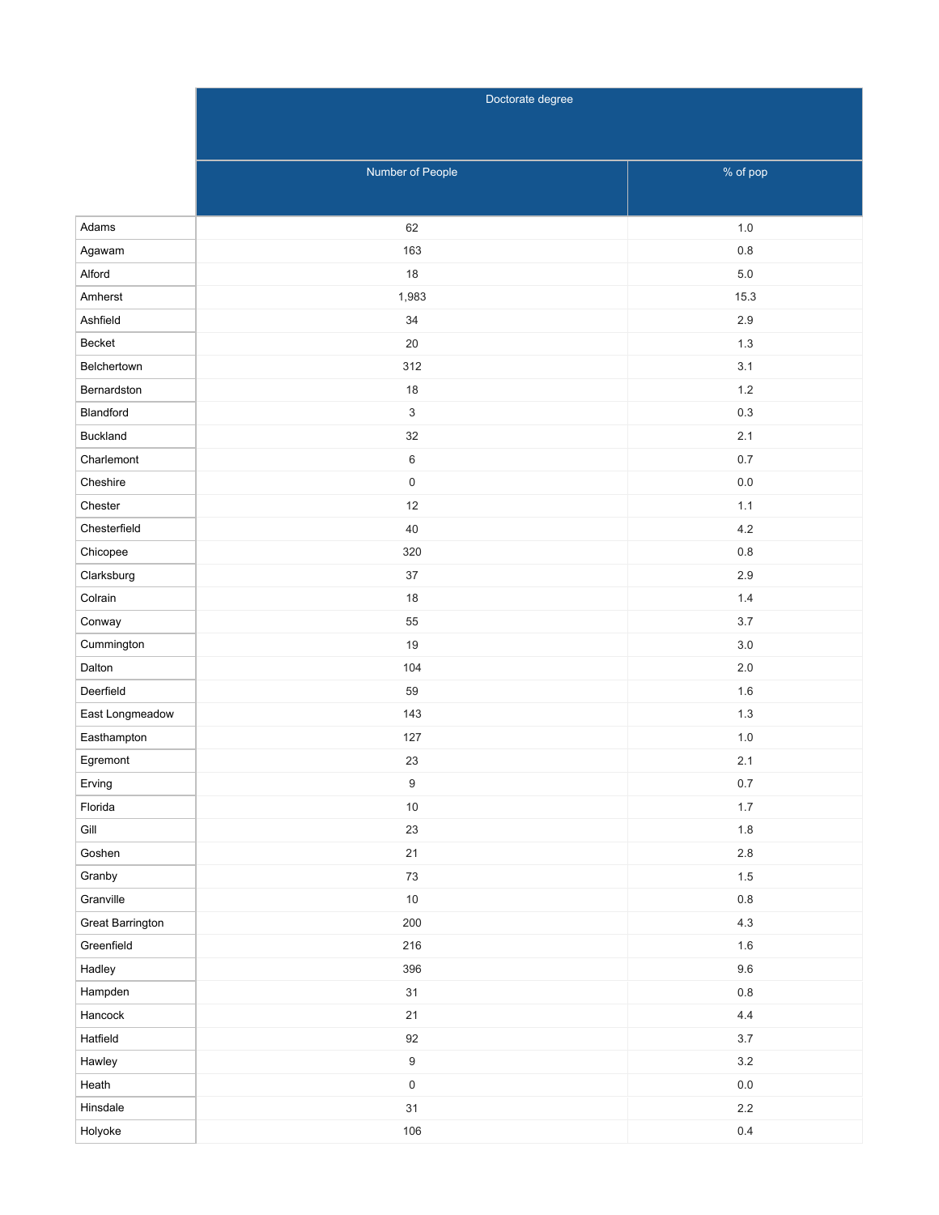|                  | Doctorate degree    |          |  |  |  |  |  |
|------------------|---------------------|----------|--|--|--|--|--|
|                  |                     |          |  |  |  |  |  |
|                  |                     |          |  |  |  |  |  |
|                  | Number of People    | % of pop |  |  |  |  |  |
|                  |                     |          |  |  |  |  |  |
| Adams            | 62                  | $1.0$    |  |  |  |  |  |
| Agawam           | 163                 | 0.8      |  |  |  |  |  |
| Alford           | 18                  | $5.0$    |  |  |  |  |  |
| Amherst          | 1,983               | 15.3     |  |  |  |  |  |
| Ashfield         | $34\,$              | 2.9      |  |  |  |  |  |
| Becket           | 20                  | 1.3      |  |  |  |  |  |
| Belchertown      | 312                 | 3.1      |  |  |  |  |  |
| Bernardston      | $18$                | $1.2\,$  |  |  |  |  |  |
| Blandford        | $\mathbf{3}$        | $0.3\,$  |  |  |  |  |  |
| <b>Buckland</b>  | 32                  | 2.1      |  |  |  |  |  |
| Charlemont       | $\,6\,$             | $0.7\,$  |  |  |  |  |  |
| Cheshire         | $\mathsf{O}\xspace$ | $0.0\,$  |  |  |  |  |  |
| Chester          | 12                  | 1.1      |  |  |  |  |  |
| Chesterfield     | 40                  | 4.2      |  |  |  |  |  |
| Chicopee         | 320                 | $0.8\,$  |  |  |  |  |  |
| Clarksburg       | 37                  | 2.9      |  |  |  |  |  |
| Colrain          | 18                  | $1.4$    |  |  |  |  |  |
| Conway           | 55                  | $3.7\,$  |  |  |  |  |  |
| Cummington       | 19                  | 3.0      |  |  |  |  |  |
| Dalton           | 104                 | $2.0\,$  |  |  |  |  |  |
| Deerfield        | 59                  | 1.6      |  |  |  |  |  |
| East Longmeadow  | 143                 | 1.3      |  |  |  |  |  |
| Easthampton      | 127                 | $1.0$    |  |  |  |  |  |
| Egremont         | 23                  | 2.1      |  |  |  |  |  |
| Erving           | $\boldsymbol{9}$    | $0.7\,$  |  |  |  |  |  |
| Florida          | $10\,$              | $1.7\,$  |  |  |  |  |  |
| $\mathsf{Gill}$  | 23                  | $1.8\,$  |  |  |  |  |  |
| Goshen           | 21                  | $2.8\,$  |  |  |  |  |  |
| Granby           | 73                  | $1.5\,$  |  |  |  |  |  |
| Granville        | $10\,$              | $0.8\,$  |  |  |  |  |  |
| Great Barrington | 200                 | $4.3\,$  |  |  |  |  |  |
| Greenfield       | 216                 | $1.6\,$  |  |  |  |  |  |
| Hadley           | 396                 | $9.6\,$  |  |  |  |  |  |
| Hampden          | 31                  | $0.8\,$  |  |  |  |  |  |
| Hancock          | 21                  | $4.4\,$  |  |  |  |  |  |
| Hatfield         | $92\,$              | $3.7\,$  |  |  |  |  |  |
| Hawley           | $\boldsymbol{9}$    | $3.2\,$  |  |  |  |  |  |
| Heath            | $\mathsf{O}\xspace$ | $0.0\,$  |  |  |  |  |  |
| Hinsdale         | 31                  | $2.2\,$  |  |  |  |  |  |
| Holyoke          | 106                 | $0.4\,$  |  |  |  |  |  |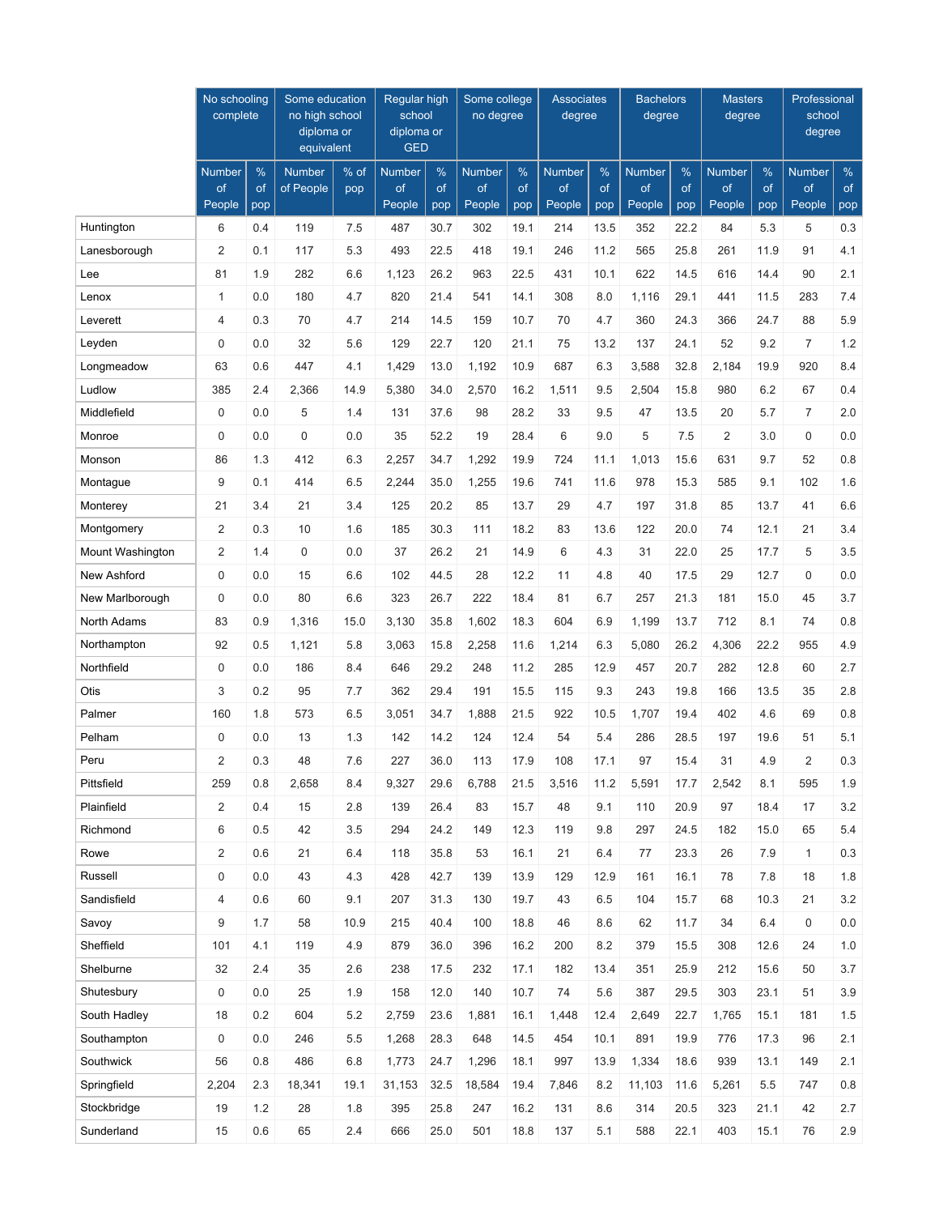|                  | No schooling<br>complete |           | Some education<br>no high school<br>diploma or<br>equivalent |      | Regular high<br>school<br>diploma or<br><b>GED</b> |           | Some college<br>no degree |           | <b>Associates</b><br>degree |           | <b>Bachelors</b><br>degree |           | <b>Masters</b><br>degree |           | Professional<br>school<br>degree |           |
|------------------|--------------------------|-----------|--------------------------------------------------------------|------|----------------------------------------------------|-----------|---------------------------|-----------|-----------------------------|-----------|----------------------------|-----------|--------------------------|-----------|----------------------------------|-----------|
|                  | Number                   | $\%$      | <b>Number</b>                                                | % of | <b>Number</b>                                      | %         | <b>Number</b>             | %         | <b>Number</b>               | $\%$      | <b>Number</b>              | %         | <b>Number</b>            | $\%$      | <b>Number</b>                    | %         |
|                  | of<br>People             | of<br>pop | of People                                                    | pop  | of<br>People                                       | of<br>pop | of<br>People              | of<br>pop | of<br>People                | of<br>pop | of<br>People               | of<br>pop | of<br>People             | of<br>pop | of<br>People                     | of<br>pop |
| Huntington       | 6                        | 0.4       | 119                                                          | 7.5  | 487                                                | 30.7      | 302                       | 19.1      | 214                         | 13.5      | 352                        | 22.2      | 84                       | 5.3       | 5                                | 0.3       |
| Lanesborough     | $\overline{2}$           | 0.1       | 117                                                          | 5.3  | 493                                                | 22.5      | 418                       | 19.1      | 246                         | 11.2      | 565                        | 25.8      | 261                      | 11.9      | 91                               | 4.1       |
| Lee              | 81                       | 1.9       | 282                                                          | 6.6  | 1,123                                              | 26.2      | 963                       | 22.5      | 431                         | 10.1      | 622                        | 14.5      | 616                      | 14.4      | 90                               | 2.1       |
| Lenox            | $\mathbf{1}$             | 0.0       | 180                                                          | 4.7  | 820                                                | 21.4      | 541                       | 14.1      | 308                         | 8.0       | 1,116                      | 29.1      | 441                      | 11.5      | 283                              | 7.4       |
| Leverett         | $\overline{4}$           | 0.3       | 70                                                           | 4.7  | 214                                                | 14.5      | 159                       | 10.7      | 70                          | 4.7       | 360                        | 24.3      | 366                      | 24.7      | 88                               | 5.9       |
| Leyden           | $\mathbf 0$              | 0.0       | 32                                                           | 5.6  | 129                                                | 22.7      | 120                       | 21.1      | 75                          | 13.2      | 137                        | 24.1      | 52                       | 9.2       | $\overline{7}$                   | $1.2$     |
| Longmeadow       | 63                       | 0.6       | 447                                                          | 4.1  | 1,429                                              | 13.0      | 1,192                     | 10.9      | 687                         | 6.3       | 3,588                      | 32.8      | 2,184                    | 19.9      | 920                              | 8.4       |
| Ludlow           | 385                      | 2.4       | 2,366                                                        | 14.9 | 5,380                                              | 34.0      | 2,570                     | 16.2      | 1,511                       | 9.5       | 2,504                      | 15.8      | 980                      | 6.2       | 67                               | 0.4       |
| Middlefield      | 0                        | 0.0       | 5                                                            | 1.4  | 131                                                | 37.6      | 98                        | 28.2      | 33                          | 9.5       | 47                         | 13.5      | 20                       | 5.7       | $\overline{7}$                   | 2.0       |
| Monroe           | $\mathbf 0$              | 0.0       | 0                                                            | 0.0  | 35                                                 | 52.2      | 19                        | 28.4      | 6                           | 9.0       | 5                          | 7.5       | $\overline{2}$           | 3.0       | $\mathbf 0$                      | 0.0       |
| Monson           | 86                       | 1.3       | 412                                                          | 6.3  | 2,257                                              | 34.7      | 1,292                     | 19.9      | 724                         | 11.1      | 1,013                      | 15.6      | 631                      | 9.7       | 52                               | 0.8       |
| Montague         | 9                        | 0.1       | 414                                                          | 6.5  | 2,244                                              | 35.0      | 1,255                     | 19.6      | 741                         | 11.6      | 978                        | 15.3      | 585                      | 9.1       | 102                              | 1.6       |
| Monterey         | 21                       | 3.4       | 21                                                           | 3.4  | 125                                                | 20.2      | 85                        | 13.7      | 29                          | 4.7       | 197                        | 31.8      | 85                       | 13.7      | 41                               | 6.6       |
| Montgomery       | $\overline{2}$           | 0.3       | 10                                                           | 1.6  | 185                                                | 30.3      | 111                       | 18.2      | 83                          | 13.6      | 122                        | 20.0      | 74                       | 12.1      | 21                               | 3.4       |
| Mount Washington | $\overline{2}$           | 1.4       | 0                                                            | 0.0  | 37                                                 | 26.2      | 21                        | 14.9      | 6                           | 4.3       | 31                         | 22.0      | 25                       | 17.7      | 5                                | 3.5       |
| New Ashford      | $\mathbf 0$              | 0.0       | 15                                                           | 6.6  | 102                                                | 44.5      | 28                        | 12.2      | 11                          | 4.8       | 40                         | 17.5      | 29                       | 12.7      | $\mathbf 0$                      | 0.0       |
| New Marlborough  | $\mathbf 0$              | 0.0       | 80                                                           | 6.6  | 323                                                | 26.7      | 222                       | 18.4      | 81                          | 6.7       | 257                        | 21.3      | 181                      | 15.0      | 45                               | 3.7       |
| North Adams      | 83                       | 0.9       | 1,316                                                        | 15.0 | 3,130                                              | 35.8      | 1,602                     | 18.3      | 604                         | 6.9       | 1,199                      | 13.7      | 712                      | 8.1       | 74                               | 0.8       |
| Northampton      | 92                       | 0.5       | 1,121                                                        | 5.8  | 3,063                                              | 15.8      | 2,258                     | 11.6      | 1,214                       | 6.3       | 5,080                      | 26.2      | 4,306                    | 22.2      | 955                              | 4.9       |
| Northfield       | $\mathbf 0$              | 0.0       | 186                                                          | 8.4  | 646                                                | 29.2      | 248                       | 11.2      | 285                         | 12.9      | 457                        | 20.7      | 282                      | 12.8      | 60                               | 2.7       |
| Otis             | 3                        | 0.2       | 95                                                           | 7.7  | 362                                                | 29.4      | 191                       | 15.5      | 115                         | 9.3       | 243                        | 19.8      | 166                      | 13.5      | 35                               | 2.8       |
| Palmer           | 160                      | 1.8       | 573                                                          | 6.5  | 3,051                                              | 34.7      | 1,888                     | 21.5      | 922                         | 10.5      | 1,707                      | 19.4      | 402                      | 4.6       | 69                               | 0.8       |
| Pelham           | $\mathbf 0$              | 0.0       | 13                                                           | 1.3  | 142                                                | 14.2      | 124                       | 12.4      | 54                          | 5.4       | 286                        | 28.5      | 197                      | 19.6      | 51                               | 5.1       |
| Peru             | $\overline{2}$           | 0.3       | 48                                                           | 7.6  | 227                                                | 36.0      | 113                       | 17.9      | 108                         | 17.1      | 97                         | 15.4      | 31                       | 4.9       | 2                                | 0.3       |
| Pittsfield       | 259                      | 0.8       | 2,658                                                        | 8.4  | 9,327                                              | 29.6      | 6,788                     | 21.5      | 3,516                       | 11.2      | 5,591                      | 17.7      | 2,542                    | 8.1       | 595                              | 1.9       |
| Plainfield       | $\overline{2}$           | 0.4       | 15                                                           | 2.8  | 139                                                | 26.4      | 83                        | 15.7      | 48                          | 9.1       | 110                        | 20.9      | 97                       | 18.4      | 17                               | $3.2\,$   |
| Richmond         | 6                        | 0.5       | 42                                                           | 3.5  | 294                                                | 24.2      | 149                       | 12.3      | 119                         | 9.8       | 297                        | 24.5      | 182                      | 15.0      | 65                               | 5.4       |
| Rowe             | $\overline{2}$           | 0.6       | 21                                                           | 6.4  | 118                                                | 35.8      | 53                        | 16.1      | 21                          | 6.4       | 77                         | 23.3      | 26                       | 7.9       | $\mathbf{1}$                     | 0.3       |
| Russell          | $\pmb{0}$                | 0.0       | 43                                                           | 4.3  | 428                                                | 42.7      | 139                       | 13.9      | 129                         | 12.9      | 161                        | 16.1      | 78                       | 7.8       | 18                               | 1.8       |
| Sandisfield      | 4                        | 0.6       | 60                                                           | 9.1  | 207                                                | 31.3      | 130                       | 19.7      | 43                          | 6.5       | 104                        | 15.7      | 68                       | 10.3      | 21                               | 3.2       |
| Savoy            | 9                        | 1.7       | 58                                                           | 10.9 | 215                                                | 40.4      | 100                       | 18.8      | 46                          | 8.6       | 62                         | 11.7      | 34                       | 6.4       | 0                                | 0.0       |
| Sheffield        | 101                      | 4.1       | 119                                                          | 4.9  | 879                                                | 36.0      | 396                       | 16.2      | 200                         | 8.2       | 379                        | 15.5      | 308                      | 12.6      | 24                               | 1.0       |
| Shelburne        | 32                       | 2.4       | 35                                                           | 2.6  | 238                                                | 17.5      | 232                       | 17.1      | 182                         | 13.4      | 351                        | 25.9      | 212                      | 15.6      | 50                               | $3.7\,$   |
| Shutesbury       | 0                        | 0.0       | 25                                                           | 1.9  | 158                                                | 12.0      | 140                       | 10.7      | 74                          | 5.6       | 387                        | 29.5      | 303                      | 23.1      | 51                               | 3.9       |
| South Hadley     | 18                       | 0.2       | 604                                                          | 5.2  | 2,759                                              | 23.6      | 1,881                     | 16.1      | 1,448                       | 12.4      | 2,649                      | 22.7      | 1,765                    | 15.1      | 181                              | 1.5       |
| Southampton      | 0                        | 0.0       | 246                                                          | 5.5  | 1,268                                              | 28.3      | 648                       | 14.5      | 454                         | 10.1      | 891                        | 19.9      | 776                      | 17.3      | 96                               | 2.1       |
| Southwick        | 56                       | 0.8       | 486                                                          | 6.8  | 1,773                                              | 24.7      | 1,296                     | 18.1      | 997                         | 13.9      | 1,334                      | 18.6      | 939                      | 13.1      | 149                              | 2.1       |
| Springfield      | 2,204                    | 2.3       | 18,341                                                       | 19.1 | 31,153                                             | 32.5      | 18,584                    | 19.4      | 7,846                       | 8.2       | 11,103                     | 11.6      | 5,261                    | 5.5       | 747                              | 0.8       |
| Stockbridge      | 19                       | 1.2       | 28                                                           | 1.8  | 395                                                | 25.8      | 247                       | 16.2      | 131                         | 8.6       | 314                        | 20.5      | 323                      | 21.1      | 42                               | 2.7       |
| Sunderland       | 15                       | 0.6       | 65                                                           | 2.4  | 666                                                | 25.0      | 501                       | 18.8      | 137                         | 5.1       | 588                        | 22.1      | 403                      | 15.1      | 76                               | 2.9       |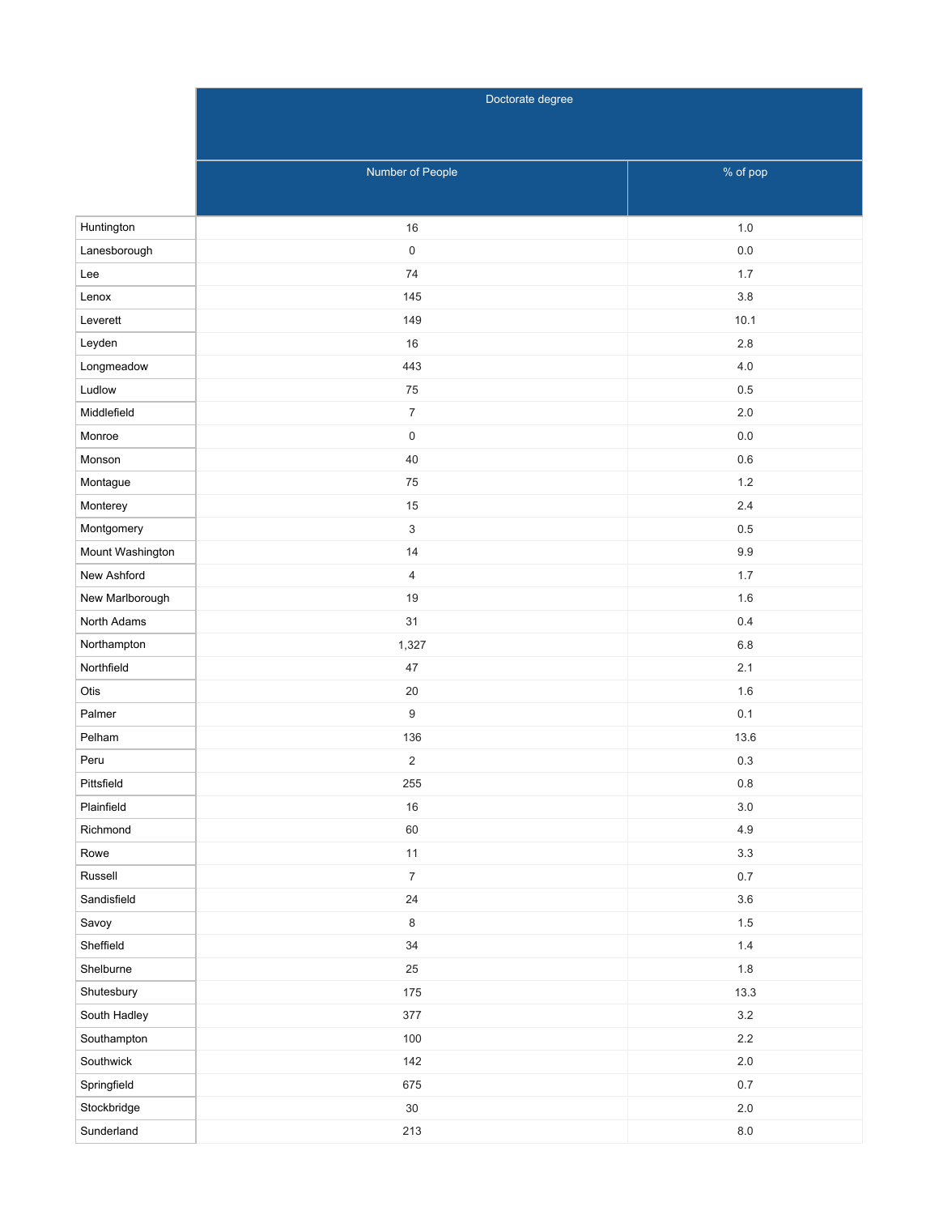|                  | Doctorate degree |           |  |  |  |  |  |
|------------------|------------------|-----------|--|--|--|--|--|
|                  |                  |           |  |  |  |  |  |
|                  |                  |           |  |  |  |  |  |
|                  | Number of People | % of pop  |  |  |  |  |  |
|                  |                  |           |  |  |  |  |  |
| Huntington       | 16               | $1.0$     |  |  |  |  |  |
| Lanesborough     | $\mathsf 0$      | $0.0\,$   |  |  |  |  |  |
| Lee              | 74               | 1.7       |  |  |  |  |  |
| Lenox            | 145              | 3.8       |  |  |  |  |  |
| Leverett         | 149              | 10.1      |  |  |  |  |  |
| Leyden           | 16               | 2.8       |  |  |  |  |  |
| Longmeadow       | 443              | 4.0       |  |  |  |  |  |
| Ludlow           | 75               | 0.5       |  |  |  |  |  |
| Middlefield      | $\overline{7}$   | 2.0       |  |  |  |  |  |
| Monroe           | $\mathbf 0$      | $0.0\,$   |  |  |  |  |  |
| Monson           | 40               | 0.6       |  |  |  |  |  |
| Montague         | 75               | $1.2\,$   |  |  |  |  |  |
| Monterey         | $15\,$           | $2.4$     |  |  |  |  |  |
| Montgomery       | $\mathfrak{Z}$   | 0.5       |  |  |  |  |  |
| Mount Washington | 14               | 9.9       |  |  |  |  |  |
| New Ashford      | $\overline{4}$   | 1.7       |  |  |  |  |  |
| New Marlborough  | 19               | 1.6       |  |  |  |  |  |
| North Adams      | 31               | 0.4       |  |  |  |  |  |
| Northampton      | 1,327            | 6.8       |  |  |  |  |  |
| Northfield       | 47               | 2.1       |  |  |  |  |  |
| Otis             | 20               | 1.6       |  |  |  |  |  |
| Palmer           | $\boldsymbol{9}$ | 0.1       |  |  |  |  |  |
| Pelham           | 136              | 13.6      |  |  |  |  |  |
| Peru             | $\overline{c}$   | 0.3       |  |  |  |  |  |
| Pittsfield       | 255              | $0.8\,$   |  |  |  |  |  |
| Plainfield       | $16\,$           | $3.0\,$   |  |  |  |  |  |
| Richmond         | 60               | $4.9\,$   |  |  |  |  |  |
| Rowe             | 11               | $3.3\,$   |  |  |  |  |  |
| Russell          | $\boldsymbol{7}$ | $0.7\,$   |  |  |  |  |  |
| Sandisfield      | 24               | $3.6\,$   |  |  |  |  |  |
| Savoy            | $\,8\,$          | $1.5\,$   |  |  |  |  |  |
| Sheffield        | $34\,$           | $1.4\,$   |  |  |  |  |  |
| Shelburne        | 25               | 1.8       |  |  |  |  |  |
| Shutesbury       | 175              | 13.3      |  |  |  |  |  |
| South Hadley     | 377              | $3.2\,$   |  |  |  |  |  |
| Southampton      | 100              | $2.2\,$   |  |  |  |  |  |
| Southwick        | 142              | $2.0$     |  |  |  |  |  |
| Springfield      | 675              | $0.7\,$   |  |  |  |  |  |
| Stockbridge      | $30\,$           | $2.0$     |  |  |  |  |  |
| Sunderland       | 213              | $\bf 8.0$ |  |  |  |  |  |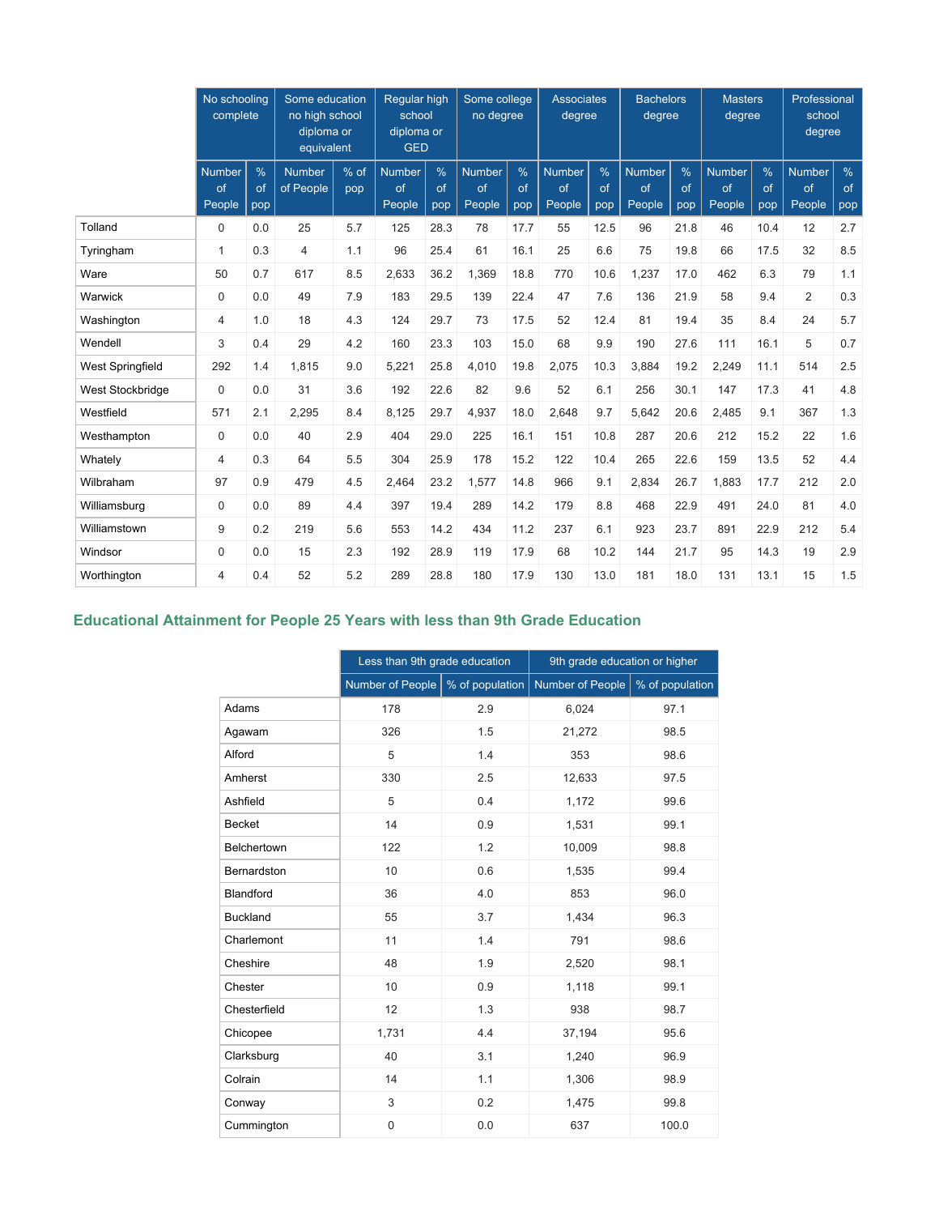|                  | No schooling<br>complete |                | Some education<br>no high school<br>diploma or<br>equivalent |             | Regular high<br>school<br>diploma or<br><b>GED</b> |                | Some college<br>no degree     |                            | <b>Associates</b><br>degree   |                | <b>Bachelors</b><br>degree    |                   | <b>Masters</b><br>degree      |                | Professional<br>school<br>degree |                   |
|------------------|--------------------------|----------------|--------------------------------------------------------------|-------------|----------------------------------------------------|----------------|-------------------------------|----------------------------|-------------------------------|----------------|-------------------------------|-------------------|-------------------------------|----------------|----------------------------------|-------------------|
|                  | Number<br>of<br>People   | %<br>of<br>pop | <b>Number</b><br>of People                                   | % of<br>pop | <b>Number</b><br>of<br>People                      | %<br>of<br>pop | <b>Number</b><br>of<br>People | $\frac{0}{0}$<br>of<br>pop | <b>Number</b><br>of<br>People | %<br>of<br>pop | <b>Number</b><br>of<br>People | $\%$<br>of<br>pop | <b>Number</b><br>of<br>People | %<br>of<br>pop | <b>Number</b><br>of<br>People    | $\%$<br>of<br>pop |
| Tolland          | $\mathbf 0$              | 0.0            | 25                                                           | 5.7         | 125                                                | 28.3           | 78                            | 17.7                       | 55                            | 12.5           | 96                            | 21.8              | 46                            | 10.4           | 12                               | 2.7               |
| Tyringham        | $\mathbf{1}$             | 0.3            | $\overline{4}$                                               | 1.1         | 96                                                 | 25.4           | 61                            | 16.1                       | 25                            | 6.6            | 75                            | 19.8              | 66                            | 17.5           | 32                               | 8.5               |
| Ware             | 50                       | 0.7            | 617                                                          | 8.5         | 2,633                                              | 36.2           | 1,369                         | 18.8                       | 770                           | 10.6           | 1,237                         | 17.0              | 462                           | 6.3            | 79                               | 1.1               |
| Warwick          | $\mathbf 0$              | 0.0            | 49                                                           | 7.9         | 183                                                | 29.5           | 139                           | 22.4                       | 47                            | 7.6            | 136                           | 21.9              | 58                            | 9.4            | $\overline{2}$                   | 0.3               |
| Washington       | $\overline{4}$           | 1.0            | 18                                                           | 4.3         | 124                                                | 29.7           | 73                            | 17.5                       | 52                            | 12.4           | 81                            | 19.4              | 35                            | 8.4            | 24                               | 5.7               |
| Wendell          | 3                        | 0.4            | 29                                                           | 4.2         | 160                                                | 23.3           | 103                           | 15.0                       | 68                            | 9.9            | 190                           | 27.6              | 111                           | 16.1           | 5                                | 0.7               |
| West Springfield | 292                      | 1.4            | 1.815                                                        | 9.0         | 5,221                                              | 25.8           | 4,010                         | 19.8                       | 2,075                         | 10.3           | 3,884                         | 19.2              | 2,249                         | 11.1           | 514                              | 2.5               |
| West Stockbridge | $\mathbf 0$              | 0.0            | 31                                                           | 3.6         | 192                                                | 22.6           | 82                            | 9.6                        | 52                            | 6.1            | 256                           | 30.1              | 147                           | 17.3           | 41                               | 4.8               |
| Westfield        | 571                      | 2.1            | 2,295                                                        | 8.4         | 8,125                                              | 29.7           | 4,937                         | 18.0                       | 2,648                         | 9.7            | 5,642                         | 20.6              | 2.485                         | 9.1            | 367                              | 1.3               |
| Westhampton      | $\mathbf 0$              | 0.0            | 40                                                           | 2.9         | 404                                                | 29.0           | 225                           | 16.1                       | 151                           | 10.8           | 287                           | 20.6              | 212                           | 15.2           | 22                               | 1.6               |
| Whately          | 4                        | 0.3            | 64                                                           | 5.5         | 304                                                | 25.9           | 178                           | 15.2                       | 122                           | 10.4           | 265                           | 22.6              | 159                           | 13.5           | 52                               | 4.4               |
| Wilbraham        | 97                       | 0.9            | 479                                                          | 4.5         | 2,464                                              | 23.2           | 1,577                         | 14.8                       | 966                           | 9.1            | 2,834                         | 26.7              | 1,883                         | 17.7           | 212                              | 2.0               |
| Williamsburg     | 0                        | 0.0            | 89                                                           | 4.4         | 397                                                | 19.4           | 289                           | 14.2                       | 179                           | 8.8            | 468                           | 22.9              | 491                           | 24.0           | 81                               | 4.0               |
| Williamstown     | 9                        | 0.2            | 219                                                          | 5.6         | 553                                                | 14.2           | 434                           | 11.2                       | 237                           | 6.1            | 923                           | 23.7              | 891                           | 22.9           | 212                              | 5.4               |
| Windsor          | $\mathbf 0$              | 0.0            | 15                                                           | 2.3         | 192                                                | 28.9           | 119                           | 17.9                       | 68                            | 10.2           | 144                           | 21.7              | 95                            | 14.3           | 19                               | 2.9               |
| Worthington      | 4                        | 0.4            | 52                                                           | 5.2         | 289                                                | 28.8           | 180                           | 17.9                       | 130                           | 13.0           | 181                           | 18.0              | 131                           | 13.1           | 15                               | 1.5               |

# **Educational Attainment for People 25 Years with less than 9th Grade Education**

|                    | Less than 9th grade education |                 | 9th grade education or higher |                 |  |  |
|--------------------|-------------------------------|-----------------|-------------------------------|-----------------|--|--|
|                    | Number of People              | % of population | Number of People              | % of population |  |  |
| Adams              | 178                           | 2.9             | 6,024                         | 97.1            |  |  |
| Agawam             | 326                           | 1.5             | 21,272                        | 98.5            |  |  |
| Alford             | 5                             | 1.4             | 353                           | 98.6            |  |  |
| Amherst            | 330                           | 2.5             | 12,633                        | 97.5            |  |  |
| Ashfield           | 5                             | 0.4             | 1,172                         | 99.6            |  |  |
| <b>Becket</b>      | 14                            | 0.9             | 1,531                         | 99.1            |  |  |
| <b>Belchertown</b> | 122                           | 1.2             | 10,009                        | 98.8            |  |  |
| Bernardston        | 10                            | 0.6             | 1,535                         | 99.4            |  |  |
| <b>Blandford</b>   | 36                            | 4.0             | 853                           | 96.0            |  |  |
| <b>Buckland</b>    | 55                            | 3.7             | 1,434                         | 96.3            |  |  |
| Charlemont         | 11                            | 1.4             | 791                           | 98.6            |  |  |
| Cheshire           | 48                            | 1.9             | 2,520                         | 98.1            |  |  |
| Chester            | 10                            | 0.9             | 1,118                         | 99.1            |  |  |
| Chesterfield       | 12                            | 1.3             | 938                           | 98.7            |  |  |
| Chicopee           | 1,731                         | 4.4             | 37,194                        | 95.6            |  |  |
| Clarksburg         | 40                            | 3.1             | 1,240                         | 96.9            |  |  |
| Colrain            | 14                            | 1.1             | 1,306                         | 98.9            |  |  |
| Conway             | 3                             | 0.2             | 1,475                         | 99.8            |  |  |
| Cummington         | $\mathbf 0$                   | 0.0             | 637                           | 100.0           |  |  |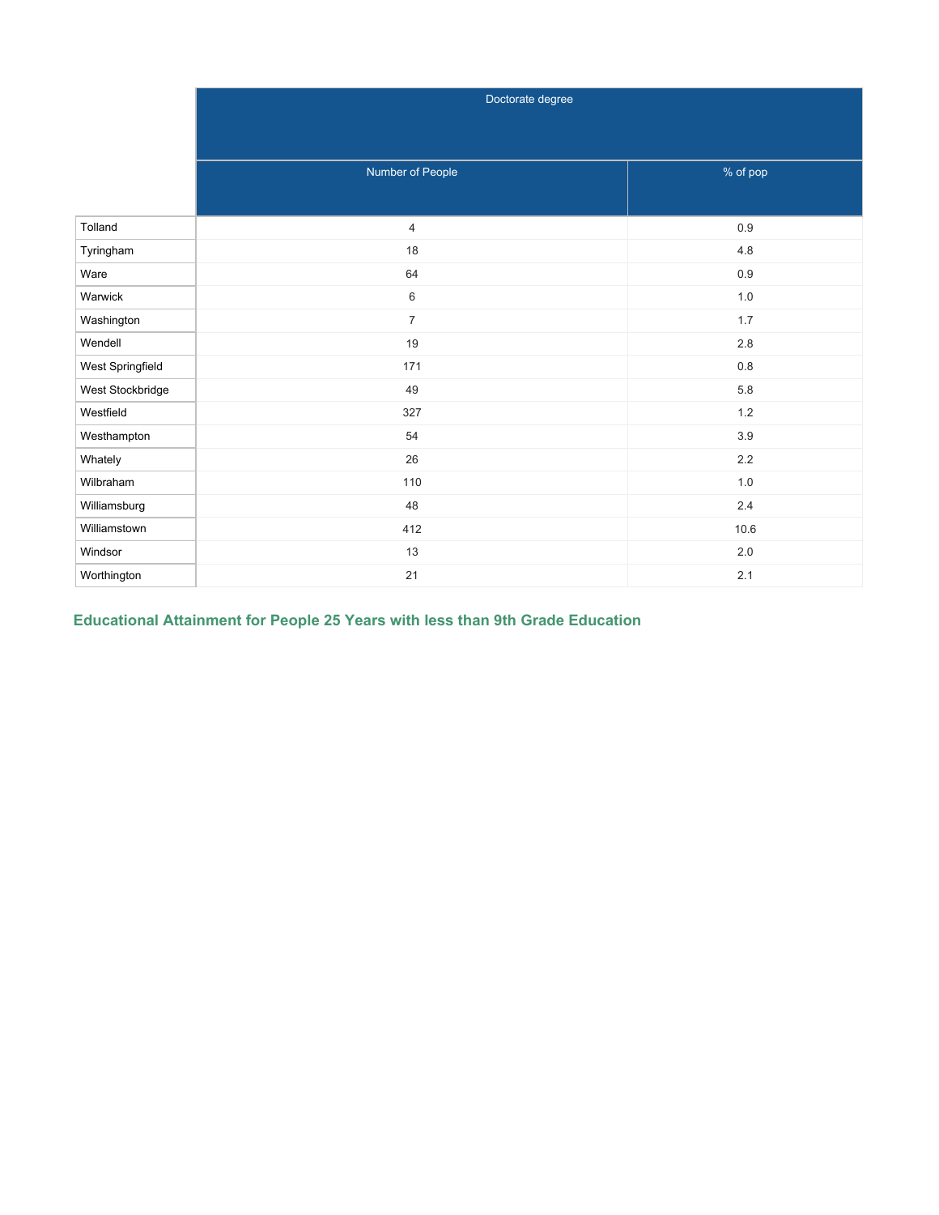|                  | Doctorate degree |          |
|------------------|------------------|----------|
|                  |                  |          |
|                  |                  |          |
|                  | Number of People | % of pop |
|                  |                  |          |
| Tolland          | $\overline{4}$   | $0.9\,$  |
| Tyringham        | 18               | $4.8\,$  |
| Ware             | 64               | 0.9      |
| Warwick          | 6                | $1.0\,$  |
| Washington       | $\overline{7}$   | $1.7\,$  |
| Wendell          | 19               | $2.8\,$  |
| West Springfield | 171              | $0.8\,$  |
| West Stockbridge | 49               | 5.8      |
| Westfield        | 327              | $1.2$    |
| Westhampton      | 54               | 3.9      |
| Whately          | 26               | $2.2\,$  |
| Wilbraham        | 110              | $1.0\,$  |
| Williamsburg     | 48               | $2.4\,$  |
| Williamstown     | 412              | 10.6     |
| Windsor          | 13               | $2.0\,$  |
| Worthington      | 21               | 2.1      |

# **Educational Attainment for People 25 Years with less than 9th Grade Education**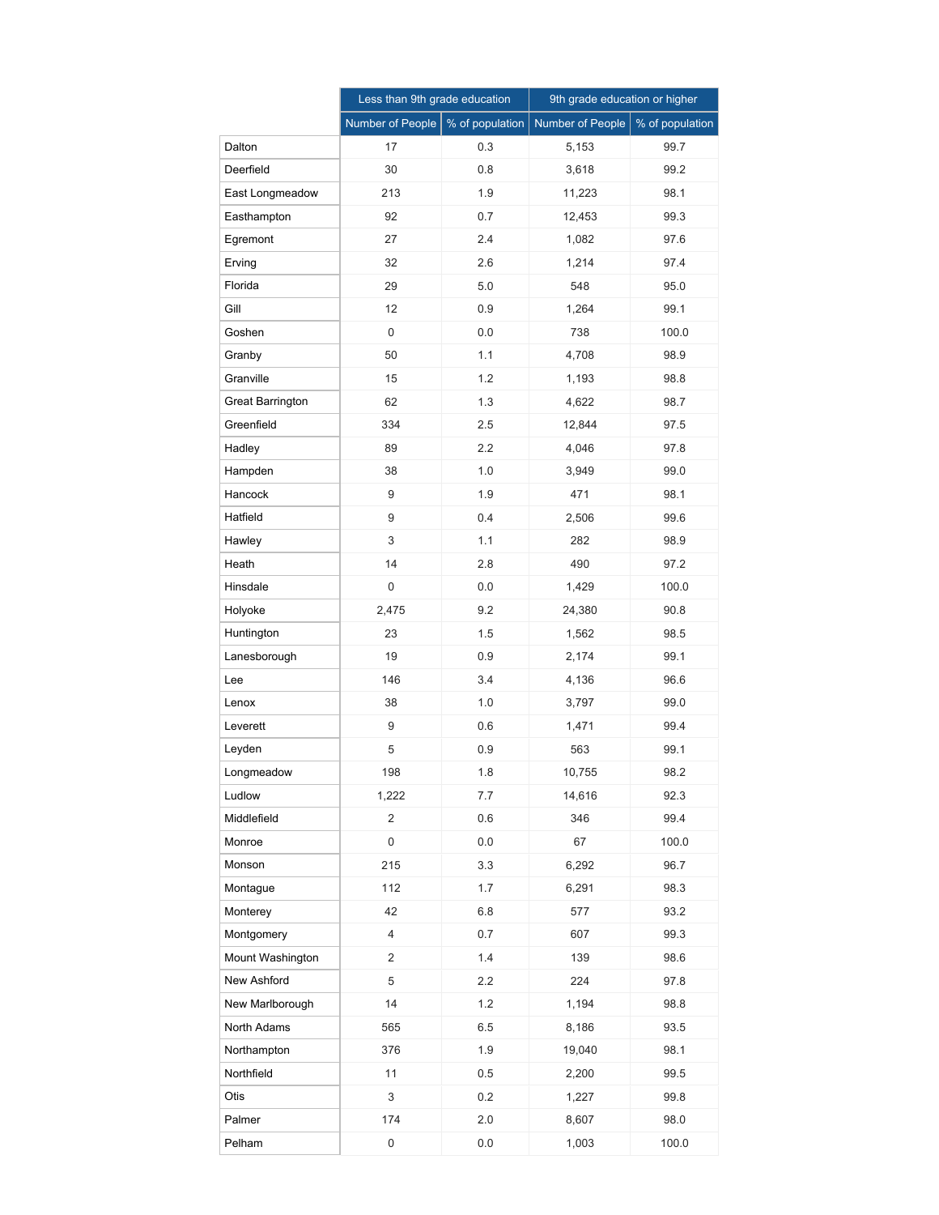|                         | Less than 9th grade education |                 | 9th grade education or higher |                 |  |
|-------------------------|-------------------------------|-----------------|-------------------------------|-----------------|--|
|                         | Number of People              | % of population | Number of People              | % of population |  |
| Dalton                  | 17                            | 0.3             | 5,153                         | 99.7            |  |
| Deerfield               | 30                            | 0.8             | 3,618                         | 99.2            |  |
| East Longmeadow         | 213                           | 1.9             | 11,223                        | 98.1            |  |
| Easthampton             | 92                            | 0.7             | 12,453                        | 99.3            |  |
| Egremont                | 27                            | 2.4             | 1,082                         | 97.6            |  |
| Erving                  | 32                            | 2.6             | 1,214                         | 97.4            |  |
| Florida                 | 29                            | 5.0             | 548                           | 95.0            |  |
| Gill                    | 12                            | 0.9             | 1,264                         | 99.1            |  |
| Goshen                  | $\mathbf 0$                   | 0.0             | 738                           | 100.0           |  |
| Granby                  | 50                            | 1.1             | 4,708                         | 98.9            |  |
| Granville               | 15                            | 1.2             | 1,193                         | 98.8            |  |
| <b>Great Barrington</b> | 62                            | 1.3             | 4,622                         | 98.7            |  |
| Greenfield              | 334                           | 2.5             | 12,844                        | 97.5            |  |
| Hadley                  | 89                            | 2.2             | 4,046                         | 97.8            |  |
| Hampden                 | 38                            | 1.0             | 3,949                         | 99.0            |  |
| Hancock                 | 9                             | 1.9             | 471                           | 98.1            |  |
| Hatfield                | 9                             | 0.4             | 2,506                         | 99.6            |  |
| Hawley                  | 3                             | 1.1             | 282                           | 98.9            |  |
| Heath                   | 14                            | 2.8             | 490                           | 97.2            |  |
| Hinsdale                | 0                             | 0.0             | 1,429                         | 100.0           |  |
| Holyoke                 | 2,475                         | 9.2             | 24,380                        | 90.8            |  |
| Huntington              | 23                            | 1.5             | 1,562                         | 98.5            |  |
| Lanesborough            | 19                            | 0.9             | 2,174                         | 99.1            |  |
| Lee                     | 146                           | 3.4             | 4,136                         | 96.6            |  |
| Lenox                   | 38                            | 1.0             | 3,797                         | 99.0            |  |
| Leverett                | 9                             | 0.6             | 1,471                         | 99.4            |  |
| Leyden                  | 5                             | 0.9             | 563                           | 99.1            |  |
| Longmeadow              | 198                           | 1.8             | 10,755                        | 98.2            |  |
| Ludlow                  | 1,222                         | 7.7             | 14,616                        | 92.3            |  |
| Middlefield             | $\overline{2}$                | 0.6             | 346                           | 99.4            |  |
| Monroe                  | $\mathsf 0$                   | 0.0             | 67                            | 100.0           |  |
| Monson                  | 215                           | 3.3             | 6,292                         | 96.7            |  |
| Montague                | 112                           | 1.7             | 6,291                         | 98.3            |  |
| Monterey                | 42                            | 6.8             | 577                           | 93.2            |  |
| Montgomery              | $\overline{4}$                | 0.7             | 607                           | 99.3            |  |
| Mount Washington        | $\overline{2}$                | 1.4             | 139                           | 98.6            |  |
| New Ashford             | 5                             | 2.2             | 224                           | 97.8            |  |
| New Marlborough         | 14                            | 1.2             | 1,194                         | 98.8            |  |
| North Adams             | 565                           | 6.5             | 8,186                         | 93.5            |  |
| Northampton             | 376                           | 1.9             | 19,040                        | 98.1            |  |
| Northfield              | 11                            | 0.5             | 2,200                         | 99.5            |  |
| Otis                    | 3                             | 0.2             | 1,227                         | 99.8            |  |
| Palmer                  | 174                           | 2.0             | 8,607                         | 98.0            |  |
| Pelham                  | $\pmb{0}$                     | 0.0             | 1,003                         | 100.0           |  |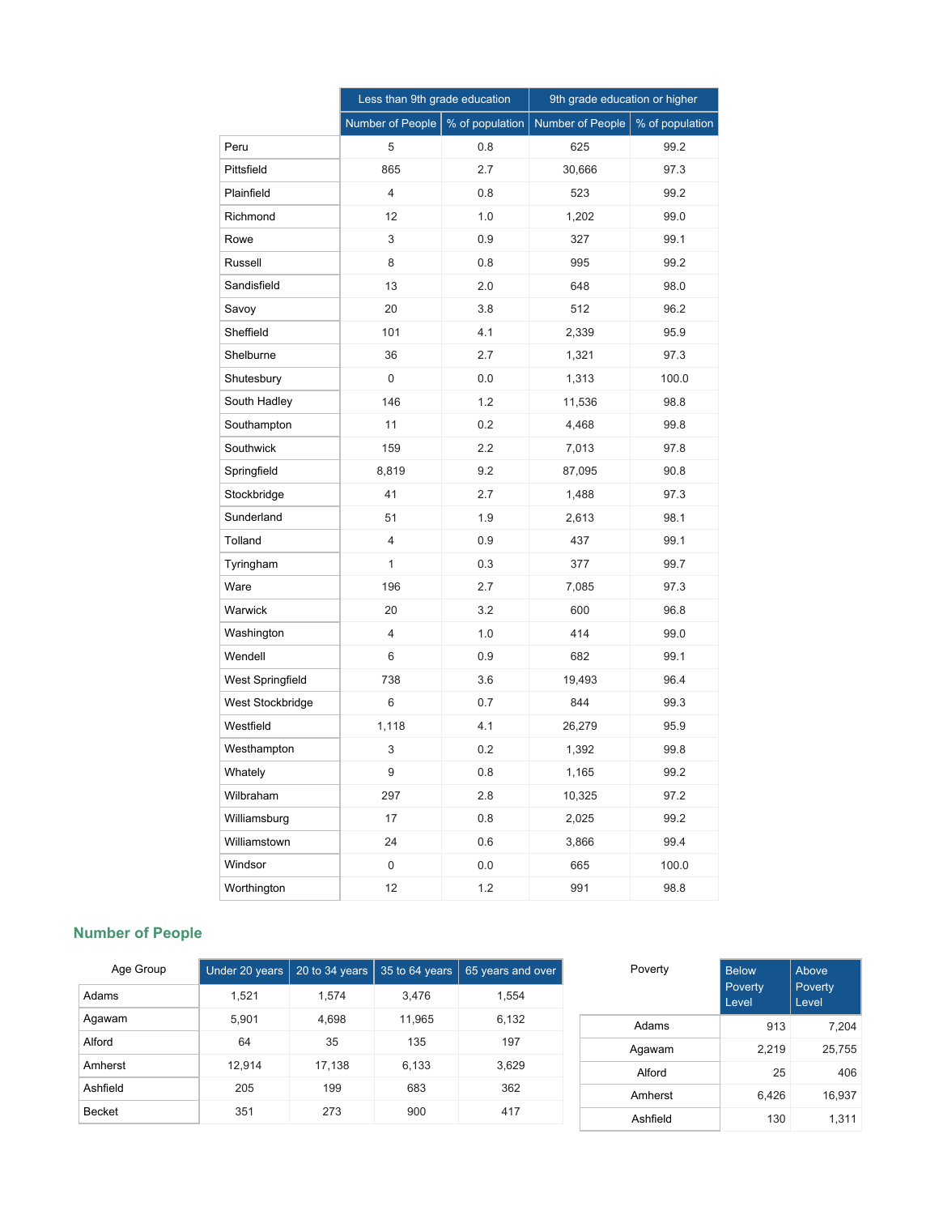|                  | Less than 9th grade education |                 | 9th grade education or higher |                 |
|------------------|-------------------------------|-----------------|-------------------------------|-----------------|
|                  | Number of People              | % of population | <b>Number of People</b>       | % of population |
| Peru             | 5                             | 0.8             | 625                           | 99.2            |
| Pittsfield       | 865                           | 2.7             | 30,666                        | 97.3            |
| Plainfield       | 4                             | 0.8             | 523                           | 99.2            |
| Richmond         | 12                            | 1.0             | 1,202                         | 99.0            |
| Rowe             | 3                             | 0.9             | 327                           | 99.1            |
| Russell          | 8                             | 0.8             | 995                           | 99.2            |
| Sandisfield      | 13                            | 2.0             | 648                           | 98.0            |
| Savoy            | 20                            | 3.8             | 512                           | 96.2            |
| Sheffield        | 101                           | 4.1             | 2,339                         | 95.9            |
| Shelburne        | 36                            | 2.7             | 1,321                         | 97.3            |
| Shutesbury       | 0                             | 0.0             | 1,313                         | 100.0           |
| South Hadley     | 146                           | 1.2             | 11,536                        | 98.8            |
| Southampton      | 11                            | 0.2             | 4,468                         | 99.8            |
| Southwick        | 159                           | 2.2             | 7,013                         | 97.8            |
| Springfield      | 8,819                         | 9.2             | 87,095                        | 90.8            |
| Stockbridge      | 41                            | 2.7             | 1,488                         | 97.3            |
| Sunderland       | 51                            | 1.9             | 2,613                         | 98.1            |
| Tolland          | 4                             | 0.9             | 437                           | 99.1            |
| Tyringham        | $\mathbf{1}$                  | 0.3             | 377                           | 99.7            |
| Ware             | 196                           | 2.7             | 7,085                         | 97.3            |
| Warwick          | 20                            | 3.2             | 600                           | 96.8            |
| Washington       | $\overline{4}$                | 1.0             | 414                           | 99.0            |
| Wendell          | 6                             | 0.9             | 682                           | 99.1            |
| West Springfield | 738                           | 3.6             | 19,493                        | 96.4            |
| West Stockbridge | 6                             | 0.7             | 844                           | 99.3            |
| Westfield        | 1,118                         | 4.1             | 26,279                        | 95.9            |
| Westhampton      | 3                             | 0.2             | 1,392                         | 99.8            |
| Whately          | 9                             | 0.8             | 1,165                         | 99.2            |
| Wilbraham        | 297                           | 2.8             | 10,325                        | 97.2            |
| Williamsburg     | 17                            | 0.8             | 2,025                         | 99.2            |
| Williamstown     | 24                            | 0.6             | 3,866                         | 99.4            |
| Windsor          | 0                             | 0.0             | 665                           | 100.0           |
| Worthington      | 12                            | 1.2             | 991                           | 98.8            |

## **Number of People**

| Age Group     | Under 20 years | 20 to $34$ years | 35 to 64 years | 65 years and over |
|---------------|----------------|------------------|----------------|-------------------|
| Adams         | 1,521          | 1.574            | 3,476          | 1,554             |
| Agawam        | 5,901          | 4,698            | 11,965         | 6,132             |
| Alford        | 64             | 35               | 135            | 197               |
| Amherst       | 12,914         | 17,138           | 6,133          | 3,629             |
| Ashfield      | 205            | 199              | 683            | 362               |
| <b>Becket</b> | 351            | 273              | 900            | 417               |

| Poverty  | <b>Below</b><br>Poverty<br>Level | Above<br>Poverty<br>Level |
|----------|----------------------------------|---------------------------|
| Adams    | 913                              | 7,204                     |
| Agawam   | 2,219                            | 25,755                    |
| Alford   | 25                               | 406                       |
| Amherst  | 6,426                            | 16,937                    |
| Ashfield | 130                              | 1,311                     |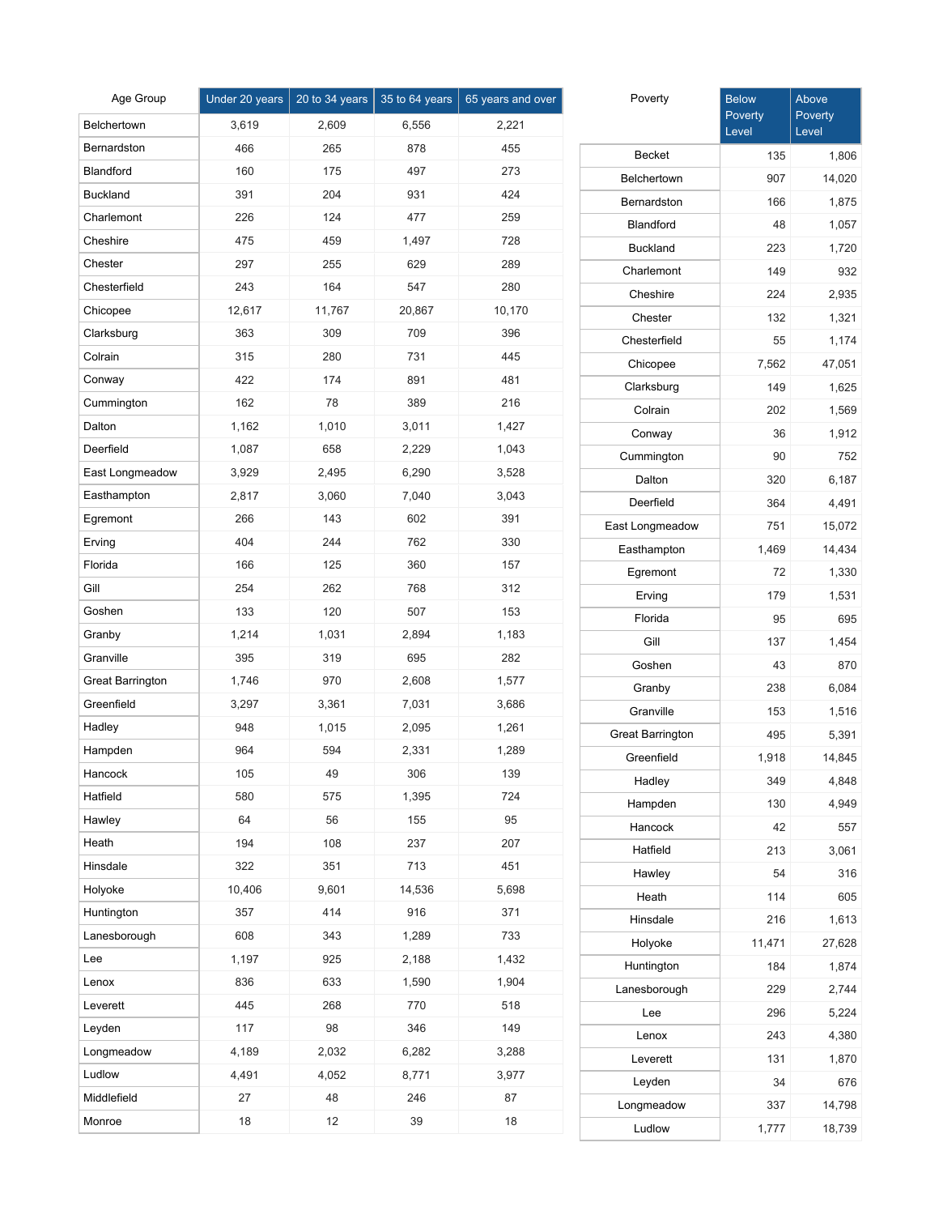| Age Group        | Under 20 years | 20 to 34 years | 35 to 64 years | 65 years and over |
|------------------|----------------|----------------|----------------|-------------------|
| Belchertown      | 3,619          | 2,609          | 6,556          | 2,221             |
| Bernardston      | 466            | 265            | 878            | 455               |
| Blandford        | 160            | 175            | 497            | 273               |
| <b>Buckland</b>  | 391            | 204            | 931            | 424               |
| Charlemont       | 226            | 124            | 477            | 259               |
| Cheshire         | 475            | 459            | 1,497          | 728               |
| Chester          | 297            | 255            | 629            | 289               |
| Chesterfield     | 243            | 164            | 547            | 280               |
| Chicopee         | 12,617         | 11,767         | 20,867         | 10,170            |
| Clarksburg       | 363            | 309            | 709            | 396               |
| Colrain          | 315            | 280            | 731            | 445               |
| Conway           | 422            | 174            | 891            | 481               |
| Cummington       | 162            | 78             | 389            | 216               |
| Dalton           | 1,162          | 1,010          | 3,011          | 1,427             |
| Deerfield        | 1,087          | 658            | 2,229          | 1,043             |
| East Longmeadow  | 3,929          | 2,495          | 6,290          | 3,528             |
| Easthampton      | 2,817          | 3,060          | 7,040          | 3,043             |
| Egremont         | 266            | 143            | 602            | 391               |
| Erving           | 404            | 244            | 762            | 330               |
| Florida          | 166            | 125            | 360            | 157               |
| Gill             | 254            | 262            | 768            | 312               |
| Goshen           | 133            | 120            | 507            | 153               |
| Granby           | 1,214          | 1,031          | 2,894          | 1,183             |
| Granville        | 395            | 319            | 695            | 282               |
| Great Barrington | 1,746          | 970            | 2,608          | 1,577             |
| Greenfield       | 3,297          | 3,361          | 7,031          | 3,686             |
| Hadley           | 948            | 1,015          | 2,095          | 1,261             |
| Hampden          | 964            | 594            | 2,331          | 1,289             |
| Hancock          | 105            | 49             | 306            | 139               |
| Hatfield         | 580            | 575            | 1,395          | 724               |
| Hawley           | 64             | 56             | 155            | 95                |
| Heath            | 194            | 108            | 237            | 207               |
| Hinsdale         | 322            | 351            | 713            | 451               |
| Holyoke          | 10,406         | 9,601          | 14,536         | 5,698             |
| Huntington       | 357            | 414            | 916            | 371               |
| Lanesborough     | 608            | 343            | 1,289          | 733               |
| Lee              | 1,197          | 925            | 2,188          | 1,432             |
| Lenox            | 836            | 633            | 1,590          | 1,904             |
| Leverett         | 445            | 268            | 770            | 518               |
| Leyden           | 117            | 98             | 346            | 149               |
| Longmeadow       | 4,189          | 2,032          | 6,282          | 3,288             |
| Ludlow           | 4,491          | 4,052          | 8,771          | 3,977             |
| Middlefield      | 27             | 48             | 246            | 87                |
| Monroe           | 18             | 12             | 39             | 18                |

| Poverty                 | <b>Below</b><br>Poverty<br>Level | Above<br>Poverty<br>Level |
|-------------------------|----------------------------------|---------------------------|
| <b>Becket</b>           | 135                              | 1,806                     |
| Belchertown             | 907                              | 14,020                    |
| Bernardston             | 166                              | 1,875                     |
| Blandford               | 48                               | 1,057                     |
| <b>Buckland</b>         | 223                              | 1,720                     |
| Charlemont              | 149                              | 932                       |
| Cheshire                | 224                              | 2,935                     |
| Chester                 | 132                              | 1,321                     |
| Chesterfield            | 55                               | 1,174                     |
| Chicopee                | 7,562                            | 47,051                    |
| Clarksburg              | 149                              | 1,625                     |
| Colrain                 | 202                              | 1,569                     |
| Conway                  | 36                               | 1,912                     |
| Cummington              | 90                               | 752                       |
| Dalton                  | 320                              | 6,187                     |
| Deerfield               | 364                              | 4,491                     |
| East Longmeadow         | 751                              | 15,072                    |
| Easthampton             | 1,469                            | 14,434                    |
| Egremont                | 72                               | 1,330                     |
| Erving                  | 179                              | 1,531                     |
| Florida                 | 95                               | 695                       |
| Gill                    | 137                              | 1,454                     |
| Goshen                  | 43                               | 870                       |
| Granby                  | 238                              | 6,084                     |
| Granville               | 153                              | 1,516                     |
| <b>Great Barrington</b> | 495                              | 5,391                     |
| Greenfield              | 1,918                            | 14,845                    |
| Hadley                  | 349                              | 4,848                     |
| Hampden                 | 130                              | 4,949                     |
| Hancock                 | 42                               | 557                       |
| Hatfield                | 213                              | 3,061                     |
| Hawley                  | 54                               | 316                       |
| Heath                   | 114                              | 605                       |
| Hinsdale                | 216                              | 1,613                     |
| Holyoke                 | 11,471                           | 27,628                    |
| Huntington              | 184                              | 1,874                     |
| Lanesborough            | 229                              | 2,744                     |
| Lee                     | 296                              | 5,224                     |
| Lenox                   | 243                              | 4,380                     |
| Leverett                | 131                              | 1,870                     |
| Leyden                  | 34                               | 676                       |
| Longmeadow              | 337                              | 14,798                    |
| Ludlow                  | 1,777                            | 18,739                    |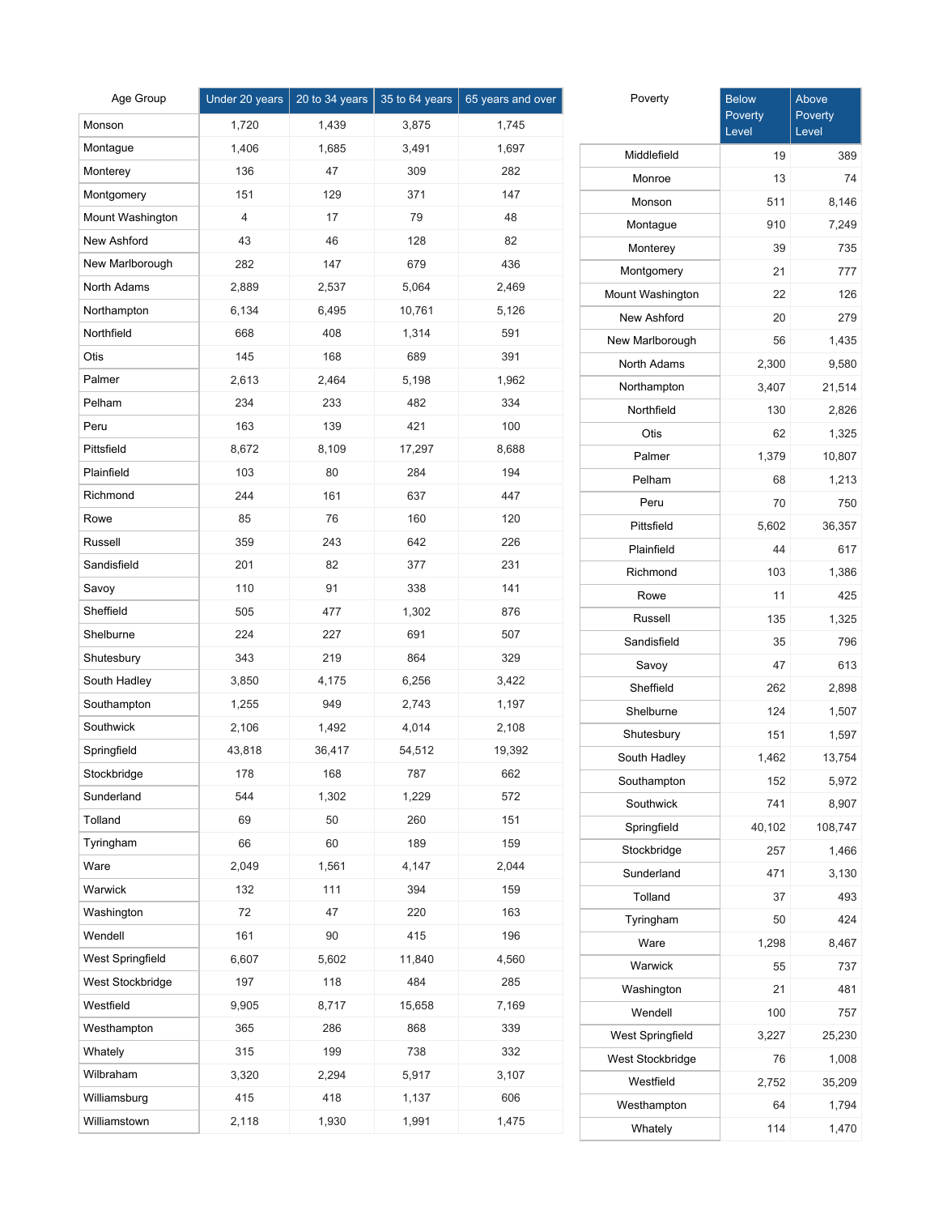| Age Group               | Under 20 years | 20 to 34 years | 35 to 64 years | 65 years and over |
|-------------------------|----------------|----------------|----------------|-------------------|
| Monson                  | 1,720          | 1,439          | 3,875          | 1,745             |
| Montague                | 1,406          | 1,685          | 3,491          | 1,697             |
| Monterey                | 136            | 47             | 309            | 282               |
| Montgomery              | 151            | 129            | 371            | 147               |
| Mount Washington        | 4              | 17             | 79             | 48                |
| <b>New Ashford</b>      | 43             | 46             | 128            | 82                |
| New Marlborough         | 282            | 147            | 679            | 436               |
| North Adams             | 2,889          | 2,537          | 5,064          | 2,469             |
| Northampton             | 6,134          | 6,495          | 10,761         | 5,126             |
| Northfield              | 668            | 408            | 1,314          | 591               |
| Otis                    | 145            | 168            | 689            | 391               |
| Palmer                  | 2,613          | 2,464          | 5,198          | 1,962             |
| Pelham                  | 234            | 233            | 482            | 334               |
| Peru                    | 163            | 139            | 421            | 100               |
| Pittsfield              | 8,672          | 8,109          | 17,297         | 8,688             |
| Plainfield              | 103            | 80             | 284            | 194               |
| Richmond                | 244            | 161            | 637            | 447               |
| Rowe                    | 85             | 76             | 160            | 120               |
| Russell                 | 359            | 243            | 642            | 226               |
| Sandisfield             | 201            | 82             | 377            | 231               |
| Savoy                   | 110            | 91             | 338            | 141               |
| Sheffield               | 505            | 477            | 1,302          | 876               |
| Shelburne               | 224            | 227            | 691            | 507               |
| Shutesbury              | 343            | 219            | 864            | 329               |
| South Hadley            | 3,850          | 4,175          | 6,256          | 3,422             |
| Southampton             | 1,255          | 949            | 2,743          | 1,197             |
| Southwick               | 2,106          | 1,492          | 4,014          | 2,108             |
| Springfield             | 43,818         | 36,417         | 54,512         | 19,392            |
| Stockbridge             | 178            | 168            | 787            | 662               |
| Sunderland              | 544            | 1,302          | 1,229          | 572               |
| Tolland                 | 69             | 50             | 260            | 151               |
| Tyringham               | 66             | 60             | 189            | 159               |
| Ware                    | 2,049          | 1,561          | 4,147          | 2,044             |
| Warwick                 | 132            | 111            | 394            | 159               |
| Washington              | 72             | 47             | 220            | 163               |
| Wendell                 | 161            | 90             | 415            | 196               |
| <b>West Springfield</b> | 6,607          | 5,602          | 11,840         | 4,560             |
| West Stockbridge        | 197            | 118            | 484            | 285               |
| Westfield               | 9,905          | 8,717          | 15,658         | 7,169             |
| Westhampton             | 365            | 286            | 868            | 339               |
| Whately                 | 315            | 199            | 738            | 332               |
| Wilbraham               | 3,320          | 2,294          | 5,917          | 3,107             |
| Williamsburg            | 415            | 418            | 1,137          | 606               |
| Williamstown            | 2,118          | 1,930          | 1,991          | 1,475             |

| Poverty          | <b>Below</b><br>Poverty<br>Level | Above<br>Poverty<br>Level |
|------------------|----------------------------------|---------------------------|
| Middlefield      | 19                               | 389                       |
| Monroe           | 13                               | 74                        |
| Monson           | 511                              | 8,146                     |
| Montague         | 910                              | 7,249                     |
| Monterey         | 39                               | 735                       |
| Montgomery       | 21                               | 777                       |
| Mount Washington | 22                               | 126                       |
| New Ashford      | 20                               | 279                       |
| New Marlborough  | 56                               | 1,435                     |
| North Adams      | 2,300                            | 9,580                     |
| Northampton      | 3,407                            | 21,514                    |
| Northfield       | 130                              | 2,826                     |
| Otis             | 62                               | 1,325                     |
| Palmer           | 1,379                            | 10,807                    |
| Pelham           | 68                               | 1,213                     |
| Peru             | 70                               | 750                       |
| Pittsfield       | 5,602                            | 36,357                    |
| Plainfield       | 44                               | 617                       |
| Richmond         | 103                              | 1,386                     |
| Rowe             | 11                               | 425                       |
| Russell          | 135                              | 1,325                     |
| Sandisfield      | 35                               | 796                       |
| Savoy            | 47                               | 613                       |
| Sheffield        | 262                              | 2,898                     |
| Shelburne        | 124                              | 1,507                     |
| Shutesbury       | 151                              | 1,597                     |
| South Hadley     | 1,462                            | 13,754                    |
| Southampton      | 152                              | 5,972                     |
| Southwick        | 741                              | 8,907                     |
| Springfield      | 40,102                           | 108,747                   |
| Stockbridge      | 257                              | 1,466                     |
| Sunderland       | 471                              | 3,130                     |
| Tolland          | 37                               | 493                       |
| Tyringham        | 50                               | 424                       |
| Ware             | 1,298                            | 8,467                     |
| Warwick          | 55                               | 737                       |
| Washington       | 21                               | 481                       |
| Wendell          | 100                              | 757                       |
| West Springfield | 3,227                            | 25,230                    |
| West Stockbridge | 76                               | 1,008                     |
| Westfield        | 2,752                            | 35,209                    |
| Westhampton      | 64                               | 1,794                     |
| Whately          | 114                              | 1,470                     |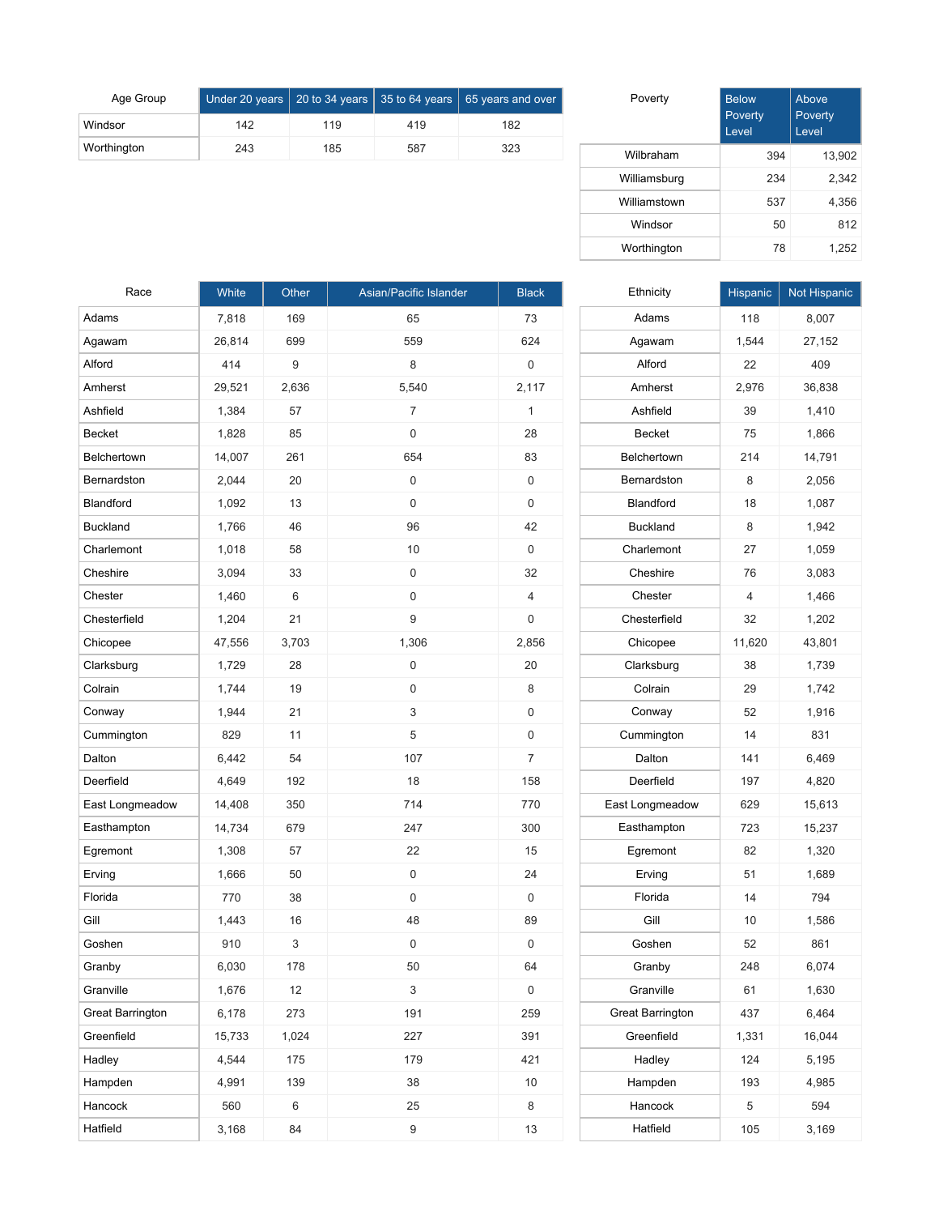| Age Group   |     |     |     | $\overline{\phantom{1}}$ Under 20 years $\overline{\phantom{1}}$ 20 to 34 years $\overline{\phantom{1}}$ 35 to 64 years $\overline{\phantom{1}}$ 65 years and over $\overline{\phantom{1}}$ |
|-------------|-----|-----|-----|---------------------------------------------------------------------------------------------------------------------------------------------------------------------------------------------|
| Windsor     | 142 | 119 | 419 | 182                                                                                                                                                                                         |
| Worthington | 243 | 185 | 587 | 323                                                                                                                                                                                         |

| Poverty      | <b>Below</b><br>Poverty<br>Level | Above<br>Poverty<br>Level |
|--------------|----------------------------------|---------------------------|
| Wilbraham    | 394                              | 13,902                    |
| Williamsburg | 234                              | 2,342                     |
| Williamstown | 537                              | 4,356                     |
| Windsor      | 50                               | 812                       |
| Worthington  | 78                               | 1,252                     |

| Race                    | White  | Other | Asian/Pacific Islander | <b>Black</b> |
|-------------------------|--------|-------|------------------------|--------------|
| Adams                   | 7,818  | 169   | 65                     | 73           |
| Agawam                  | 26,814 | 699   | 559                    | 624          |
| Alford                  | 414    | 9     | 8                      | 0            |
| Amherst                 | 29,521 | 2,636 | 5,540                  | 2,117        |
| Ashfield                | 1,384  | 57    | 7                      | 1            |
| Becket                  | 1,828  | 85    | 0                      | 28           |
| Belchertown             | 14,007 | 261   | 654                    | 83           |
| Bernardston             | 2,044  | 20    | 0                      | 0            |
| Blandford               | 1,092  | 13    | 0                      | 0            |
| <b>Buckland</b>         | 1,766  | 46    | 96                     | 42           |
| Charlemont              | 1,018  | 58    | 10                     | 0            |
| Cheshire                | 3,094  | 33    | 0                      | 32           |
| Chester                 | 1,460  | 6     | 0                      | 4            |
| Chesterfield            | 1,204  | 21    | 9                      | 0            |
| Chicopee                | 47,556 | 3,703 | 1,306                  | 2,856        |
| Clarksburg              | 1,729  | 28    | 0                      | 20           |
| Colrain                 | 1,744  | 19    | 0                      | 8            |
| Conway                  | 1,944  | 21    | 3                      | 0            |
| Cummington              | 829    | 11    | 5                      | 0            |
| Dalton                  | 6,442  | 54    | 107                    | 7            |
| Deerfield               | 4,649  | 192   | 18                     | 158          |
| East Longmeadow         | 14,408 | 350   | 714                    | 770          |
| Easthampton             | 14,734 | 679   | 247                    | 300          |
| Egremont                | 1,308  | 57    | 22                     | 15           |
| Erving                  | 1,666  | 50    | 0                      | 24           |
| Florida                 | 770    | 38    | 0                      | 0            |
| Gill                    | 1,443  | 16    | 48                     | 89           |
| Goshen                  | 910    | 3     | 0                      | 0            |
| Granby                  | 6,030  | 178   | 50                     | 64           |
| Granville               | 1,676  | 12    | 3                      | 0            |
| <b>Great Barrington</b> | 6,178  | 273   | 191                    | 259          |
| Greenfield              | 15,733 | 1,024 | 227                    | 391          |
| Hadley                  | 4,544  | 175   | 179                    | 421          |
| Hampden                 | 4,991  | 139   | 38                     | 10           |
| Hancock                 | 560    | 6     | 25                     | 8            |
| Hatfield                | 3,168  | 84    | $\boldsymbol{9}$       | 13           |

| Ethnicity               | Hispanic | Not Hispanic |
|-------------------------|----------|--------------|
| Adams                   | 118      | 8,007        |
| Agawam                  | 1,544    | 27,152       |
| Alford                  | 22       | 409          |
| Amherst                 | 2,976    | 36,838       |
| Ashfield                | 39       | 1,410        |
| <b>Becket</b>           | 75       | 1,866        |
| Belchertown             | 214      | 14,791       |
| Bernardston             | 8        | 2,056        |
| Blandford               | 18       | 1,087        |
| <b>Buckland</b>         | 8        | 1,942        |
| Charlemont              | 27       | 1,059        |
| Cheshire                | 76       | 3,083        |
| Chester                 | 4        | 1,466        |
| Chesterfield            | 32       | 1,202        |
| Chicopee                | 11,620   | 43,801       |
| Clarksburg              | 38       | 1,739        |
| Colrain                 | 29       | 1.742        |
| Conway                  | 52       | 1,916        |
| Cummington              | 14       | 831          |
| Dalton                  | 141      | 6,469        |
| Deerfield               | 197      | 4,820        |
| East Longmeadow         | 629      | 15,613       |
| Easthampton             | 723      | 15,237       |
| Egremont                | 82       | 1,320        |
| Erving                  | 51       | 1,689        |
| Florida                 | 14       | 794          |
| Gill                    | 10       | 1,586        |
| Goshen                  | 52       | 861          |
| Granby                  | 248      | 6,074        |
| Granville               | 61       | 1,630        |
| <b>Great Barrington</b> | 437      | 6,464        |
| Greenfield              | 1,331    | 16,044       |
| Hadley                  | 124      | 5,195        |
| Hampden                 | 193      | 4,985        |
| Hancock                 | 5        | 594          |
| Hatfield                | 105      | 3,169        |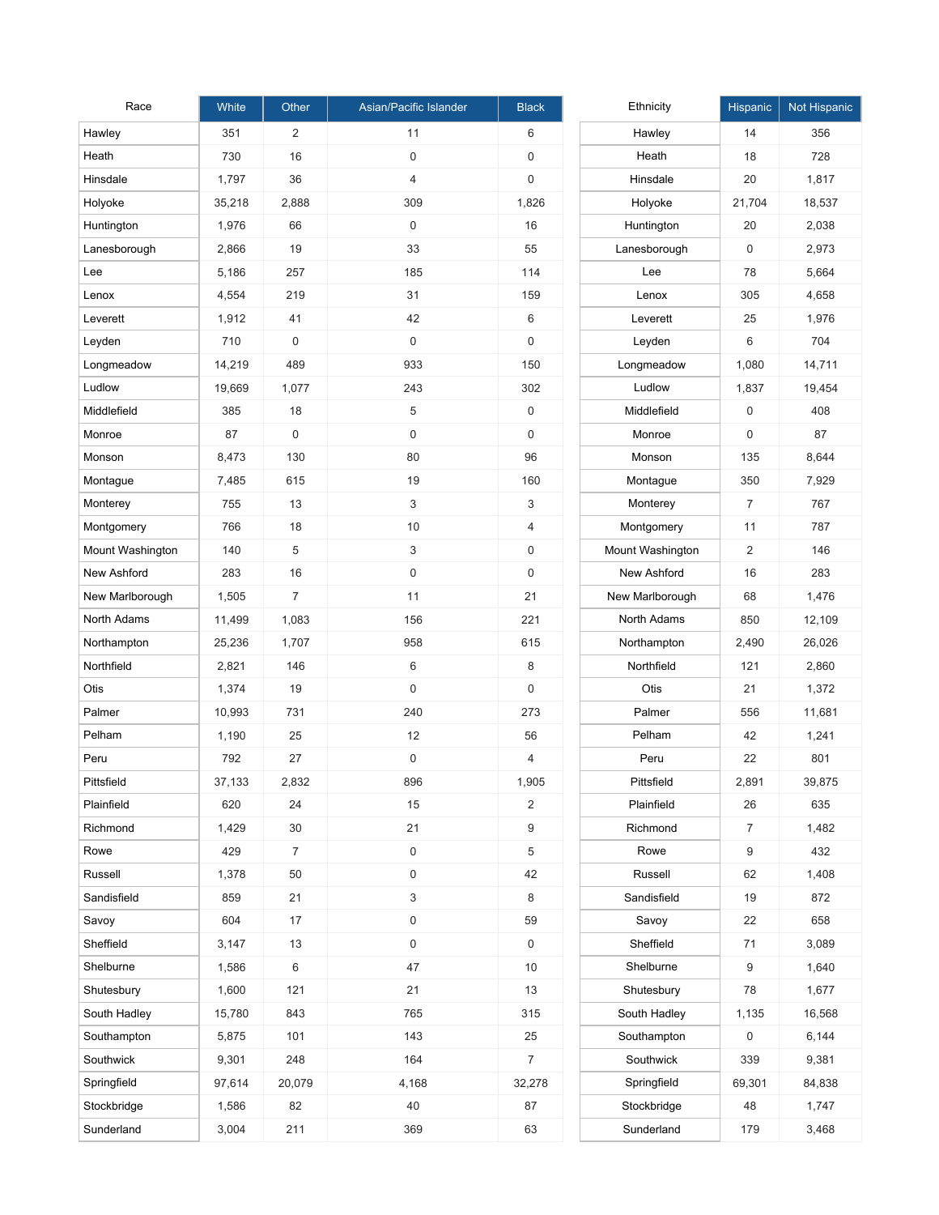| Race             | White  | Other          | Asian/Pacific Islander | <b>Black</b>        | Ethnicity        | Hi |
|------------------|--------|----------------|------------------------|---------------------|------------------|----|
| Hawley           | 351    | 2              | 11                     | 6                   | Hawley           |    |
| Heath            | 730    | 16             | 0                      | 0                   | Heath            |    |
| Hinsdale         | 1,797  | 36             | $\overline{4}$         | 0                   | Hinsdale         |    |
| Holyoke          | 35,218 | 2,888          | 309                    | 1,826               | Holyoke          | 2  |
| Huntington       | 1,976  | 66             | 0                      | 16                  | Huntington       |    |
| Lanesborough     | 2,866  | 19             | 33                     | 55                  | Lanesborough     |    |
| Lee              | 5,186  | 257            | 185                    | 114                 | Lee              |    |
| Lenox            | 4,554  | 219            | 31                     | 159                 | Lenox            |    |
| Leverett         | 1,912  | 41             | 42                     | 6                   | Leverett         |    |
| Leyden           | 710    | $\mathbf 0$    | $\mathbf 0$            | $\mathsf{O}\xspace$ | Leyden           |    |
| Longmeadow       | 14,219 | 489            | 933                    | 150                 | Longmeadow       | 1  |
| Ludlow           | 19,669 | 1,077          | 243                    | 302                 | Ludlow           | 1  |
| Middlefield      | 385    | 18             | 5                      | 0                   | Middlefield      |    |
| Monroe           | 87     | $\mathbf 0$    | $\mathbf 0$            | $\mathbf 0$         | Monroe           |    |
| Monson           | 8,473  | 130            | 80                     | 96                  | Monson           |    |
| Montague         | 7,485  | 615            | 19                     | 160                 | Montague         |    |
| Monterey         | 755    | 13             | 3                      | 3                   | Monterey         |    |
| Montgomery       | 766    | 18             | 10                     | $\overline{4}$      | Montgomery       |    |
| Mount Washington | 140    | 5              | 3                      | 0                   | Mount Washington |    |
| New Ashford      | 283    | 16             | $\mathbf 0$            | $\mathbf 0$         | New Ashford      |    |
| New Marlborough  | 1,505  | $\overline{7}$ | 11                     | 21                  | New Marlborough  |    |
| North Adams      | 11,499 | 1,083          | 156                    | 221                 | North Adams      |    |
| Northampton      | 25,236 | 1,707          | 958                    | 615                 | Northampton      | 2  |
| Northfield       | 2,821  | 146            | 6                      | 8                   | Northfield       |    |
| Otis             | 1,374  | 19             | $\mathbf 0$            | $\mathbf 0$         | Otis             |    |
| Palmer           | 10,993 | 731            | 240                    | 273                 | Palmer           |    |
| Pelham           | 1,190  | 25             | 12                     | 56                  | Pelham           |    |
| Peru             | 792    | 27             | 0                      | $\overline{4}$      | Peru             |    |
| Pittsfield       | 37,133 | 2,832          | 896                    | 1,905               | Pittsfield       | 2  |
| Plainfield       | 620    | 24             | 15                     | $\overline{2}$      | Plainfield       |    |
| Richmond         | 1,429  | 30             | 21                     | $\boldsymbol{9}$    | Richmond         |    |
| Rowe             | 429    | $\overline{7}$ | $\mathsf 0$            | $\,$ 5 $\,$         | Rowe             |    |
| Russell          | 1,378  | 50             | $\mathsf{O}$           | 42                  | Russell          |    |
| Sandisfield      | 859    | 21             | 3                      | 8                   | Sandisfield      |    |
| Savoy            | 604    | 17             | 0                      | 59                  | Savoy            |    |
| Sheffield        | 3,147  | 13             | $\mathsf{O}$           | 0                   | Sheffield        |    |
| Shelburne        | 1,586  | 6              | 47                     | 10                  | Shelburne        |    |
| Shutesbury       | 1,600  | 121            | 21                     | 13                  | Shutesbury       |    |
| South Hadley     | 15,780 | 843            | 765                    | 315                 | South Hadley     | 1  |
| Southampton      | 5,875  | 101            | 143                    | 25                  | Southampton      |    |
| Southwick        | 9,301  | 248            | 164                    | $\overline{7}$      | Southwick        |    |
| Springfield      | 97,614 | 20,079         | 4,168                  | 32,278              | Springfield      | 6  |
| Stockbridge      | 1,586  | 82             | 40                     | 87                  | Stockbridge      |    |
| Sunderland       | 3,004  | 211            | 369                    | 63                  | Sunderland       |    |

| Ethnicity        | <b>Hispanic</b> | Not Hispanic |
|------------------|-----------------|--------------|
| Hawley           | 14              | 356          |
| Heath            | 18              | 728          |
| Hinsdale         | 20              | 1,817        |
| Holyoke          | 21,704          | 18,537       |
| Huntington       | 20              | 2,038        |
| Lanesborough     | 0               | 2,973        |
| Lee              | 78              | 5,664        |
| Lenox            | 305             | 4,658        |
| Leverett         | 25              | 1,976        |
| Leyden           | 6               | 704          |
| Longmeadow       | 1,080           | 14,711       |
| Ludlow           | 1,837           | 19,454       |
| Middlefield      | 0               | 408          |
| Monroe           | 0               | 87           |
| Monson           | 135             | 8,644        |
| Montague         | 350             | 7,929        |
| Monterey         | 7               | 767          |
| Montgomery       | 11              | 787          |
| Mount Washington | 2               | 146          |
| New Ashford      | 16              | 283          |
| New Marlborough  | 68              | 1,476        |
| North Adams      | 850             | 12,109       |
| Northampton      | 2,490           | 26,026       |
| Northfield       | 121             | 2,860        |
| Otis             | 21              | 1,372        |
| Palmer           | 556             | 11,681       |
| Pelham           | 42              | 1,241        |
| Peru             | 22              | 801          |
| Pittsfield       | 2,891           | 39,875       |
| Plainfield       | 26              | 635          |
| Richmond         | $\overline{7}$  | 1,482        |
| Rowe             | 9               | 432          |
| Russell          | 62              | 1,408        |
| Sandisfield      | 19              | 872          |
| Savoy            | 22              | 658          |
| Sheffield        | 71              | 3,089        |
| Shelburne        | 9               | 1,640        |
| Shutesbury       | 78              | 1,677        |
| South Hadley     | 1,135           | 16,568       |
| Southampton      | 0               | 6,144        |
| Southwick        | 339             | 9,381        |
| Springfield      | 69,301          | 84,838       |
| Stockbridge      | 48              | 1,747        |
| Sunderland       | 179             | 3,468        |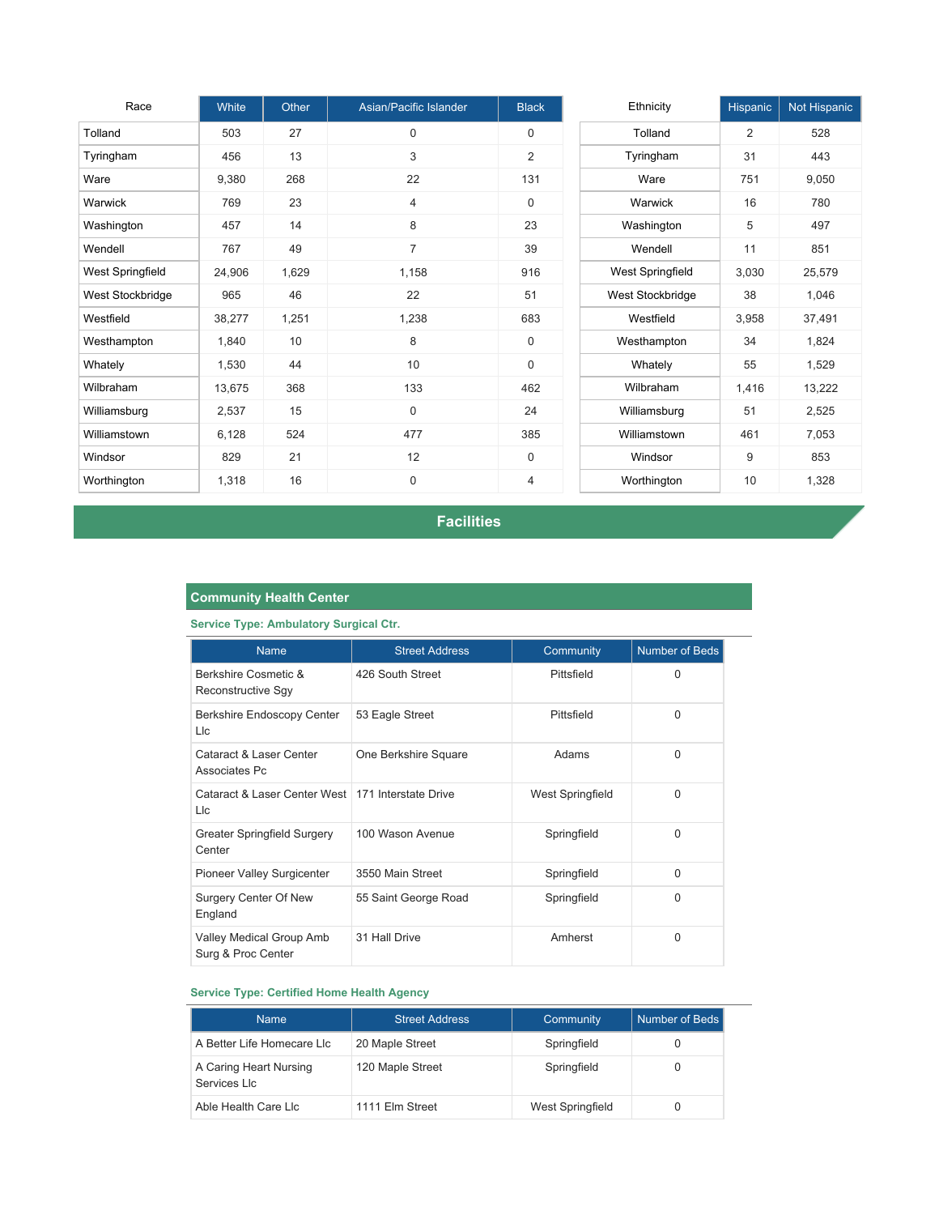| Race             | White  | Other | Asian/Pacific Islander | <b>Black</b>   | Ethnicity        | Hispanic | Not Hispanic |
|------------------|--------|-------|------------------------|----------------|------------------|----------|--------------|
| Tolland          | 503    | 27    | $\Omega$               | $\Omega$       | Tolland          | 2        | 528          |
| Tyringham        | 456    | 13    | 3                      | $\overline{2}$ | Tyringham        | 31       | 443          |
| Ware             | 9,380  | 268   | 22                     | 131            | Ware             | 751      | 9,050        |
| Warwick          | 769    | 23    | $\overline{4}$         | $\mathbf 0$    | Warwick          | 16       | 780          |
| Washington       | 457    | 14    | 8                      | 23             | Washington       | 5        | 497          |
| Wendell          | 767    | 49    | $\overline{7}$         | 39             | Wendell          | 11       | 851          |
| West Springfield | 24,906 | 1,629 | 1,158                  | 916            | West Springfield | 3,030    | 25,579       |
| West Stockbridge | 965    | 46    | 22                     | 51             | West Stockbridge | 38       | 1,046        |
| Westfield        | 38,277 | 1,251 | 1,238                  | 683            | Westfield        | 3,958    | 37,491       |
| Westhampton      | 1,840  | 10    | 8                      | $\mathbf 0$    | Westhampton      | 34       | 1,824        |
| Whately          | 1,530  | 44    | 10                     | $\mathbf 0$    | Whately          | 55       | 1,529        |
| Wilbraham        | 13,675 | 368   | 133                    | 462            | Wilbraham        | 1,416    | 13,222       |
| Williamsburg     | 2,537  | 15    | 0                      | 24             | Williamsburg     | 51       | 2,525        |
| Williamstown     | 6,128  | 524   | 477                    | 385            | Williamstown     | 461      | 7,053        |
| Windsor          | 829    | 21    | 12                     | $\mathbf 0$    | Windsor          | 9        | 853          |
| Worthington      | 1,318  | 16    | $\mathbf 0$            | 4              | Worthington      | 10       | 1,328        |

**Facilities**

## **Community Health Center**

**Service Type: Ambulatory Surgical Ctr.**

| <b>Name</b>                                                | <b>Street Address</b> | Community        | <b>Number of Beds</b> |
|------------------------------------------------------------|-----------------------|------------------|-----------------------|
| Berkshire Cosmetic &<br>Reconstructive Sgy                 | 426 South Street      | Pittsfield       | $\Omega$              |
| Berkshire Endoscopy Center<br>Llc                          | 53 Eagle Street       | Pittsfield       | $\Omega$              |
| Cataract & Laser Center<br>Associates Pc                   | One Berkshire Square  | Adams            | $\Omega$              |
| Cataract & Laser Center West   171 Interstate Drive<br>Llc |                       | West Springfield | $\Omega$              |
| Greater Springfield Surgery<br>Center                      | 100 Wason Avenue      | Springfield      | $\Omega$              |
| Pioneer Valley Surgicenter                                 | 3550 Main Street      | Springfield      | $\Omega$              |
| <b>Surgery Center Of New</b><br>England                    | 55 Saint George Road  | Springfield      | $\Omega$              |
| Valley Medical Group Amb<br>Surg & Proc Center             | 31 Hall Drive         | Amherst          | $\Omega$              |

#### **Service Type: Certified Home Health Agency**

| <b>Name</b>                            | <b>Street Address</b> | Community               | Number of Beds |
|----------------------------------------|-----------------------|-------------------------|----------------|
| A Better Life Homecare LIc             | 20 Maple Street       | Springfield             |                |
| A Caring Heart Nursing<br>Services Llc | 120 Maple Street      | Springfield             |                |
| Able Health Care Llc                   | 1111 Elm Street       | <b>West Springfield</b> |                |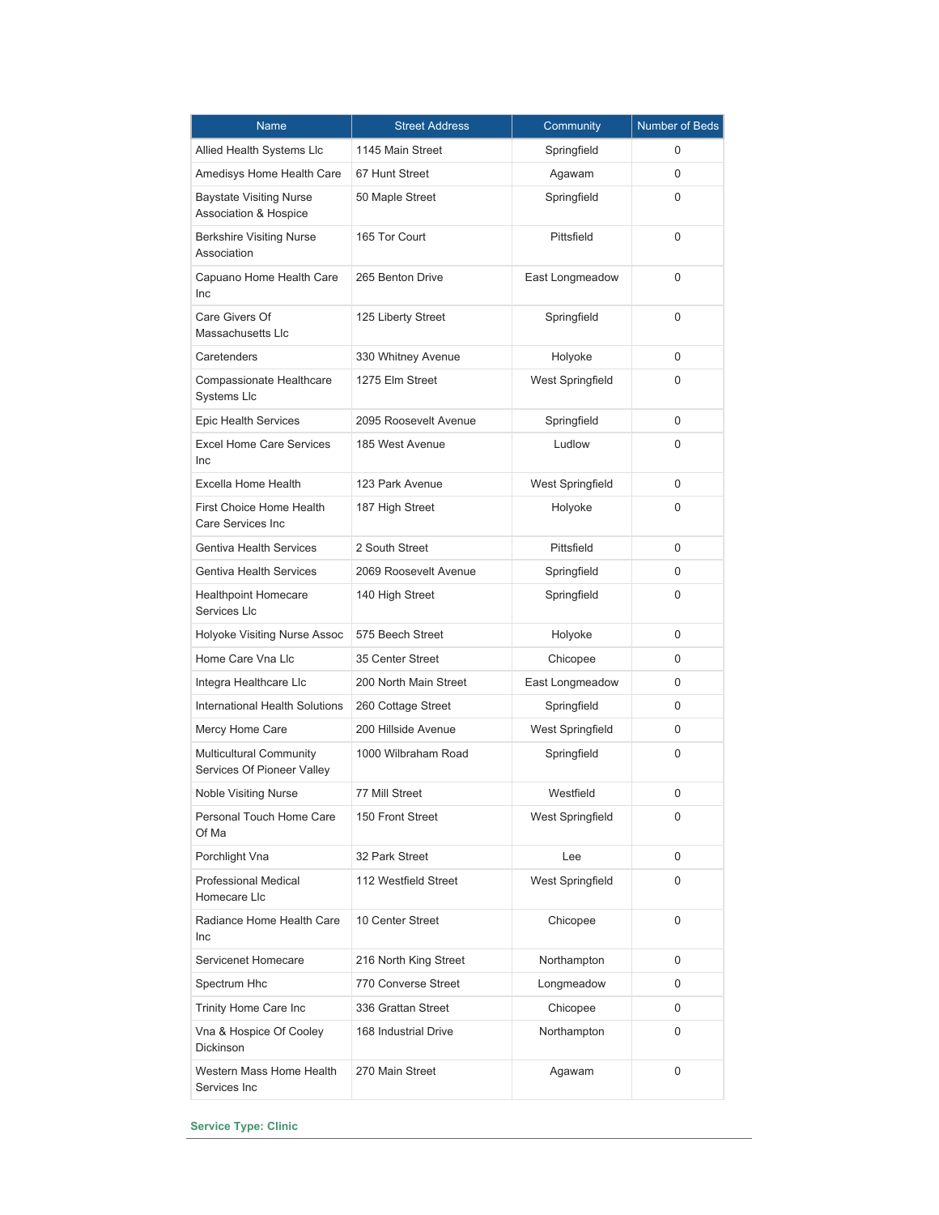| <b>Name</b>                                                        | <b>Street Address</b><br>Community |                         | Number of Beds |
|--------------------------------------------------------------------|------------------------------------|-------------------------|----------------|
| Allied Health Systems Llc                                          | 1145 Main Street                   | Springfield             | 0              |
| Amedisys Home Health Care                                          | 67 Hunt Street                     | Agawam                  | 0              |
| <b>Baystate Visiting Nurse</b><br><b>Association &amp; Hospice</b> | 50 Maple Street                    | Springfield             | 0              |
| <b>Berkshire Visiting Nurse</b><br>Association                     | 165 Tor Court                      | Pittsfield              | 0              |
| Capuano Home Health Care<br>Inc                                    | 265 Benton Drive                   | East Longmeadow         | 0              |
| Care Givers Of<br>Massachusetts Llc                                | 125 Liberty Street                 | Springfield             | 0              |
| Caretenders                                                        | 330 Whitney Avenue                 | Holyoke                 | 0              |
| Compassionate Healthcare<br>Systems Llc                            | 1275 Elm Street                    | West Springfield        | 0              |
| Epic Health Services                                               | 2095 Roosevelt Avenue              | Springfield             | 0              |
| <b>Excel Home Care Services</b><br>Inc                             | 185 West Avenue                    | Ludlow                  | 0              |
| Excella Home Health                                                | 123 Park Avenue                    | West Springfield        | 0              |
| First Choice Home Health<br>Care Services Inc.                     | 187 High Street                    | Holyoke                 | 0              |
| <b>Gentiva Health Services</b>                                     | 2 South Street                     | Pittsfield              | 0              |
| <b>Gentiva Health Services</b>                                     | 2069 Roosevelt Avenue              | Springfield             | 0              |
| <b>Healthpoint Homecare</b><br>Services Llc                        | 140 High Street                    | Springfield             | 0              |
| Holyoke Visiting Nurse Assoc                                       | 575 Beech Street                   | Holyoke                 | 0              |
| Home Care Vna Llc                                                  | 35 Center Street                   | Chicopee                | 0              |
| Integra Healthcare Llc                                             | 200 North Main Street              | East Longmeadow         | 0              |
| <b>International Health Solutions</b>                              | 260 Cottage Street                 | Springfield             | 0              |
| Mercy Home Care                                                    | 200 Hillside Avenue                | <b>West Springfield</b> | 0              |
| <b>Multicultural Community</b><br>Services Of Pioneer Valley       | 1000 Wilbraham Road                | Springfield             | 0              |
| <b>Noble Visiting Nurse</b>                                        | 77 Mill Street                     | Westfield               | 0              |
| Personal Touch Home Care<br>Of Ma                                  | 150 Front Street                   | West Springfield        | 0              |
| Porchlight Vna                                                     | 32 Park Street                     | Lee                     | 0              |
| <b>Professional Medical</b><br>Homecare Llc                        | 112 Westfield Street               | West Springfield        | 0              |
| Radiance Home Health Care<br><b>Inc</b>                            | 10 Center Street                   | Chicopee                | 0              |
| Servicenet Homecare                                                | 216 North King Street              | Northampton             | 0              |
| Spectrum Hhc                                                       | 770 Converse Street                | Longmeadow              | 0              |
| Trinity Home Care Inc                                              | 336 Grattan Street                 | Chicopee                | 0              |
| Vna & Hospice Of Cooley<br><b>Dickinson</b>                        | 168 Industrial Drive               | Northampton             | 0              |
| Western Mass Home Health<br>Services Inc                           | 270 Main Street                    | Agawam                  | 0              |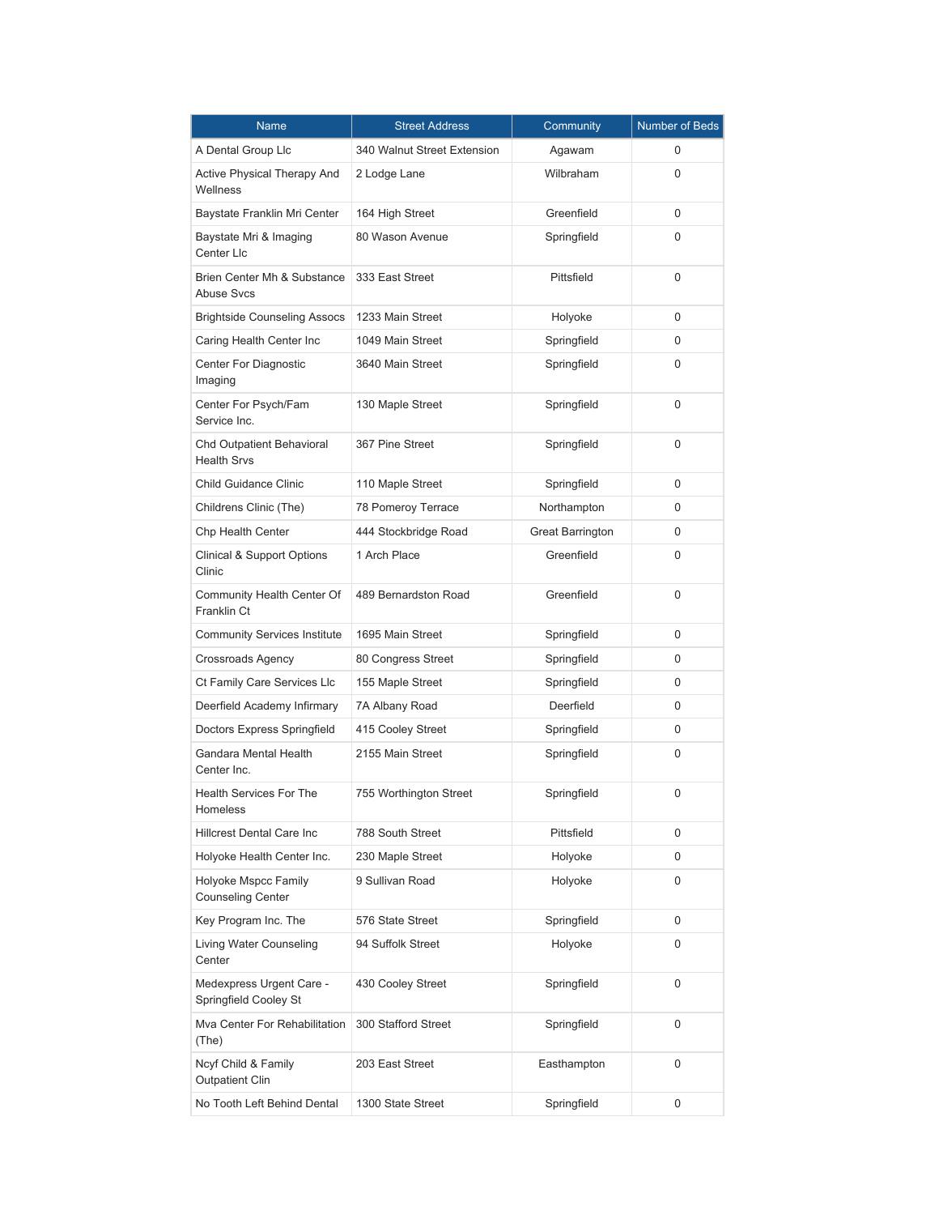| Name                                                   | <b>Street Address</b>       | Community               | Number of Beds |
|--------------------------------------------------------|-----------------------------|-------------------------|----------------|
| A Dental Group Llc                                     | 340 Walnut Street Extension | Agawam                  | 0              |
| Active Physical Therapy And<br>Wellness                | 2 Lodge Lane                | Wilbraham               | 0              |
| Baystate Franklin Mri Center                           | 164 High Street             | Greenfield              | 0              |
| Baystate Mri & Imaging<br>Center Llc                   | 80 Wason Avenue             | Springfield             | 0              |
| Brien Center Mh & Substance<br><b>Abuse Svcs</b>       | 333 East Street             | Pittsfield              | 0              |
| <b>Brightside Counseling Assocs</b>                    | 1233 Main Street            | Holyoke                 | 0              |
| Caring Health Center Inc                               | 1049 Main Street            | Springfield             | $\Omega$       |
| Center For Diagnostic<br>Imaging                       | 3640 Main Street            | Springfield             | 0              |
| Center For Psych/Fam<br>Service Inc.                   | 130 Maple Street            | Springfield             | 0              |
| <b>Chd Outpatient Behavioral</b><br><b>Health Srvs</b> | 367 Pine Street             | Springfield             | 0              |
| <b>Child Guidance Clinic</b>                           | 110 Maple Street            | Springfield             | 0              |
| Childrens Clinic (The)                                 | 78 Pomeroy Terrace          | Northampton             | 0              |
| Chp Health Center                                      | 444 Stockbridge Road        | <b>Great Barrington</b> | 0              |
| Clinical & Support Options<br>Clinic                   | 1 Arch Place                | Greenfield              | 0              |
| Community Health Center Of<br>Franklin Ct              | 489 Bernardston Road        | Greenfield              | 0              |
| <b>Community Services Institute</b>                    | 1695 Main Street            | Springfield             | 0              |
| Crossroads Agency                                      | 80 Congress Street          | Springfield             | 0              |
| Ct Family Care Services Llc                            | 155 Maple Street            | Springfield             | 0              |
| Deerfield Academy Infirmary                            | 7A Albany Road              | Deerfield               | 0              |
| Doctors Express Springfield                            | 415 Cooley Street           | Springfield             | 0              |
| Gandara Mental Health<br>Center Inc.                   | 2155 Main Street            | Springfield             | 0              |
| <b>Health Services For The</b><br><b>Homeless</b>      | 755 Worthington Street      | Springfield             | 0              |
| <b>Hillcrest Dental Care Inc</b>                       | 788 South Street            | Pittsfield              | 0              |
| Holyoke Health Center Inc.                             | 230 Maple Street            | Holyoke                 | 0              |
| Holyoke Mspcc Family<br><b>Counseling Center</b>       | 9 Sullivan Road             | Holyoke                 | 0              |
| Key Program Inc. The                                   | 576 State Street            | Springfield             | 0              |
| Living Water Counseling<br>Center                      | 94 Suffolk Street           | Holyoke                 | 0              |
| Medexpress Urgent Care -<br>Springfield Cooley St      | 430 Cooley Street           | Springfield             | 0              |
| Mva Center For Rehabilitation<br>(The)                 | 300 Stafford Street         | Springfield             | 0              |
| Ncyf Child & Family<br><b>Outpatient Clin</b>          | 203 East Street             | Easthampton             | 0              |
| No Tooth Left Behind Dental                            | 1300 State Street           | Springfield             | 0              |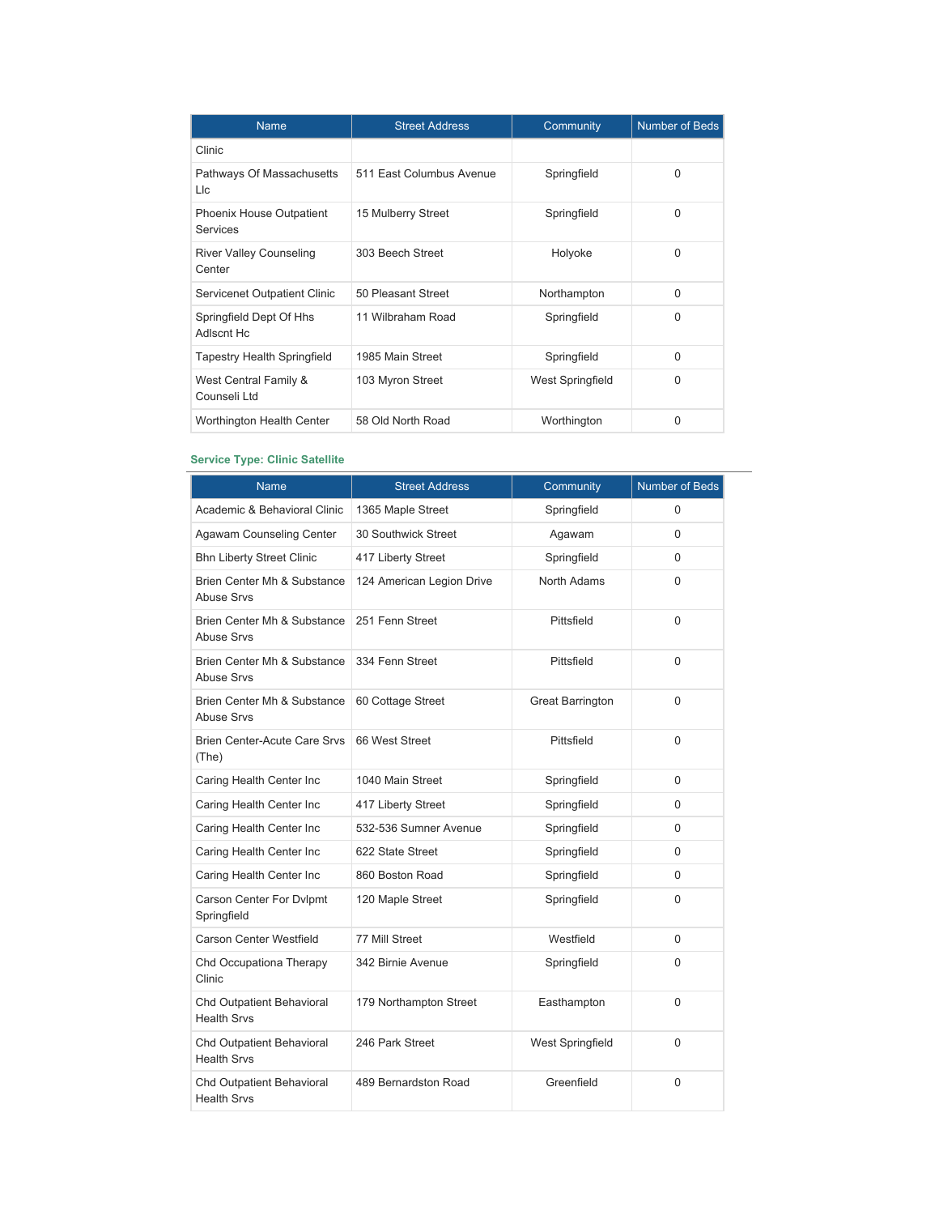| <b>Name</b>                                        | <b>Street Address</b>    | Community        | <b>Number of Beds</b> |
|----------------------------------------------------|--------------------------|------------------|-----------------------|
| Clinic                                             |                          |                  |                       |
| Pathways Of Massachusetts<br>Llc                   | 511 East Columbus Avenue | Springfield      | $\Omega$              |
| <b>Phoenix House Outpatient</b><br><b>Services</b> | 15 Mulberry Street       | Springfield      | 0                     |
| <b>River Valley Counseling</b><br>Center           | 303 Beech Street         | Holyoke          | $\Omega$              |
| Servicenet Outpatient Clinic                       | 50 Pleasant Street       | Northampton      | $\Omega$              |
| Springfield Dept Of Hhs<br>Adlscnt Hc              | 11 Wilbraham Road        | Springfield      | $\Omega$              |
| Tapestry Health Springfield                        | 1985 Main Street         | Springfield      | $\Omega$              |
| West Central Family &<br>Counseli Ltd              | 103 Myron Street         | West Springfield | $\Omega$              |
| Worthington Health Center                          | 58 Old North Road        | Worthington      | 0                     |

## **Service Type: Clinic Satellite**

| Name                                             | <b>Street Address</b>     | Community               | Number of Beds |
|--------------------------------------------------|---------------------------|-------------------------|----------------|
| Academic & Behavioral Clinic                     | 1365 Maple Street         | Springfield             | 0              |
| Agawam Counseling Center                         | 30 Southwick Street       | Agawam                  | $\Omega$       |
| <b>Bhn Liberty Street Clinic</b>                 | 417 Liberty Street        | Springfield             | 0              |
| Brien Center Mh & Substance<br><b>Abuse Srvs</b> | 124 American Legion Drive | <b>North Adams</b>      | $\mathbf{0}$   |
| Brien Center Mh & Substance<br><b>Abuse Srvs</b> | 251 Fenn Street           | Pittsfield              | $\Omega$       |
| Brien Center Mh & Substance<br><b>Abuse Srvs</b> | 334 Fenn Street           | Pittsfield              | $\mathbf{0}$   |
| Brien Center Mh & Substance<br><b>Abuse Srvs</b> | 60 Cottage Street         | <b>Great Barrington</b> | $\mathbf{0}$   |
| <b>Brien Center-Acute Care Srvs</b><br>(The)     | 66 West Street            | Pittsfield              | $\Omega$       |
| Caring Health Center Inc                         | 1040 Main Street          | Springfield             | $\Omega$       |
| Caring Health Center Inc                         | 417 Liberty Street        | Springfield             | $\Omega$       |
| Caring Health Center Inc                         | 532-536 Sumner Avenue     | Springfield             | $\Omega$       |
| Caring Health Center Inc                         | 622 State Street          | Springfield             | $\Omega$       |
| Caring Health Center Inc                         | 860 Boston Road           | Springfield             | 0              |
| Carson Center For Dvlpmt<br>Springfield          | 120 Maple Street          | Springfield             | $\Omega$       |
| Carson Center Westfield                          | 77 Mill Street            | Westfield               | 0              |
| Chd Occupationa Therapy<br>Clinic                | 342 Birnie Avenue         | Springfield             | $\Omega$       |
| Chd Outpatient Behavioral<br><b>Health Srvs</b>  | 179 Northampton Street    | Easthampton             | 0              |
| Chd Outpatient Behavioral<br><b>Health Srvs</b>  | 246 Park Street           | West Springfield        | 0              |
| Chd Outpatient Behavioral<br><b>Health Srvs</b>  | 489 Bernardston Road      | Greenfield              | 0              |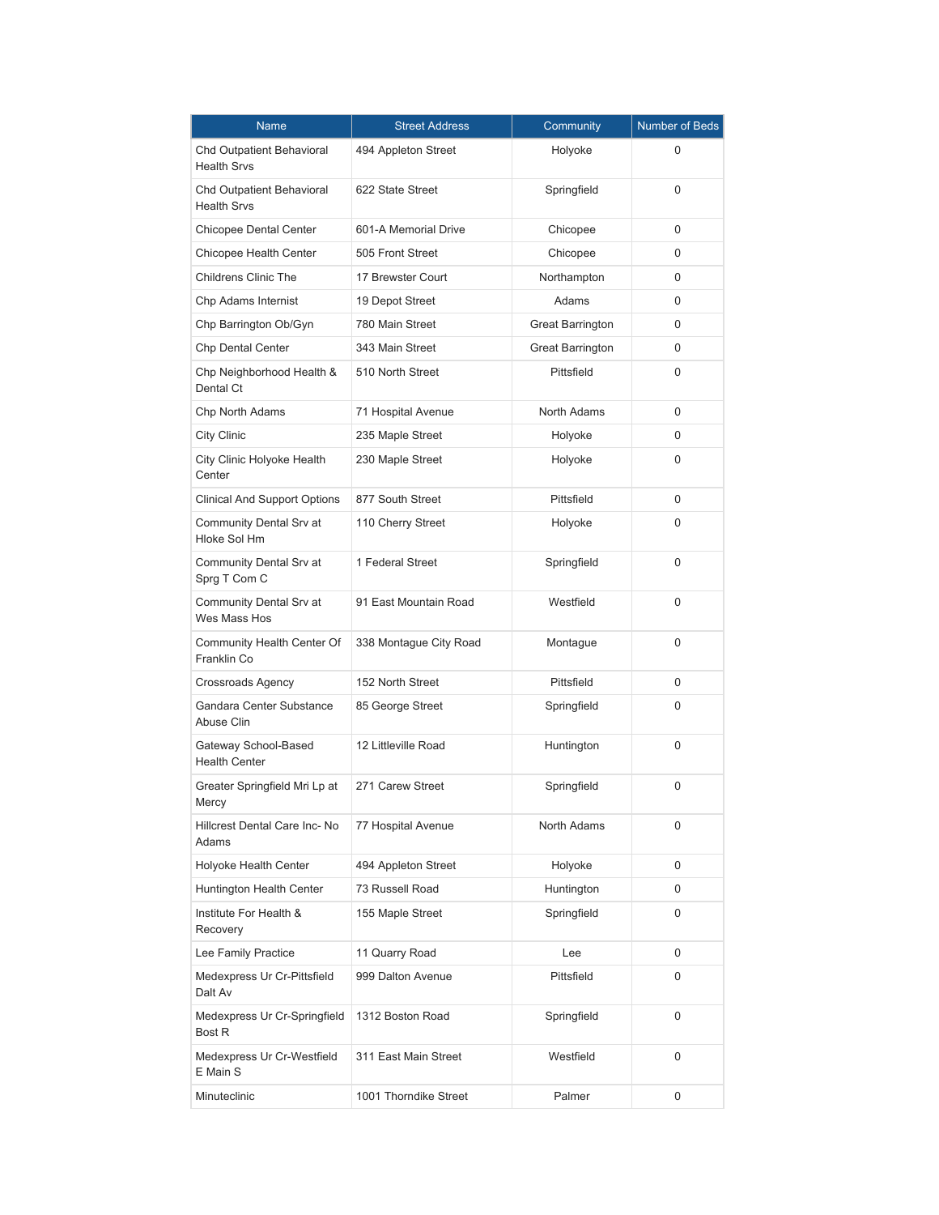| Name                                            | <b>Street Address</b>  | Community        | Number of Beds |
|-------------------------------------------------|------------------------|------------------|----------------|
| Chd Outpatient Behavioral<br><b>Health Srvs</b> | 494 Appleton Street    | Holyoke          | 0              |
| Chd Outpatient Behavioral<br><b>Health Srvs</b> | 622 State Street       | Springfield      | 0              |
| <b>Chicopee Dental Center</b>                   | 601-A Memorial Drive   | Chicopee         | 0              |
| Chicopee Health Center                          | 505 Front Street       | Chicopee         | 0              |
| <b>Childrens Clinic The</b>                     | 17 Brewster Court      | Northampton      | 0              |
| Chp Adams Internist                             | 19 Depot Street        | Adams            | 0              |
| Chp Barrington Ob/Gyn                           | 780 Main Street        | Great Barrington | 0              |
| <b>Chp Dental Center</b>                        | 343 Main Street        | Great Barrington | 0              |
| Chp Neighborhood Health &<br>Dental Ct          | 510 North Street       | Pittsfield       | 0              |
| Chp North Adams                                 | 71 Hospital Avenue     | North Adams      | 0              |
| City Clinic                                     | 235 Maple Street       | Holyoke          | 0              |
| City Clinic Holyoke Health<br>Center            | 230 Maple Street       | Holyoke          | 0              |
| <b>Clinical And Support Options</b>             | 877 South Street       | Pittsfield       | 0              |
| Community Dental Srv at<br>Hloke Sol Hm         | 110 Cherry Street      | Holyoke          | 0              |
| Community Dental Srv at<br>Sprg T Com C         | 1 Federal Street       | Springfield      | 0              |
| Community Dental Srv at<br>Wes Mass Hos         | 91 East Mountain Road  | Westfield        | 0              |
| Community Health Center Of<br>Franklin Co       | 338 Montague City Road | Montague         | 0              |
| Crossroads Agency                               | 152 North Street       | Pittsfield       | 0              |
| Gandara Center Substance<br>Abuse Clin          | 85 George Street       | Springfield      | 0              |
| Gateway School-Based<br><b>Health Center</b>    | 12 Littleville Road    | Huntington       | 0              |
| Greater Springfield Mri Lp at<br>Mercy          | 271 Carew Street       | Springfield      | 0              |
| Hillcrest Dental Care Inc-No<br>Adams           | 77 Hospital Avenue     | North Adams      | 0              |
| Holyoke Health Center                           | 494 Appleton Street    | Holyoke          | 0              |
| Huntington Health Center                        | 73 Russell Road        | Huntington       | 0              |
| Institute For Health &<br>Recovery              | 155 Maple Street       | Springfield      | 0              |
| Lee Family Practice                             | 11 Quarry Road         | Lee              | 0              |
| Medexpress Ur Cr-Pittsfield<br>Dalt Av          | 999 Dalton Avenue      | Pittsfield       | 0              |
| Medexpress Ur Cr-Springfield<br>Bost R          | 1312 Boston Road       | Springfield      | 0              |
| Medexpress Ur Cr-Westfield<br>E Main S          | 311 East Main Street   | Westfield        | 0              |
| Minuteclinic                                    | 1001 Thorndike Street  | Palmer           | 0              |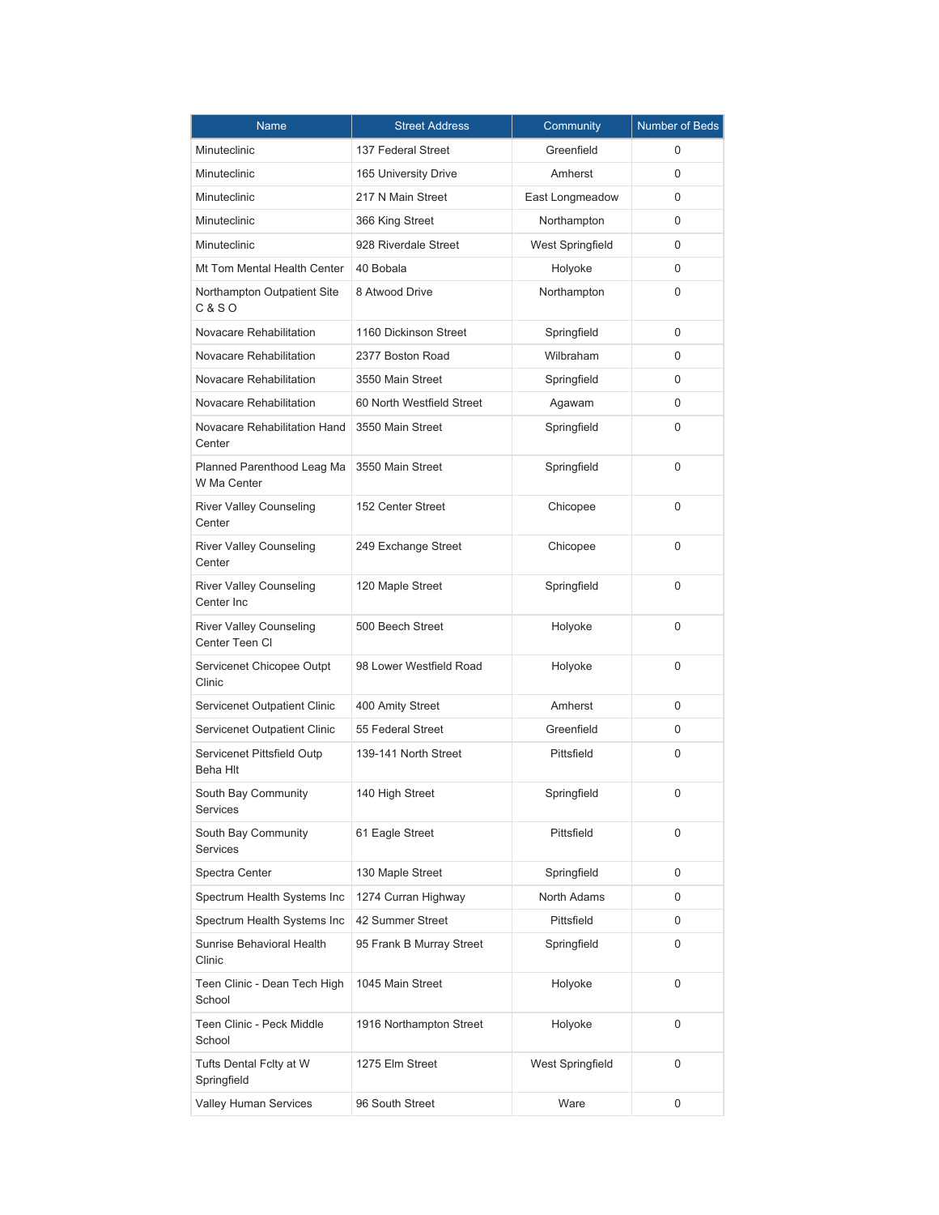| Name                                             | <b>Street Address</b>     | Community        | <b>Number of Beds</b> |
|--------------------------------------------------|---------------------------|------------------|-----------------------|
| Minuteclinic                                     | 137 Federal Street        | Greenfield       | 0                     |
| Minuteclinic                                     | 165 University Drive      | Amherst          | 0                     |
| Minuteclinic                                     | 217 N Main Street         | East Longmeadow  | 0                     |
| Minuteclinic                                     | 366 King Street           | Northampton      | 0                     |
| Minuteclinic                                     | 928 Riverdale Street      | West Springfield | 0                     |
| Mt Tom Mental Health Center                      | 40 Bobala                 | Holyoke          | $\Omega$              |
| Northampton Outpatient Site<br><b>C&amp;SO</b>   | 8 Atwood Drive            | Northampton      | 0                     |
| Novacare Rehabilitation                          | 1160 Dickinson Street     | Springfield      | 0                     |
| Novacare Rehabilitation                          | 2377 Boston Road          | Wilbraham        | 0                     |
| Novacare Rehabilitation                          | 3550 Main Street          | Springfield      | 0                     |
| Novacare Rehabilitation                          | 60 North Westfield Street | Agawam           | 0                     |
| Novacare Rehabilitation Hand<br>Center           | 3550 Main Street          | Springfield      | 0                     |
| Planned Parenthood Leag Ma<br>W Ma Center        | 3550 Main Street          | Springfield      | 0                     |
| <b>River Valley Counseling</b><br>Center         | 152 Center Street         | Chicopee         | 0                     |
| <b>River Valley Counseling</b><br>Center         | 249 Exchange Street       | Chicopee         | 0                     |
| <b>River Valley Counseling</b><br>Center Inc     | 120 Maple Street          | Springfield      | 0                     |
| <b>River Valley Counseling</b><br>Center Teen CI | 500 Beech Street          | Holyoke          | 0                     |
| Servicenet Chicopee Outpt<br>Clinic              | 98 Lower Westfield Road   | Holyoke          | 0                     |
| Servicenet Outpatient Clinic                     | 400 Amity Street          | Amherst          | 0                     |
| Servicenet Outpatient Clinic                     | 55 Federal Street         | Greenfield       | 0                     |
| Servicenet Pittsfield Outp<br>Beha Hlt           | 139-141 North Street      | Pittsfield       | 0                     |
| South Bay Community<br>Services                  | 140 High Street           | Springfield      | 0                     |
| South Bay Community<br>Services                  | 61 Eagle Street           | Pittsfield       | 0                     |
| Spectra Center                                   | 130 Maple Street          | Springfield      | 0                     |
| Spectrum Health Systems Inc                      | 1274 Curran Highway       | North Adams      | 0                     |
| Spectrum Health Systems Inc                      | 42 Summer Street          | Pittsfield       | 0                     |
| Sunrise Behavioral Health<br>Clinic              | 95 Frank B Murray Street  | Springfield      | 0                     |
| Teen Clinic - Dean Tech High<br>School           | 1045 Main Street          | Holyoke          | 0                     |
| Teen Clinic - Peck Middle<br>School              | 1916 Northampton Street   | Holyoke          | 0                     |
| Tufts Dental Fclty at W<br>Springfield           | 1275 Elm Street           | West Springfield | 0                     |
| Valley Human Services                            | 96 South Street           | Ware             | 0                     |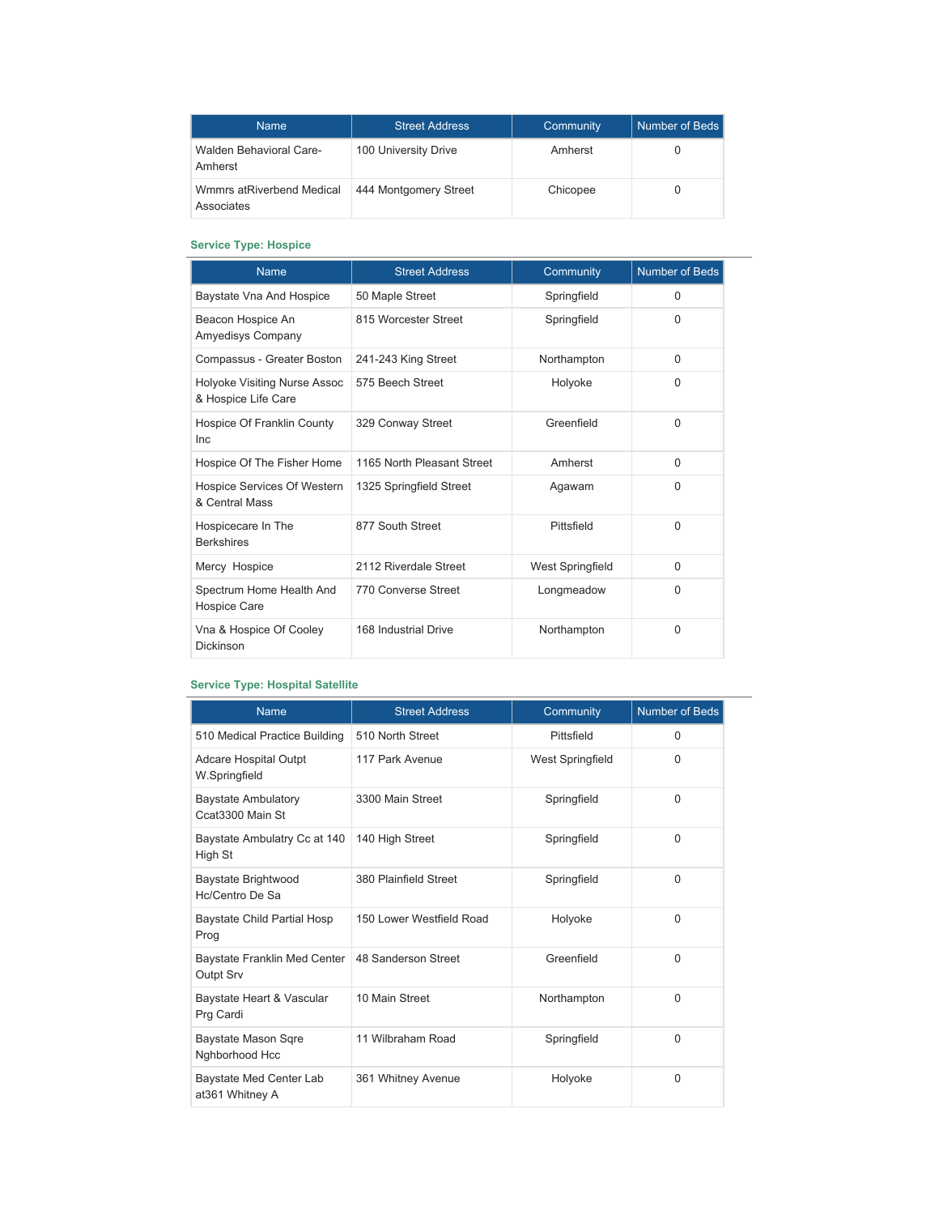| <b>Name</b>                             | <b>Street Address</b> | Community | Number of Beds |
|-----------------------------------------|-----------------------|-----------|----------------|
| Walden Behavioral Care-<br>Amherst      | 100 University Drive  | Amherst   |                |
| Wmmrs atRiverbend Medical<br>Associates | 444 Montgomery Street | Chicopee  |                |

## **Service Type: Hospice**

| <b>Name</b>                                         | <b>Street Address</b>      | Community        | Number of Beds |
|-----------------------------------------------------|----------------------------|------------------|----------------|
| Baystate Vna And Hospice                            | 50 Maple Street            | Springfield      | $\mathbf 0$    |
| Beacon Hospice An<br>Amyedisys Company              | 815 Worcester Street       | Springfield      | $\Omega$       |
| Compassus - Greater Boston                          | 241-243 King Street        | Northampton      | $\Omega$       |
| Holyoke Visiting Nurse Assoc<br>& Hospice Life Care | 575 Beech Street           | Holyoke          | $\Omega$       |
| Hospice Of Franklin County<br><b>Inc</b>            | 329 Conway Street          | Greenfield       | 0              |
| Hospice Of The Fisher Home                          | 1165 North Pleasant Street | Amherst          | $\Omega$       |
| Hospice Services Of Western<br>& Central Mass       | 1325 Springfield Street    | Agawam           | 0              |
| Hospicecare In The<br><b>Berkshires</b>             | 877 South Street           | Pittsfield       | 0              |
| Mercy Hospice                                       | 2112 Riverdale Street      | West Springfield | $\Omega$       |
| Spectrum Home Health And<br><b>Hospice Care</b>     | 770 Converse Street        | Longmeadow       | $\Omega$       |
| Vna & Hospice Of Cooley<br>Dickinson                | 168 Industrial Drive       | Northampton      | 0              |

### **Service Type: Hospital Satellite**

| <b>Name</b>                                    | <b>Street Address</b>    | Community               | <b>Number of Beds</b> |
|------------------------------------------------|--------------------------|-------------------------|-----------------------|
| 510 Medical Practice Building                  | 510 North Street         | Pittsfield              | $\Omega$              |
| <b>Adcare Hospital Outpt</b><br>W.Springfield  | 117 Park Avenue          | <b>West Springfield</b> | $\Omega$              |
| <b>Baystate Ambulatory</b><br>Ccat3300 Main St | 3300 Main Street         | Springfield             | $\Omega$              |
| Baystate Ambulatry Cc at 140<br>High St        | 140 High Street          | Springfield             | $\Omega$              |
| Baystate Brightwood<br>Hc/Centro De Sa         | 380 Plainfield Street    | Springfield             | $\Omega$              |
| <b>Baystate Child Partial Hosp</b><br>Prog     | 150 Lower Westfield Road | Holyoke                 | $\Omega$              |
| Baystate Franklin Med Center<br>Outpt Srv      | 48 Sanderson Street      | Greenfield              | $\Omega$              |
| Baystate Heart & Vascular<br>Prg Cardi         | 10 Main Street           | Northampton             | $\Omega$              |
| <b>Baystate Mason Sqre</b><br>Nghborhood Hcc   | 11 Wilbraham Road        | Springfield             | $\Omega$              |
| Baystate Med Center Lab<br>at361 Whitney A     | 361 Whitney Avenue       | Holyoke                 | $\Omega$              |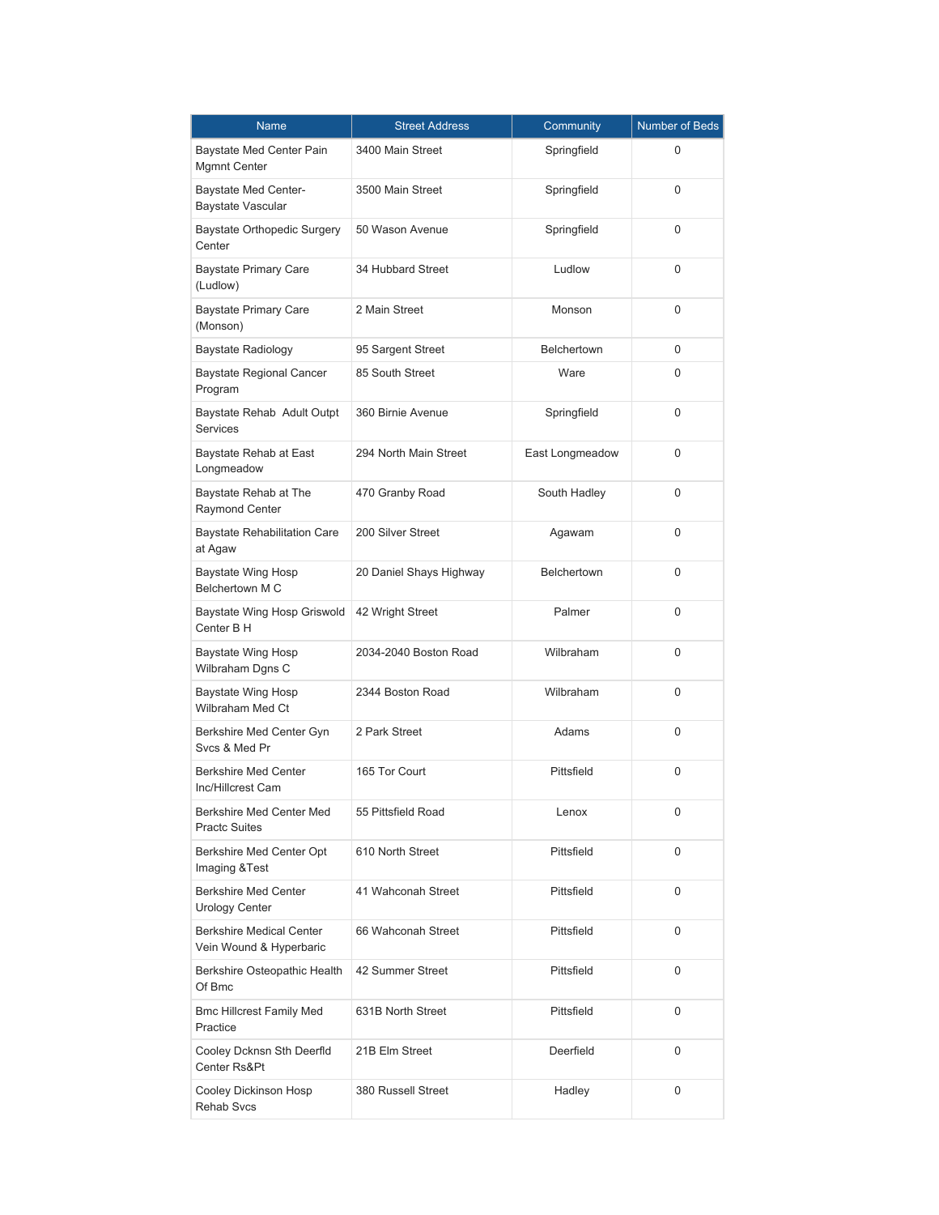| Name                                                       | <b>Street Address</b>   | Community          | Number of Beds |
|------------------------------------------------------------|-------------------------|--------------------|----------------|
| Baystate Med Center Pain<br>Mgmnt Center                   | 3400 Main Street        | Springfield        | 0              |
| Baystate Med Center-<br><b>Baystate Vascular</b>           | 3500 Main Street        | Springfield        | 0              |
| Baystate Orthopedic Surgery<br>Center                      | 50 Wason Avenue         | Springfield        | 0              |
| <b>Baystate Primary Care</b><br>(Ludlow)                   | 34 Hubbard Street       | Ludlow             | 0              |
| <b>Baystate Primary Care</b><br>(Monson)                   | 2 Main Street           | Monson             | 0              |
| Baystate Radiology                                         | 95 Sargent Street       | <b>Belchertown</b> | 0              |
| <b>Baystate Regional Cancer</b><br>Program                 | 85 South Street         | Ware               | 0              |
| Baystate Rehab Adult Outpt<br><b>Services</b>              | 360 Birnie Avenue       | Springfield        | 0              |
| Baystate Rehab at East<br>Longmeadow                       | 294 North Main Street   | East Longmeadow    | 0              |
| Baystate Rehab at The<br>Raymond Center                    | 470 Granby Road         | South Hadley       | 0              |
| <b>Baystate Rehabilitation Care</b><br>at Agaw             | 200 Silver Street       | Agawam             | 0              |
| <b>Baystate Wing Hosp</b><br><b>Belchertown M C</b>        | 20 Daniel Shays Highway | <b>Belchertown</b> | 0              |
| Baystate Wing Hosp Griswold<br>Center B H                  | 42 Wright Street        | Palmer             | 0              |
| Baystate Wing Hosp<br>Wilbraham Dgns C                     | 2034-2040 Boston Road   | Wilbraham          | 0              |
| Baystate Wing Hosp<br>Wilbraham Med Ct                     | 2344 Boston Road        | Wilbraham          | 0              |
| Berkshire Med Center Gyn<br>Svcs & Med Pr                  | 2 Park Street           | Adams              | 0              |
| <b>Berkshire Med Center</b><br>Inc/Hillcrest Cam           | 165 Tor Court           | Pittsfield         | 0              |
| Berkshire Med Center Med<br><b>Practc Suites</b>           | 55 Pittsfield Road      | Lenox              | 0              |
| Berkshire Med Center Opt<br>Imaging & Test                 | 610 North Street        | Pittsfield         | 0              |
| <b>Berkshire Med Center</b><br><b>Urology Center</b>       | 41 Wahconah Street      | Pittsfield         | 0              |
| <b>Berkshire Medical Center</b><br>Vein Wound & Hyperbaric | 66 Wahconah Street      | Pittsfield         | 0              |
| Berkshire Osteopathic Health<br>Of Bmc                     | 42 Summer Street        | Pittsfield         | 0              |
| <b>Bmc Hillcrest Family Med</b><br>Practice                | 631B North Street       | Pittsfield         | 0              |
| Cooley Dcknsn Sth Deerfld<br>Center Rs&Pt                  | 21B Elm Street          | Deerfield          | 0              |
| Cooley Dickinson Hosp<br><b>Rehab Svcs</b>                 | 380 Russell Street      | Hadley             | 0              |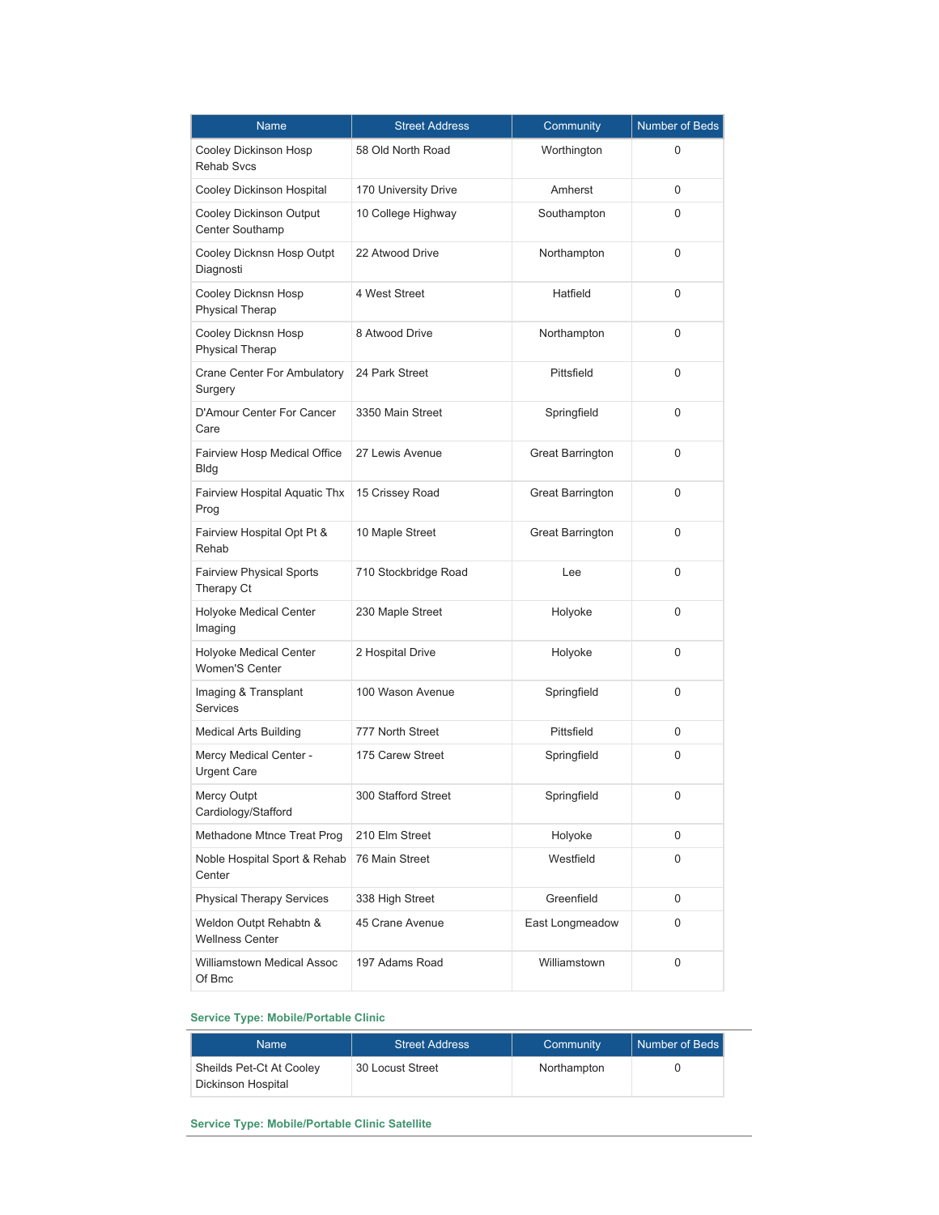| Name                                                   | <b>Street Address</b> | Community               | <b>Number of Beds</b> |
|--------------------------------------------------------|-----------------------|-------------------------|-----------------------|
| Cooley Dickinson Hosp<br><b>Rehab Svcs</b>             | 58 Old North Road     | Worthington             | 0                     |
| Cooley Dickinson Hospital                              | 170 University Drive  | Amherst                 | 0                     |
| Cooley Dickinson Output<br>Center Southamp             | 10 College Highway    | Southampton             | 0                     |
| Cooley Dicknsn Hosp Outpt<br>Diagnosti                 | 22 Atwood Drive       | Northampton             | 0                     |
| Cooley Dicknsn Hosp<br><b>Physical Therap</b>          | 4 West Street         | Hatfield                | 0                     |
| Cooley Dicknsn Hosp<br><b>Physical Therap</b>          | 8 Atwood Drive        | Northampton             | 0                     |
| Crane Center For Ambulatory<br>Surgery                 | 24 Park Street        | Pittsfield              | 0                     |
| D'Amour Center For Cancer<br>Care                      | 3350 Main Street      | Springfield             | 0                     |
| Fairview Hosp Medical Office<br><b>Bldg</b>            | 27 Lewis Avenue       | <b>Great Barrington</b> | 0                     |
| Fairview Hospital Aquatic Thx<br>Prog                  | 15 Crissey Road       | <b>Great Barrington</b> | 0                     |
| Fairview Hospital Opt Pt &<br>Rehab                    | 10 Maple Street       | <b>Great Barrington</b> | 0                     |
| <b>Fairview Physical Sports</b><br>Therapy Ct          | 710 Stockbridge Road  | Lee                     | 0                     |
| <b>Holyoke Medical Center</b><br>Imaging               | 230 Maple Street      | Holyoke                 | 0                     |
| <b>Holyoke Medical Center</b><br><b>Women'S Center</b> | 2 Hospital Drive      | Holyoke                 | 0                     |
| Imaging & Transplant<br><b>Services</b>                | 100 Wason Avenue      | Springfield             | 0                     |
| Medical Arts Building                                  | 777 North Street      | Pittsfield              | 0                     |
| Mercy Medical Center -<br><b>Urgent Care</b>           | 175 Carew Street      | Springfield             | 0                     |
| Mercy Outpt<br>Cardiology/Stafford                     | 300 Stafford Street   | Springfield             | 0                     |
| Methadone Mtnce Treat Prog                             | 210 Elm Street        | Holyoke                 | 0                     |
| Noble Hospital Sport & Rehab<br>Center                 | 76 Main Street        | Westfield               | 0                     |
| <b>Physical Therapy Services</b>                       | 338 High Street       | Greenfield              | 0                     |
| Weldon Outpt Rehabtn &<br><b>Wellness Center</b>       | 45 Crane Avenue       | East Longmeadow         | 0                     |
| Williamstown Medical Assoc<br>Of Bmc                   | 197 Adams Road        | Williamstown            | 0                     |

## **Service Type: Mobile/Portable Clinic**

| <b>Name</b>                                    | <b>Street Address</b> | Community   | Number of Beds |
|------------------------------------------------|-----------------------|-------------|----------------|
| Sheilds Pet-Ct At Cooley<br>Dickinson Hospital | 30 Locust Street      | Northampton |                |

**Service Type: Mobile/Portable Clinic Satellite**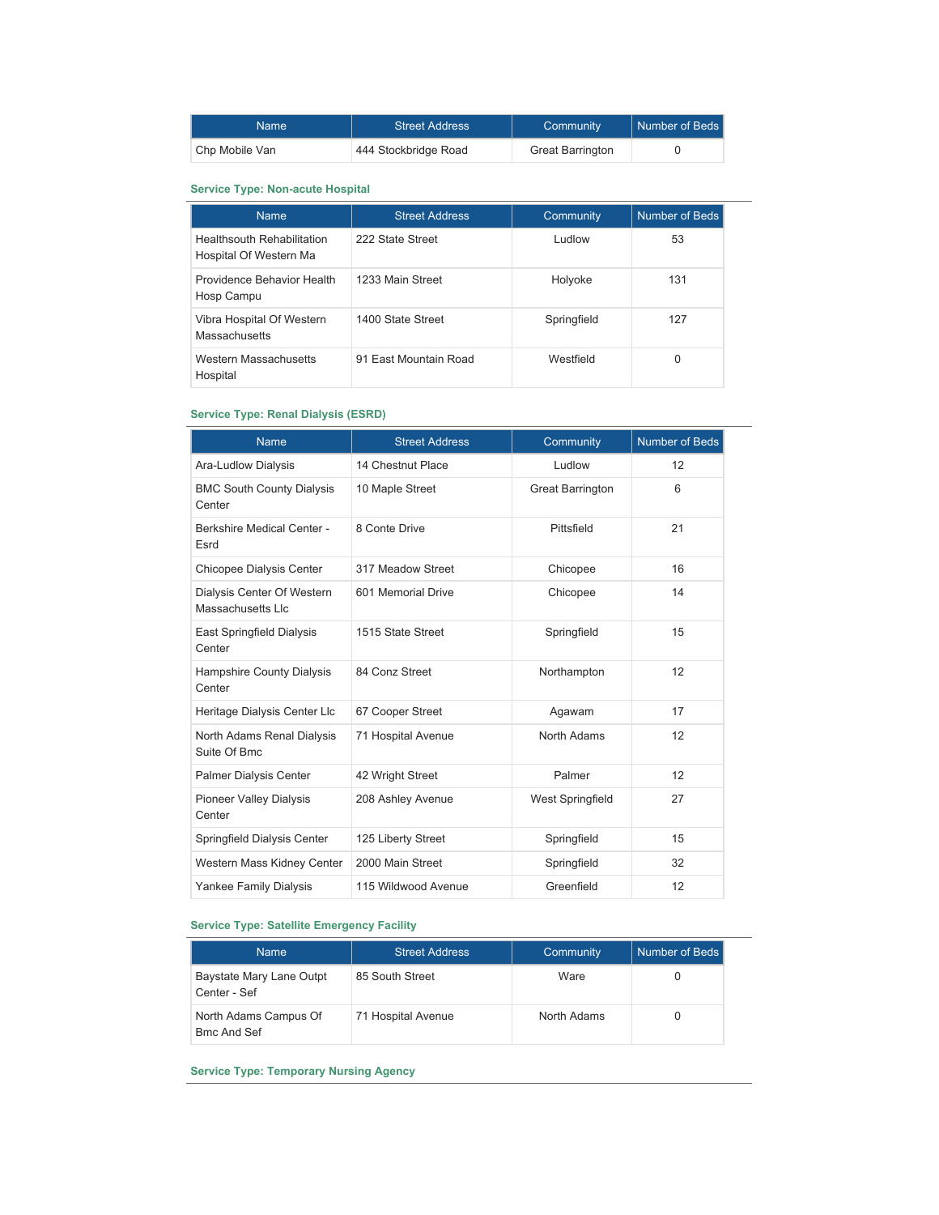| Namel          | <b>Street Address</b> | Community               | Number of Beds |
|----------------|-----------------------|-------------------------|----------------|
| Chp Mobile Van | 444 Stockbridge Road  | <b>Great Barrington</b> |                |

#### **Service Type: Non-acute Hospital**

| <b>Name</b>                                                 | <b>Street Address</b> | Community   | Number of Beds |
|-------------------------------------------------------------|-----------------------|-------------|----------------|
| <b>Healthsouth Rehabilitation</b><br>Hospital Of Western Ma | 222 State Street      | wolbu I     | 53             |
| Providence Behavior Health<br>Hosp Campu                    | 1233 Main Street      | Holyoke     | 131            |
| Vibra Hospital Of Western<br>Massachusetts                  | 1400 State Street     | Springfield | 127            |
| Western Massachusetts<br>Hospital                           | 91 East Mountain Road | Westfield   | 0              |

## **Service Type: Renal Dialysis (ESRD)**

| <b>Name</b>                                     | <b>Street Address</b> | Community               | <b>Number of Beds</b> |
|-------------------------------------------------|-----------------------|-------------------------|-----------------------|
| Ara-Ludlow Dialysis                             | 14 Chestnut Place     | Ludlow                  | 12                    |
| <b>BMC South County Dialysis</b><br>Center      | 10 Maple Street       | <b>Great Barrington</b> | 6                     |
| <b>Berkshire Medical Center -</b><br>Esrd       | 8 Conte Drive         | Pittsfield              | 21                    |
| Chicopee Dialysis Center                        | 317 Meadow Street     | Chicopee                | 16                    |
| Dialysis Center Of Western<br>Massachusetts Llc | 601 Memorial Drive    | Chicopee                | 14                    |
| East Springfield Dialysis<br>Center             | 1515 State Street     | Springfield             | 15                    |
| Hampshire County Dialysis<br>Center             | 84 Conz Street        | Northampton             | 12                    |
| Heritage Dialysis Center Llc                    | 67 Cooper Street      | Agawam                  | 17                    |
| North Adams Renal Dialysis<br>Suite Of Bmc      | 71 Hospital Avenue    | North Adams             | 12                    |
| <b>Palmer Dialysis Center</b>                   | 42 Wright Street      | Palmer                  | 12                    |
| <b>Pioneer Valley Dialysis</b><br>Center        | 208 Ashley Avenue     | <b>West Springfield</b> | 27                    |
| Springfield Dialysis Center                     | 125 Liberty Street    | Springfield             | 15                    |
| Western Mass Kidney Center                      | 2000 Main Street      | Springfield             | 32                    |
| Yankee Family Dialysis                          | 115 Wildwood Avenue   | Greenfield              | 12                    |

## **Service Type: Satellite Emergency Facility**

| <b>Name</b>                                 | <b>Street Address</b> | Community   | Number of Beds |
|---------------------------------------------|-----------------------|-------------|----------------|
| Baystate Mary Lane Outpt<br>Center - Sef    | 85 South Street       | Ware        |                |
| North Adams Campus Of<br><b>Bmc And Sef</b> | 71 Hospital Avenue    | North Adams |                |

**Service Type: Temporary Nursing Agency**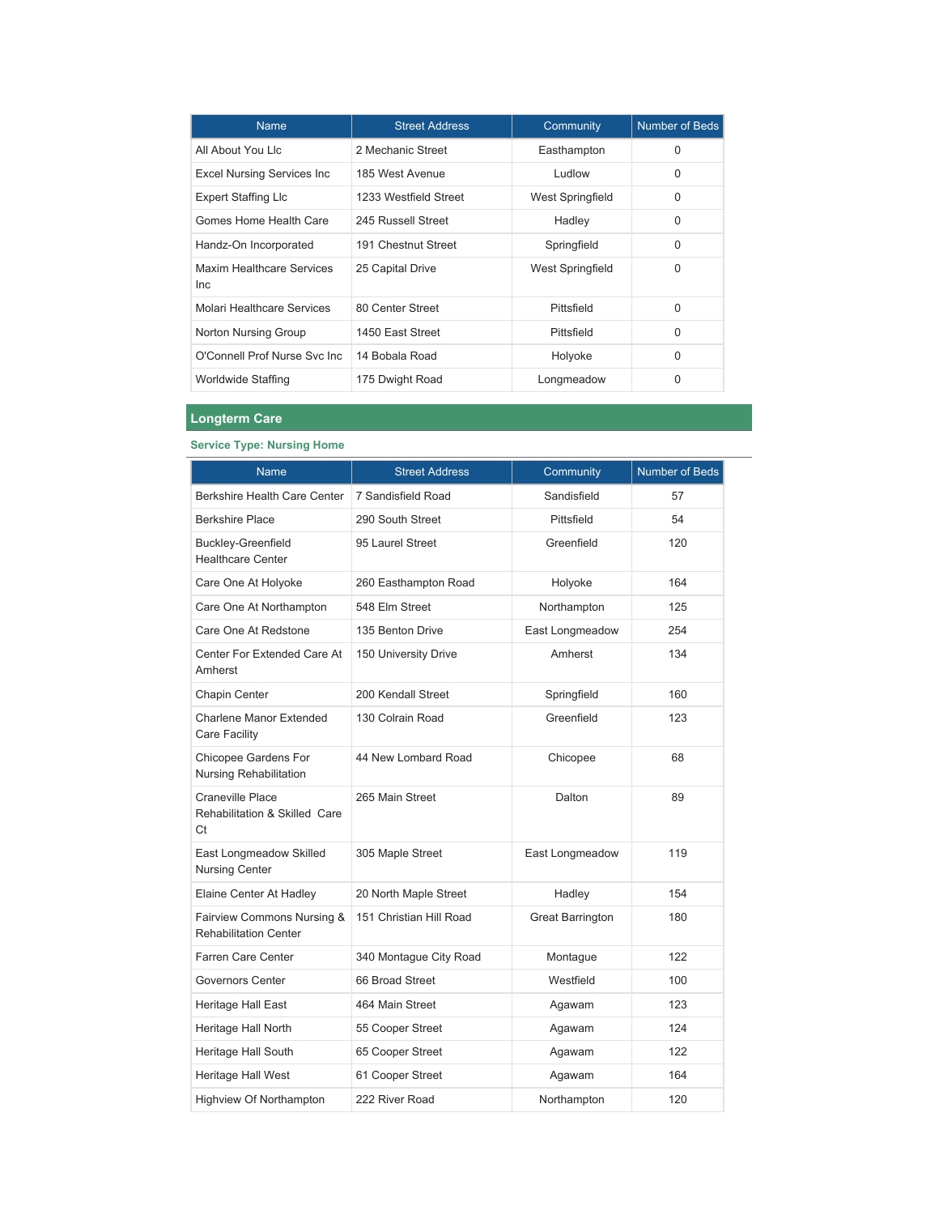| <b>Name</b>                                    | <b>Street Address</b> | Community        | Number of Beds |
|------------------------------------------------|-----------------------|------------------|----------------|
| All About You Llc                              | 2 Mechanic Street     | Easthampton      | $\Omega$       |
| <b>Excel Nursing Services Inc</b>              | 185 West Avenue       | <b>Ludlow</b>    | 0              |
| <b>Expert Staffing Llc</b>                     | 1233 Westfield Street | West Springfield | 0              |
| Gomes Home Health Care                         | 245 Russell Street    | Hadley           | 0              |
| Handz-On Incorporated                          | 191 Chestnut Street   | Springfield      | $\Omega$       |
| <b>Maxim Healthcare Services</b><br><b>Inc</b> | 25 Capital Drive      | West Springfield | 0              |
| Molari Healthcare Services                     | 80 Center Street      | Pittsfield       | $\Omega$       |
| Norton Nursing Group                           | 1450 East Street      | Pittsfield       | 0              |
| O'Connell Prof Nurse Svc Inc.                  | 14 Bobala Road        | Holyoke          | $\Omega$       |
| Worldwide Staffing                             | 175 Dwight Road       | Longmeadow       | $\Omega$       |

## **Longterm Care**

## **Service Type: Nursing Home**

| Name                                                           | <b>Street Address</b>   | Community               | Number of Beds |
|----------------------------------------------------------------|-------------------------|-------------------------|----------------|
| <b>Berkshire Health Care Center</b>                            | 7 Sandisfield Road      | Sandisfield             | 57             |
| <b>Berkshire Place</b>                                         | 290 South Street        | Pittsfield              | 54             |
| <b>Buckley-Greenfield</b><br><b>Healthcare Center</b>          | 95 Laurel Street        | Greenfield              | 120            |
| Care One At Holyoke                                            | 260 Easthampton Road    | Holyoke                 | 164            |
| Care One At Northampton                                        | 548 Elm Street          | Northampton             | 125            |
| Care One At Redstone                                           | 135 Benton Drive        | East Longmeadow         | 254            |
| Center For Extended Care At<br>Amherst                         | 150 University Drive    | Amherst                 | 134            |
| Chapin Center                                                  | 200 Kendall Street      | Springfield             | 160            |
| <b>Charlene Manor Extended</b><br>Care Facility                | 130 Colrain Road        | Greenfield              | 123            |
| Chicopee Gardens For<br><b>Nursing Rehabilitation</b>          | 44 New Lombard Road     | Chicopee                | 68             |
| <b>Craneville Place</b><br>Rehabilitation & Skilled Care<br>Ct | 265 Main Street         | Dalton                  | 89             |
| East Longmeadow Skilled<br><b>Nursing Center</b>               | 305 Maple Street        | East Longmeadow         | 119            |
| Elaine Center At Hadley                                        | 20 North Maple Street   | Hadley                  | 154            |
| Fairview Commons Nursing &<br><b>Rehabilitation Center</b>     | 151 Christian Hill Road | <b>Great Barrington</b> | 180            |
| Farren Care Center                                             | 340 Montague City Road  | Montague                | 122            |
| <b>Governors Center</b>                                        | 66 Broad Street         | Westfield               | 100            |
| <b>Heritage Hall East</b>                                      | 464 Main Street         | Agawam                  | 123            |
| Heritage Hall North                                            | 55 Cooper Street        | Agawam                  | 124            |
| Heritage Hall South                                            | 65 Cooper Street        | Agawam                  | 122            |
| Heritage Hall West                                             | 61 Cooper Street        | Agawam                  | 164            |
| Highview Of Northampton                                        | 222 River Road          | Northampton             | 120            |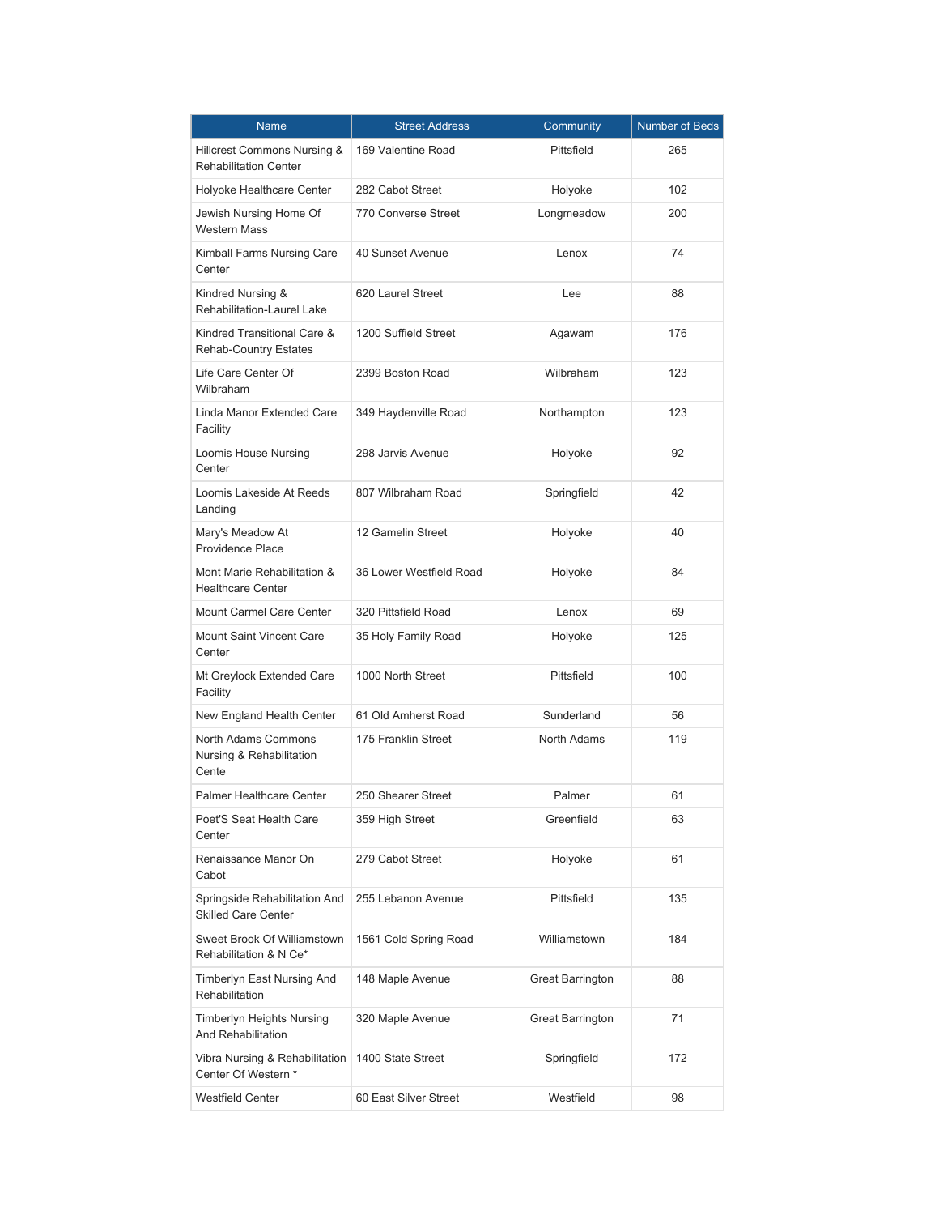| <b>Name</b>                                                 | <b>Street Address</b>   | Community               | Number of Beds |
|-------------------------------------------------------------|-------------------------|-------------------------|----------------|
| Hillcrest Commons Nursing &<br><b>Rehabilitation Center</b> | 169 Valentine Road      | Pittsfield              | 265            |
| Holyoke Healthcare Center                                   | 282 Cabot Street        | Holyoke                 | 102            |
| Jewish Nursing Home Of<br><b>Western Mass</b>               | 770 Converse Street     | Longmeadow              | 200            |
| Kimball Farms Nursing Care<br>Center                        | 40 Sunset Avenue        | Lenox                   | 74             |
| Kindred Nursing &<br>Rehabilitation-Laurel Lake             | 620 Laurel Street       | Lee                     | 88             |
| Kindred Transitional Care &<br><b>Rehab-Country Estates</b> | 1200 Suffield Street    | Agawam                  | 176            |
| Life Care Center Of<br>Wilbraham                            | 2399 Boston Road        | Wilbraham               | 123            |
| Linda Manor Extended Care<br>Facility                       | 349 Haydenville Road    | Northampton             | 123            |
| Loomis House Nursing<br>Center                              | 298 Jarvis Avenue       | Holyoke                 | 92             |
| Loomis Lakeside At Reeds<br>Landing                         | 807 Wilbraham Road      | Springfield             | 42             |
| Mary's Meadow At<br><b>Providence Place</b>                 | 12 Gamelin Street       | Holyoke                 | 40             |
| Mont Marie Rehabilitation &<br><b>Healthcare Center</b>     | 36 Lower Westfield Road | Holyoke                 | 84             |
| <b>Mount Carmel Care Center</b>                             | 320 Pittsfield Road     | Lenox                   | 69             |
| <b>Mount Saint Vincent Care</b><br>Center                   | 35 Holy Family Road     | Holyoke                 | 125            |
| Mt Greylock Extended Care<br>Facility                       | 1000 North Street       | Pittsfield              | 100            |
| New England Health Center                                   | 61 Old Amherst Road     | Sunderland              | 56             |
| North Adams Commons<br>Nursing & Rehabilitation<br>Cente    | 175 Franklin Street     | North Adams             | 119            |
| <b>Palmer Healthcare Center</b>                             | 250 Shearer Street      | Palmer                  | 61             |
| Poet'S Seat Health Care<br>Center                           | 359 High Street         | Greenfield              | 63             |
| Renaissance Manor On<br>Cabot                               | 279 Cabot Street        | Holyoke                 | 61             |
| Springside Rehabilitation And<br><b>Skilled Care Center</b> | 255 Lebanon Avenue      | Pittsfield              | 135            |
| Sweet Brook Of Williamstown<br>Rehabilitation & N Ce*       | 1561 Cold Spring Road   | Williamstown            | 184            |
| Timberlyn East Nursing And<br>Rehabilitation                | 148 Maple Avenue        | <b>Great Barrington</b> | 88             |
| <b>Timberlyn Heights Nursing</b><br>And Rehabilitation      | 320 Maple Avenue        | <b>Great Barrington</b> | 71             |
| Vibra Nursing & Rehabilitation<br>Center Of Western *       | 1400 State Street       | Springfield             | 172            |
| Westfield Center                                            | 60 East Silver Street   | Westfield               | 98             |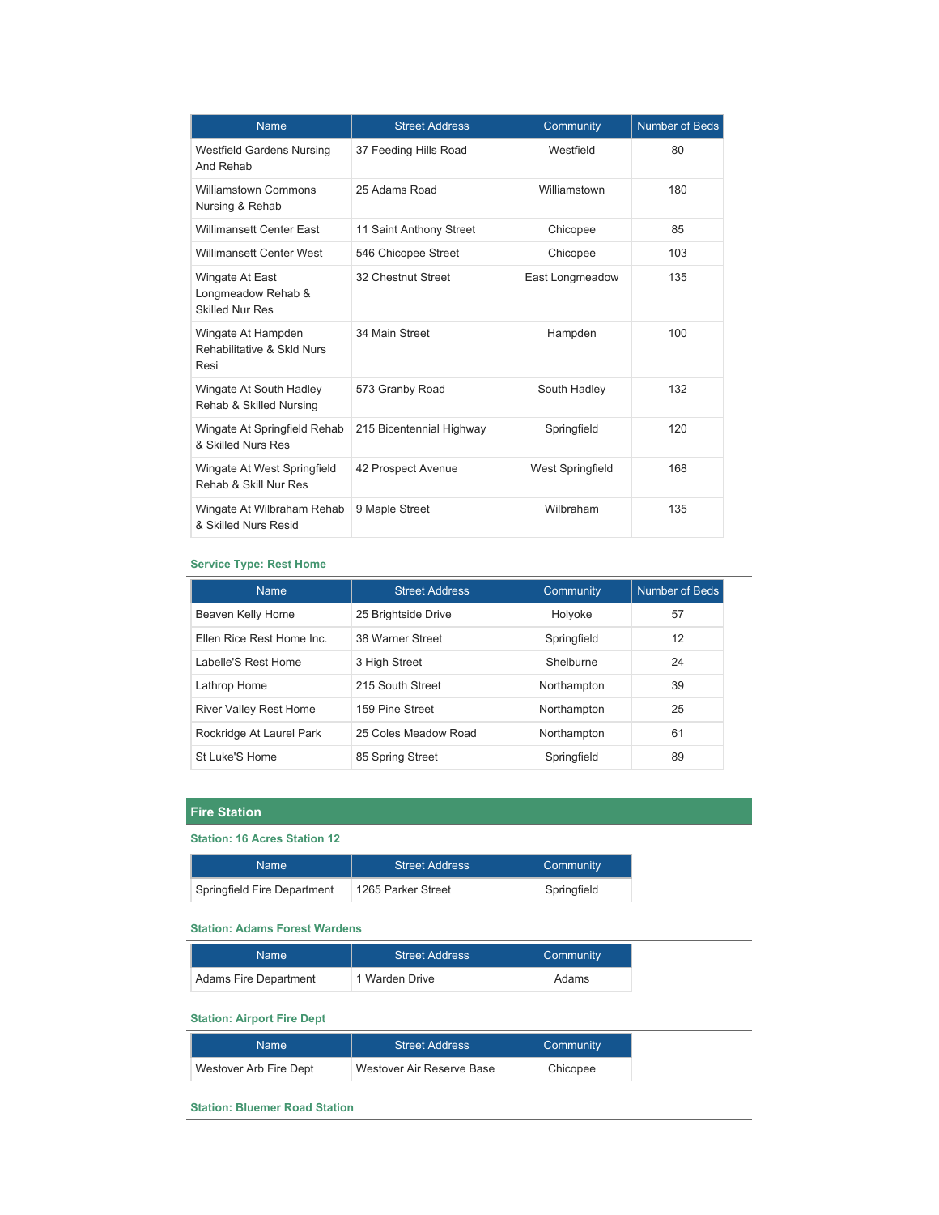| <b>Name</b>                                                     | <b>Street Address</b>    | Community               | <b>Number of Beds</b> |
|-----------------------------------------------------------------|--------------------------|-------------------------|-----------------------|
| <b>Westfield Gardens Nursing</b><br>And Rehab                   | 37 Feeding Hills Road    | Westfield               | 80                    |
| <b>Williamstown Commons</b><br>Nursing & Rehab                  | 25 Adams Road            | Williamstown            | 180                   |
| <b>Willimansett Center East</b>                                 | 11 Saint Anthony Street  | Chicopee                | 85                    |
| Willimansett Center West                                        | 546 Chicopee Street      | Chicopee                | 103                   |
| Wingate At East<br>Longmeadow Rehab &<br><b>Skilled Nur Res</b> | 32 Chestnut Street       | East Longmeadow         | 135                   |
| Wingate At Hampden<br>Rehabilitative & Skld Nurs<br>Resi        | 34 Main Street           | Hampden                 | 100                   |
| Wingate At South Hadley<br>Rehab & Skilled Nursing              | 573 Granby Road          | South Hadley            | 132                   |
| Wingate At Springfield Rehab<br>& Skilled Nurs Res              | 215 Bicentennial Highway | Springfield             | 120                   |
| Wingate At West Springfield<br>Rehab & Skill Nur Res            | 42 Prospect Avenue       | <b>West Springfield</b> | 168                   |
| Wingate At Wilbraham Rehab<br>& Skilled Nurs Resid              | 9 Maple Street           | Wilbraham               | 135                   |

## **Service Type: Rest Home**

| <b>Name</b>               | <b>Street Address</b> | Community   | Number of Beds |
|---------------------------|-----------------------|-------------|----------------|
| Beaven Kelly Home         | 25 Brightside Drive   | Holyoke     | 57             |
| Ellen Rice Rest Home Inc. | 38 Warner Street      | Springfield | 12             |
| Labelle'S Rest Home       | 3 High Street         | Shelburne   | 24             |
| Lathrop Home              | 215 South Street      | Northampton | 39             |
| River Valley Rest Home    | 159 Pine Street       | Northampton | 25             |
| Rockridge At Laurel Park  | 25 Coles Meadow Road  | Northampton | 61             |
| St Luke'S Home            | 85 Spring Street      | Springfield | 89             |

## **Fire Station**

#### **Station: 16 Acres Station 12**

| Name                        | <b>Street Address</b> | Community   |
|-----------------------------|-----------------------|-------------|
| Springfield Fire Department | 1265 Parker Street    | Springfield |

## **Station: Adams Forest Wardens**

| Name                  | <b>Street Address</b> | Community |
|-----------------------|-----------------------|-----------|
| Adams Fire Department | 1 Warden Drive        | Adams     |

#### **Station: Airport Fire Dept**

| <b>Name</b>            | <b>Street Address</b>     | Community |
|------------------------|---------------------------|-----------|
| Westover Arb Fire Dept | Westover Air Reserve Base | Chicopee  |

## **Station: Bluemer Road Station**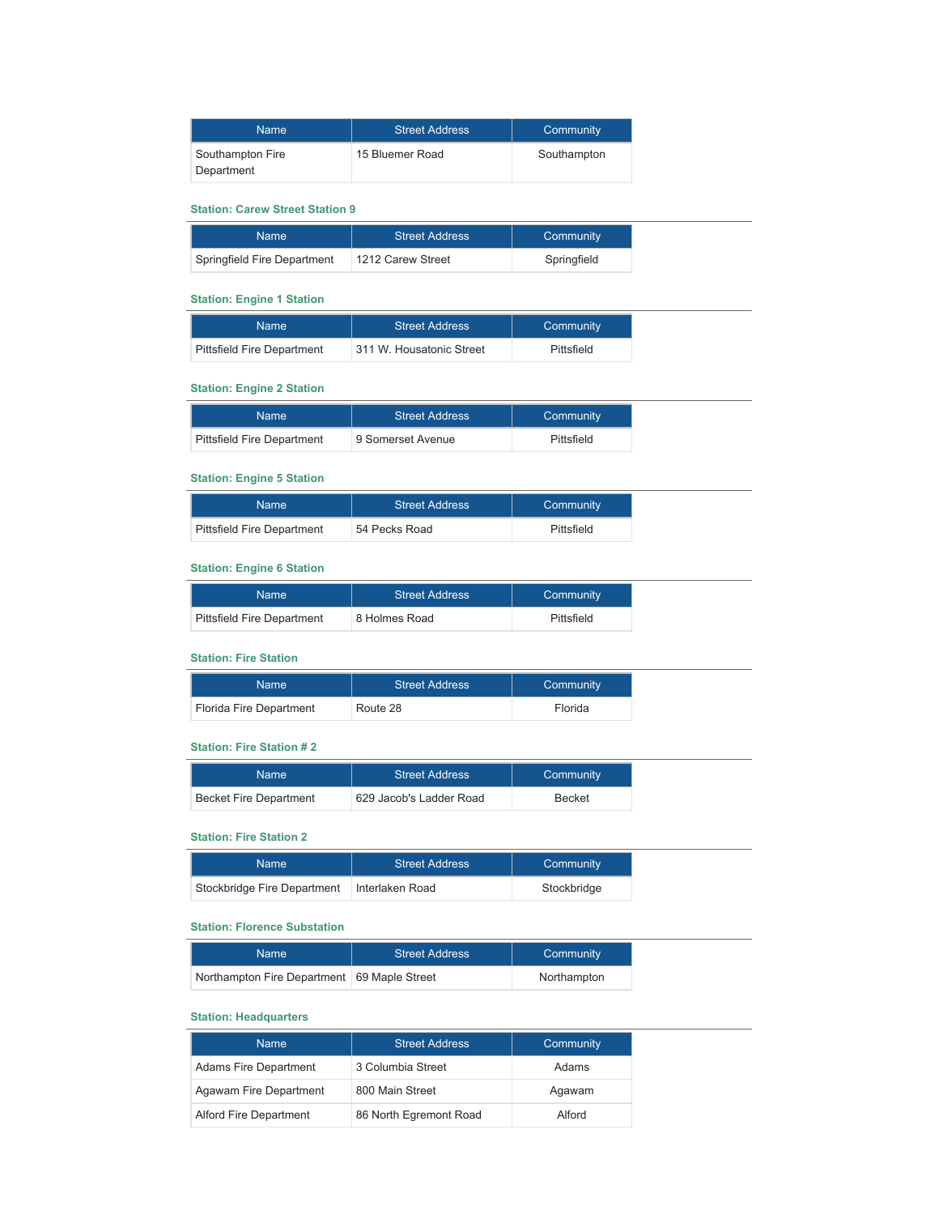| <b>Name</b>                    | <b>Street Address</b> | Community   |
|--------------------------------|-----------------------|-------------|
| Southampton Fire<br>Department | 15 Bluemer Road       | Southampton |

#### **Station: Carew Street Station 9**

| Name                        | <b>Street Address</b> | Community   |
|-----------------------------|-----------------------|-------------|
| Springfield Fire Department | 1212 Carew Street     | Springfield |

## **Station: Engine 1 Station**

| <b>Name</b>                       | <b>Street Address</b>    | Community  |
|-----------------------------------|--------------------------|------------|
| <b>Pittsfield Fire Department</b> | 311 W. Housatonic Street | Pittsfield |

#### **Station: Engine 2 Station**

| Name                              | <b>Street Address</b> | Community  |
|-----------------------------------|-----------------------|------------|
| <b>Pittsfield Fire Department</b> | 9 Somerset Avenue     | Pittsfield |

#### **Station: Engine 5 Station**

| Name                              | <b>Street Address</b> | Community  |
|-----------------------------------|-----------------------|------------|
| <b>Pittsfield Fire Department</b> | 54 Pecks Road         | Pittsfield |

#### **Station: Engine 6 Station**

| Name                              | <b>Street Address</b> | Community  |
|-----------------------------------|-----------------------|------------|
| <b>Pittsfield Fire Department</b> | 8 Holmes Road         | Pittsfield |

## **Station: Fire Station**

| Name:                   | <b>Street Address</b> | Community |
|-------------------------|-----------------------|-----------|
| Florida Fire Department | Route 28              | Florida   |

### **Station: Fire Station # 2**

| <b>Name</b>                   | <b>Street Address</b>   | Community     |
|-------------------------------|-------------------------|---------------|
| <b>Becket Fire Department</b> | 629 Jacob's Ladder Road | <b>Becket</b> |

### **Station: Fire Station 2**

| Name                        | <b>Street Address</b> | Community   |
|-----------------------------|-----------------------|-------------|
| Stockbridge Fire Department | Interlaken Road       | Stockbridge |

#### **Station: Florence Substation**

| Name                                          | <b>Street Address</b> | Community   |
|-----------------------------------------------|-----------------------|-------------|
| Northampton Fire Department   69 Maple Street |                       | Northampton |

#### **Station: Headquarters**

| <b>Name</b>                  | <b>Street Address</b>  | Community |
|------------------------------|------------------------|-----------|
| <b>Adams Fire Department</b> | 3 Columbia Street      | Adams     |
| Agawam Fire Department       | 800 Main Street        | Agawam    |
| Alford Fire Department       | 86 North Egremont Road | Alford    |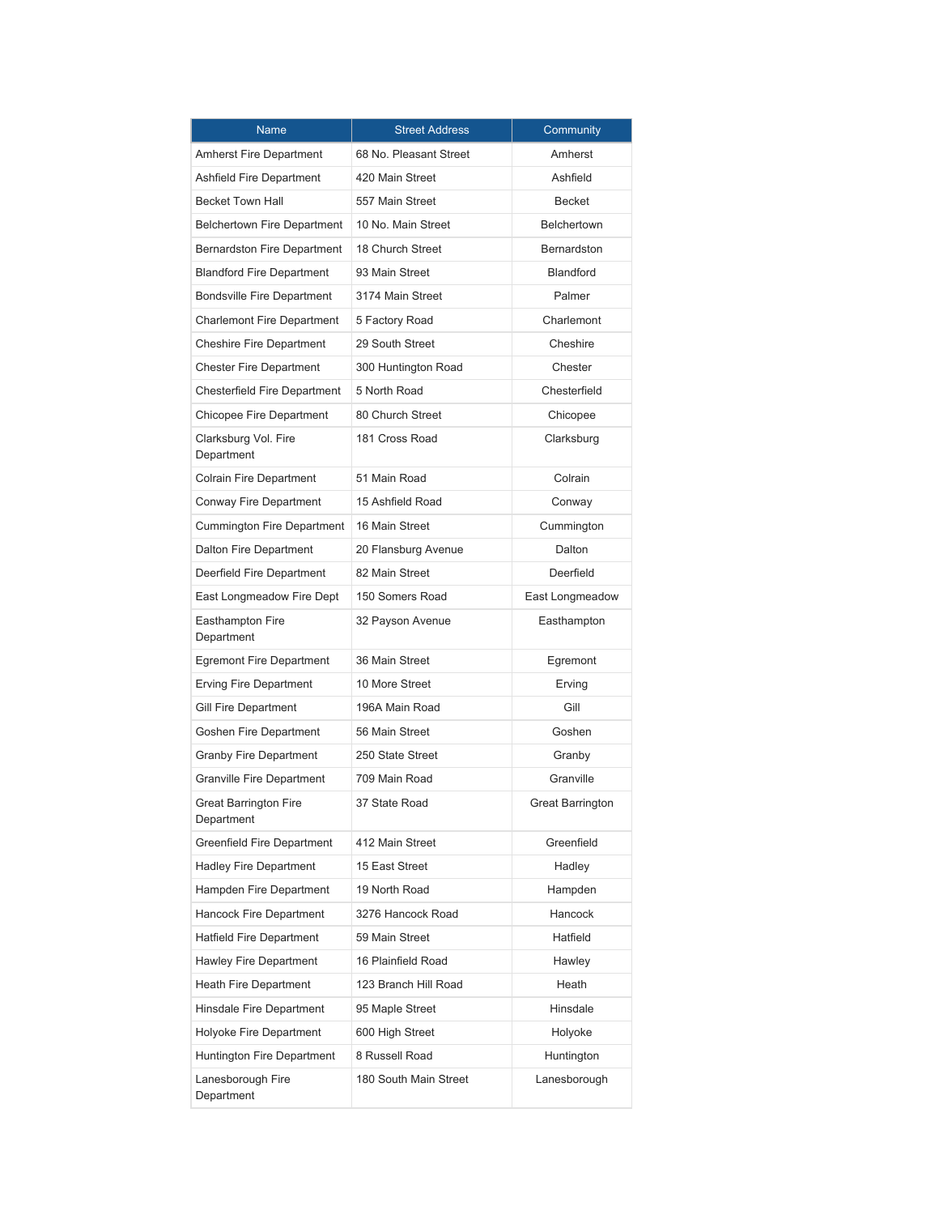| <b>Name</b>                                | <b>Street Address</b>  | Community          |
|--------------------------------------------|------------------------|--------------------|
| <b>Amherst Fire Department</b>             | 68 No. Pleasant Street | Amherst            |
| Ashfield Fire Department                   | 420 Main Street        | Ashfield           |
| <b>Becket Town Hall</b>                    | 557 Main Street        | Becket             |
| <b>Belchertown Fire Department</b>         | 10 No. Main Street     | <b>Belchertown</b> |
| <b>Bernardston Fire Department</b>         | 18 Church Street       | Bernardston        |
| <b>Blandford Fire Department</b>           | 93 Main Street         | <b>Blandford</b>   |
| <b>Bondsville Fire Department</b>          | 3174 Main Street       | Palmer             |
| <b>Charlemont Fire Department</b>          | 5 Factory Road         | Charlemont         |
| <b>Cheshire Fire Department</b>            | 29 South Street        | Cheshire           |
| <b>Chester Fire Department</b>             | 300 Huntington Road    | Chester            |
| <b>Chesterfield Fire Department</b>        | 5 North Road           | Chesterfield       |
| Chicopee Fire Department                   | 80 Church Street       | Chicopee           |
| Clarksburg Vol. Fire<br>Department         | 181 Cross Road         | Clarksburg         |
| <b>Colrain Fire Department</b>             | 51 Main Road           | Colrain            |
| Conway Fire Department                     | 15 Ashfield Road       | Conway             |
| <b>Cummington Fire Department</b>          | 16 Main Street         | Cummington         |
| <b>Dalton Fire Department</b>              | 20 Flansburg Avenue    | Dalton             |
| Deerfield Fire Department                  | 82 Main Street         | Deerfield          |
| East Longmeadow Fire Dept                  | 150 Somers Road        | East Longmeadow    |
| Easthampton Fire<br>Department             | 32 Payson Avenue       | Easthampton        |
| <b>Egremont Fire Department</b>            | 36 Main Street         | Egremont           |
| <b>Erving Fire Department</b>              | 10 More Street         | Erving             |
| Gill Fire Department                       | 196A Main Road         | Gill               |
| Goshen Fire Department                     | 56 Main Street         | Goshen             |
| <b>Granby Fire Department</b>              | 250 State Street       | Granby             |
| <b>Granville Fire Department</b>           | 709 Main Road          | Granville          |
| <b>Great Barrington Fire</b><br>Department | 37 State Road          | Great Barrington   |
| Greenfield Fire Department                 | 412 Main Street        | Greenfield         |
| <b>Hadley Fire Department</b>              | 15 East Street         | Hadley             |
| Hampden Fire Department                    | 19 North Road          | Hampden            |
| Hancock Fire Department                    | 3276 Hancock Road      | Hancock            |
| <b>Hatfield Fire Department</b>            | 59 Main Street         | Hatfield           |
| <b>Hawley Fire Department</b>              | 16 Plainfield Road     | Hawley             |
| Heath Fire Department                      | 123 Branch Hill Road   | Heath              |
| Hinsdale Fire Department                   | 95 Maple Street        | Hinsdale           |
| Holyoke Fire Department                    | 600 High Street        | Holyoke            |
| Huntington Fire Department                 | 8 Russell Road         | Huntington         |
| Lanesborough Fire<br>Department            | 180 South Main Street  | Lanesborough       |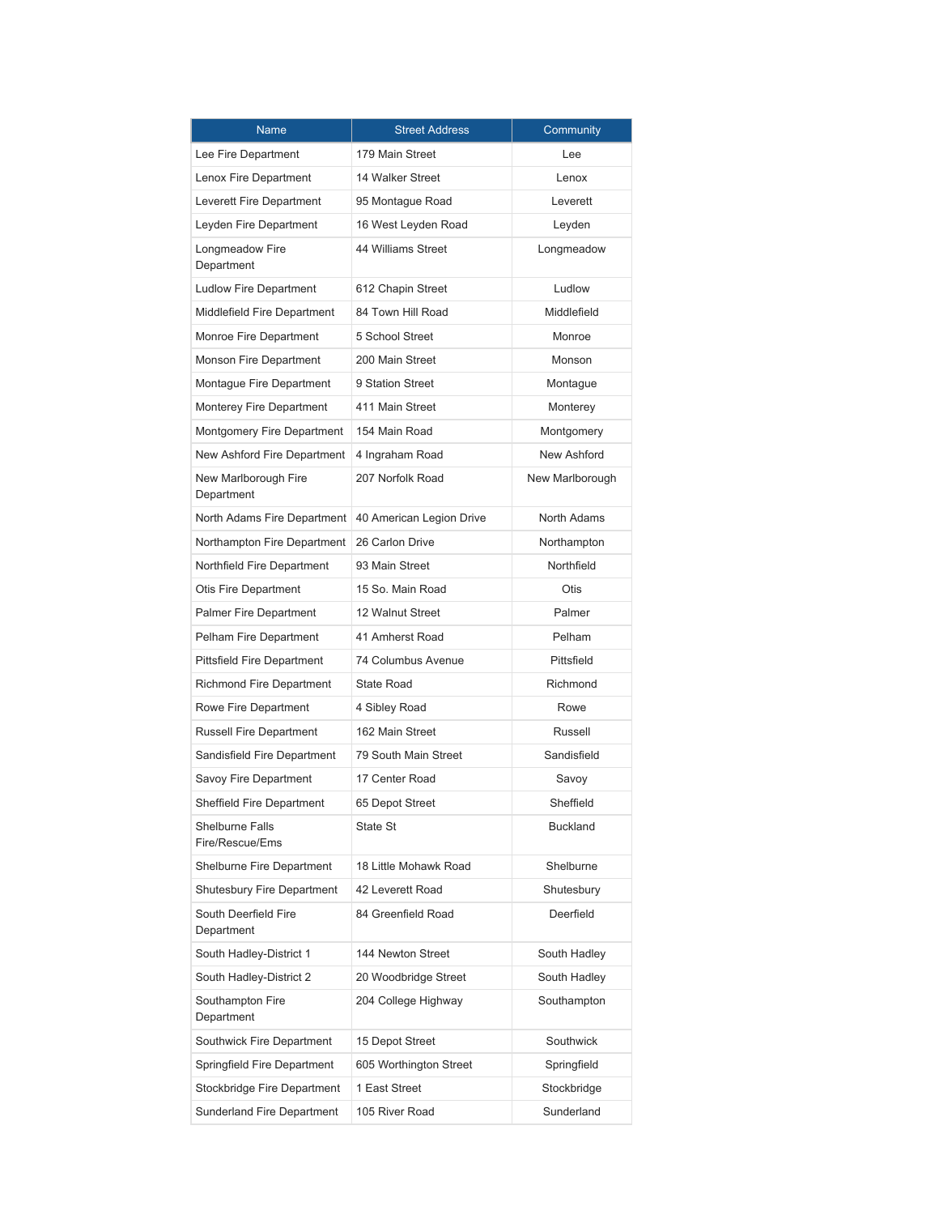| <b>Name</b>                        | <b>Street Address</b>    | Community       |
|------------------------------------|--------------------------|-----------------|
| Lee Fire Department                | 179 Main Street          | Lee             |
| Lenox Fire Department              | 14 Walker Street         | Lenox           |
| Leverett Fire Department           | 95 Montague Road         | Leverett        |
| Leyden Fire Department             | 16 West Leyden Road      | Leyden          |
| Longmeadow Fire<br>Department      | 44 Williams Street       | Longmeadow      |
| <b>Ludlow Fire Department</b>      | 612 Chapin Street        | Ludlow          |
| Middlefield Fire Department        | 84 Town Hill Road        | Middlefield     |
| Monroe Fire Department             | 5 School Street          | Monroe          |
| Monson Fire Department             | 200 Main Street          | Monson          |
| Montague Fire Department           | 9 Station Street         | Montague        |
| Monterey Fire Department           | 411 Main Street          | Monterey        |
| Montgomery Fire Department         | 154 Main Road            | Montgomery      |
| New Ashford Fire Department        | 4 Ingraham Road          | New Ashford     |
| New Marlborough Fire<br>Department | 207 Norfolk Road         | New Marlborough |
| North Adams Fire Department        | 40 American Legion Drive | North Adams     |
| Northampton Fire Department        | 26 Carlon Drive          | Northampton     |
| Northfield Fire Department         | 93 Main Street           | Northfield      |
| Otis Fire Department               | 15 So. Main Road         | <b>Otis</b>     |
| <b>Palmer Fire Department</b>      | 12 Walnut Street         | Palmer          |
| Pelham Fire Department             | 41 Amherst Road          | Pelham          |
| <b>Pittsfield Fire Department</b>  | 74 Columbus Avenue       | Pittsfield      |
| <b>Richmond Fire Department</b>    | <b>State Road</b>        | Richmond        |
| Rowe Fire Department               | 4 Sibley Road            | Rowe            |
| <b>Russell Fire Department</b>     | 162 Main Street          | Russell         |
| Sandisfield Fire Department        | 79 South Main Street     | Sandisfield     |
| Savoy Fire Department              | 17 Center Road           | Savoy           |
| Sheffield Fire Department          | 65 Depot Street          | Sheffield       |
| Shelburne Falls<br>Fire/Rescue/Ems | State St                 | <b>Buckland</b> |
| Shelburne Fire Department          | 18 Little Mohawk Road    | Shelburne       |
| <b>Shutesbury Fire Department</b>  | 42 Leverett Road         | Shutesbury      |
| South Deerfield Fire<br>Department | 84 Greenfield Road       | Deerfield       |
| South Hadley-District 1            | 144 Newton Street        | South Hadley    |
| South Hadley-District 2            | 20 Woodbridge Street     | South Hadley    |
| Southampton Fire<br>Department     | 204 College Highway      | Southampton     |
| Southwick Fire Department          | 15 Depot Street          | Southwick       |
| Springfield Fire Department        | 605 Worthington Street   | Springfield     |
| Stockbridge Fire Department        | 1 East Street            | Stockbridge     |
| Sunderland Fire Department         | 105 River Road           | Sunderland      |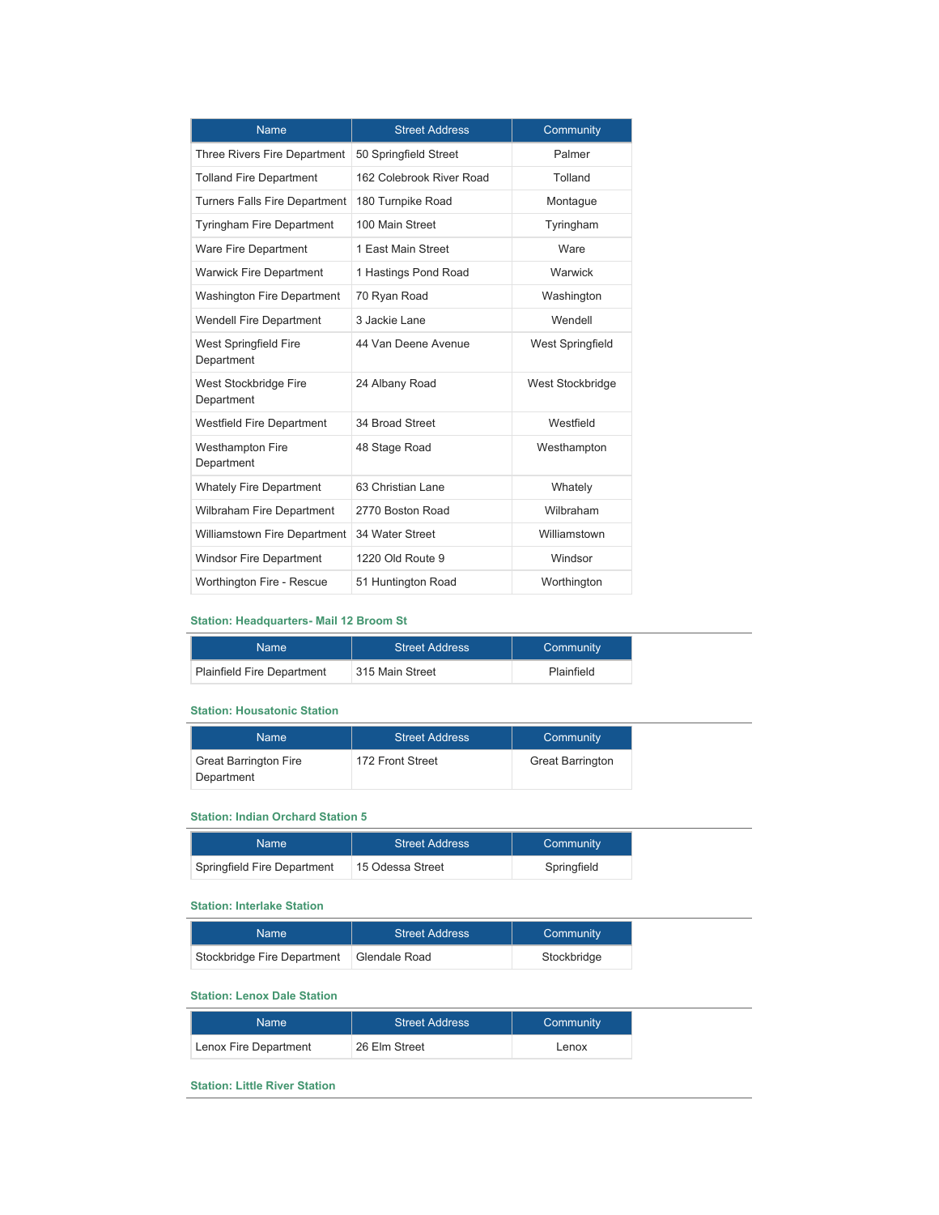| <b>Name</b>                          | <b>Street Address</b>    | Community        |
|--------------------------------------|--------------------------|------------------|
| Three Rivers Fire Department         | 50 Springfield Street    | Palmer           |
| <b>Tolland Fire Department</b>       | 162 Colebrook River Road | Tolland          |
| <b>Turners Falls Fire Department</b> | 180 Turnpike Road        | Montague         |
| <b>Tyringham Fire Department</b>     | 100 Main Street          | Tyringham        |
| <b>Ware Fire Department</b>          | 1 East Main Street       | Ware             |
| <b>Warwick Fire Department</b>       | 1 Hastings Pond Road     | Warwick          |
| <b>Washington Fire Department</b>    | 70 Ryan Road             | Washington       |
| <b>Wendell Fire Department</b>       | 3 Jackie Lane            | Wendell          |
| West Springfield Fire<br>Department  | 44 Van Deene Avenue      | West Springfield |
| West Stockbridge Fire<br>Department  | 24 Albany Road           | West Stockbridge |
| <b>Westfield Fire Department</b>     | 34 Broad Street          | Westfield        |
| Westhampton Fire<br>Department       | 48 Stage Road            | Westhampton      |
| <b>Whately Fire Department</b>       | 63 Christian Lane        | Whately          |
| <b>Wilbraham Fire Department</b>     | 2770 Boston Road         | Wilbraham        |
| Williamstown Fire Department         | 34 Water Street          | Williamstown     |
| Windsor Fire Department              | 1220 Old Route 9         | Windsor          |
| Worthington Fire - Rescue            | 51 Huntington Road       | Worthington      |

#### **Station: Headquarters- Mail 12 Broom St**

| Name                              | <b>Street Address</b> | Community  |
|-----------------------------------|-----------------------|------------|
| <b>Plainfield Fire Department</b> | 315 Main Street       | Plainfield |

### **Station: Housatonic Station**

| <b>Name</b>                                | <b>Street Address</b> | Community               |
|--------------------------------------------|-----------------------|-------------------------|
| <b>Great Barrington Fire</b><br>Department | 172 Front Street      | <b>Great Barrington</b> |

## **Station: Indian Orchard Station 5**

| Name                        | <b>Street Address</b> | Community   |
|-----------------------------|-----------------------|-------------|
| Springfield Fire Department | 15 Odessa Street      | Springfield |

#### **Station: Interlake Station**

| Name                        | <b>Street Address</b> | Community   |
|-----------------------------|-----------------------|-------------|
| Stockbridge Fire Department | Glendale Road         | Stockbridge |

### **Station: Lenox Dale Station**

| Name                  | <b>Street Address</b> | Community |
|-----------------------|-----------------------|-----------|
| Lenox Fire Department | 26 Elm Street         | Lenox     |

### **Station: Little River Station**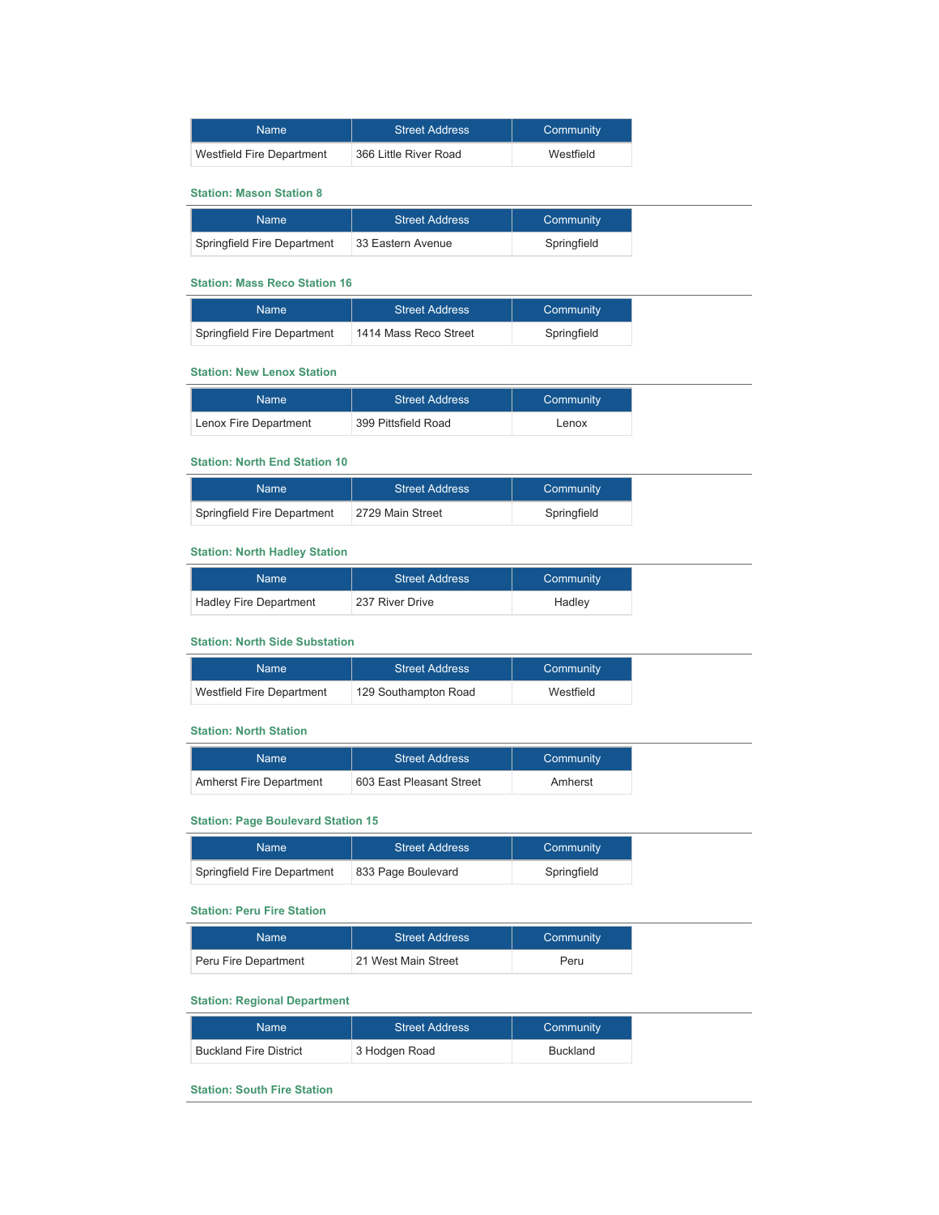| Name                      | <b>Street Address</b> | Community |
|---------------------------|-----------------------|-----------|
| Westfield Fire Department | 366 Little River Road | Westfield |

#### **Station: Mason Station 8**

| <b>Name</b>                 | <b>Street Address</b> | Community   |
|-----------------------------|-----------------------|-------------|
| Springfield Fire Department | ∣33 Eastern Avenue    | Springfield |

## **Station: Mass Reco Station 16**

| Name                        | <b>Street Address</b> | Community   |
|-----------------------------|-----------------------|-------------|
| Springfield Fire Department | 1414 Mass Reco Street | Springfield |

#### **Station: New Lenox Station**

| Name                  | <b>Street Address</b> | Community |
|-----------------------|-----------------------|-----------|
| Lenox Fire Department | 399 Pittsfield Road   | Lenox     |

#### **Station: North End Station 10**

| Name                        | <b>Street Address</b> | Community   |
|-----------------------------|-----------------------|-------------|
| Springfield Fire Department | 2729 Main Street      | Springfield |

#### **Station: North Hadley Station**

| Name                   | <b>Street Address</b> | Community |
|------------------------|-----------------------|-----------|
| Hadley Fire Department | 237 River Drive       | Hadley    |

#### **Station: North Side Substation**

| <b>Name</b>               | <b>Street Address</b> | Community |
|---------------------------|-----------------------|-----------|
| Westfield Fire Department | 129 Southampton Road  | Westfield |

#### **Station: North Station**

| Name                           | <b>Street Address</b>    | Community |
|--------------------------------|--------------------------|-----------|
| <b>Amherst Fire Department</b> | 603 East Pleasant Street | Amherst   |

## **Station: Page Boulevard Station 15**

| Name                        | <b>Street Address</b> | Community   |
|-----------------------------|-----------------------|-------------|
| Springfield Fire Department | 833 Page Boulevard    | Springfield |

#### **Station: Peru Fire Station**

| Name                 | <b>Street Address</b> | Community |
|----------------------|-----------------------|-----------|
| Peru Fire Department | 21 West Main Street   | Peru      |

#### **Station: Regional Department**

| Name                          | <b>Street Address</b> | Community |
|-------------------------------|-----------------------|-----------|
| <b>Buckland Fire District</b> | 3 Hodgen Road         | Buckland  |

**Station: South Fire Station**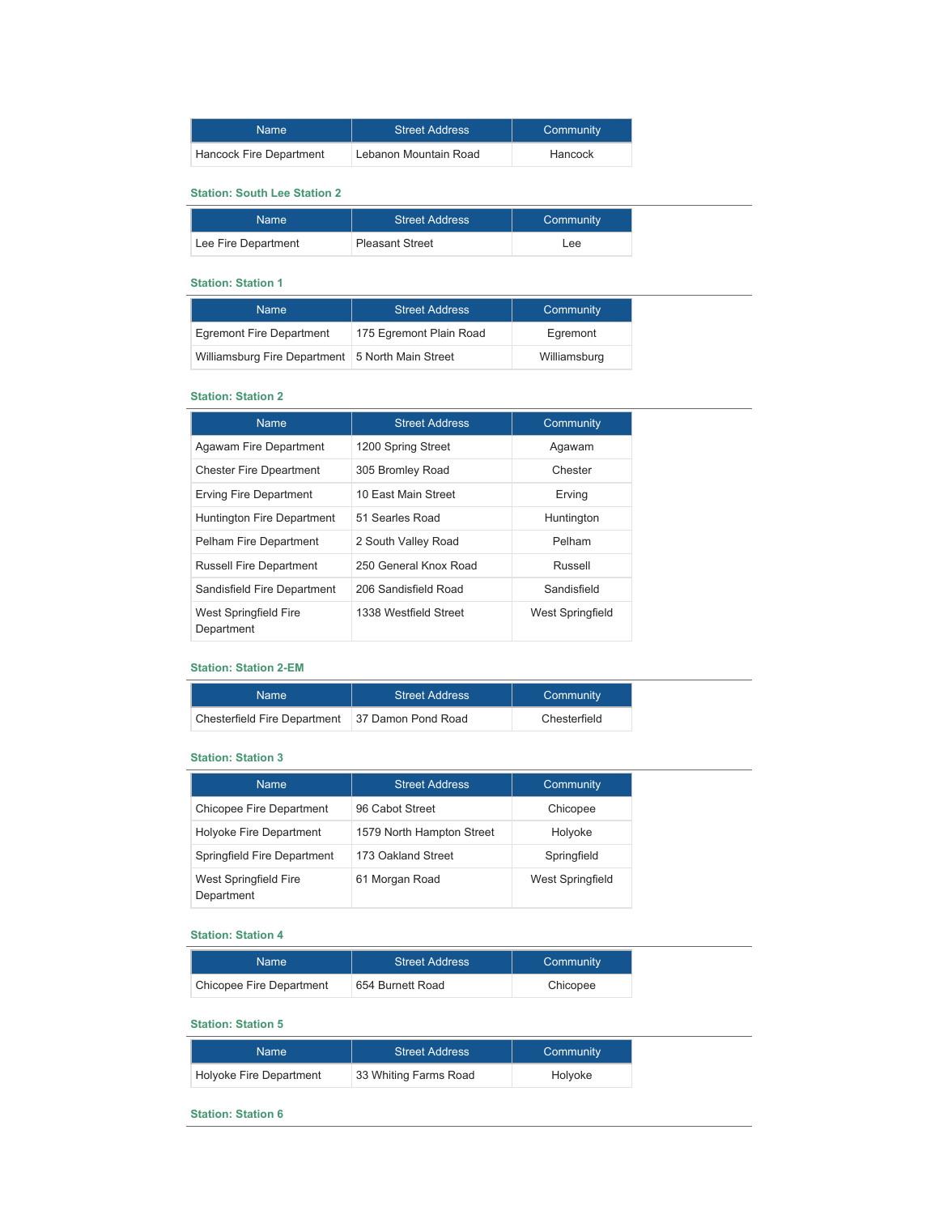| Name                    | <b>Street Address</b> | Community |
|-------------------------|-----------------------|-----------|
| Hancock Fire Department | Lebanon Mountain Road | Hancock   |

#### **Station: South Lee Station 2**

| Name:               | <b>Street Address</b>  | Community |
|---------------------|------------------------|-----------|
| Lee Fire Department | <b>Pleasant Street</b> | Lee       |

#### **Station: Station 1**

| <b>Name</b>                                      | <b>Street Address</b>   | Community    |
|--------------------------------------------------|-------------------------|--------------|
| Egremont Fire Department                         | 175 Egremont Plain Road | Egremont     |
| Williamsburg Fire Department 5 North Main Street |                         | Williamsburg |

## **Station: Station 2**

| <b>Name</b>                         | <b>Street Address</b> | Community        |
|-------------------------------------|-----------------------|------------------|
| Agawam Fire Department              | 1200 Spring Street    | Agawam           |
| <b>Chester Fire Dpeartment</b>      | 305 Bromley Road      | Chester          |
| Erving Fire Department              | 10 East Main Street   | Erving           |
| Huntington Fire Department          | 51 Searles Road       | Huntington       |
| Pelham Fire Department              | 2 South Valley Road   | Pelham           |
| <b>Russell Fire Department</b>      | 250 General Knox Road | Russell          |
| Sandisfield Fire Department         | 206 Sandisfield Road  | Sandisfield      |
| West Springfield Fire<br>Department | 1338 Westfield Street | West Springfield |

#### **Station: Station 2-EM**

| Name '                       | <b>Street Address</b> | Community    |
|------------------------------|-----------------------|--------------|
| Chesterfield Fire Department | 37 Damon Pond Road    | Chesterfield |

#### **Station: Station 3**

| <b>Name</b>                         | <b>Street Address</b>     | Community               |
|-------------------------------------|---------------------------|-------------------------|
| <b>Chicopee Fire Department</b>     | 96 Cabot Street           | Chicopee                |
| Holyoke Fire Department             | 1579 North Hampton Street | Holyoke                 |
| Springfield Fire Department         | 173 Oakland Street        | Springfield             |
| West Springfield Fire<br>Department | 61 Morgan Road            | <b>West Springfield</b> |

#### **Station: Station 4**

| Name                     | <b>Street Address</b> | Community |
|--------------------------|-----------------------|-----------|
| Chicopee Fire Department | 654 Burnett Road      | Chicopee  |

#### **Station: Station 5**

| Name                    | <b>Street Address</b>   | Community |
|-------------------------|-------------------------|-----------|
| Holyoke Fire Department | └ 33 Whiting Farms Road | Holyoke   |

#### **Station: Station 6**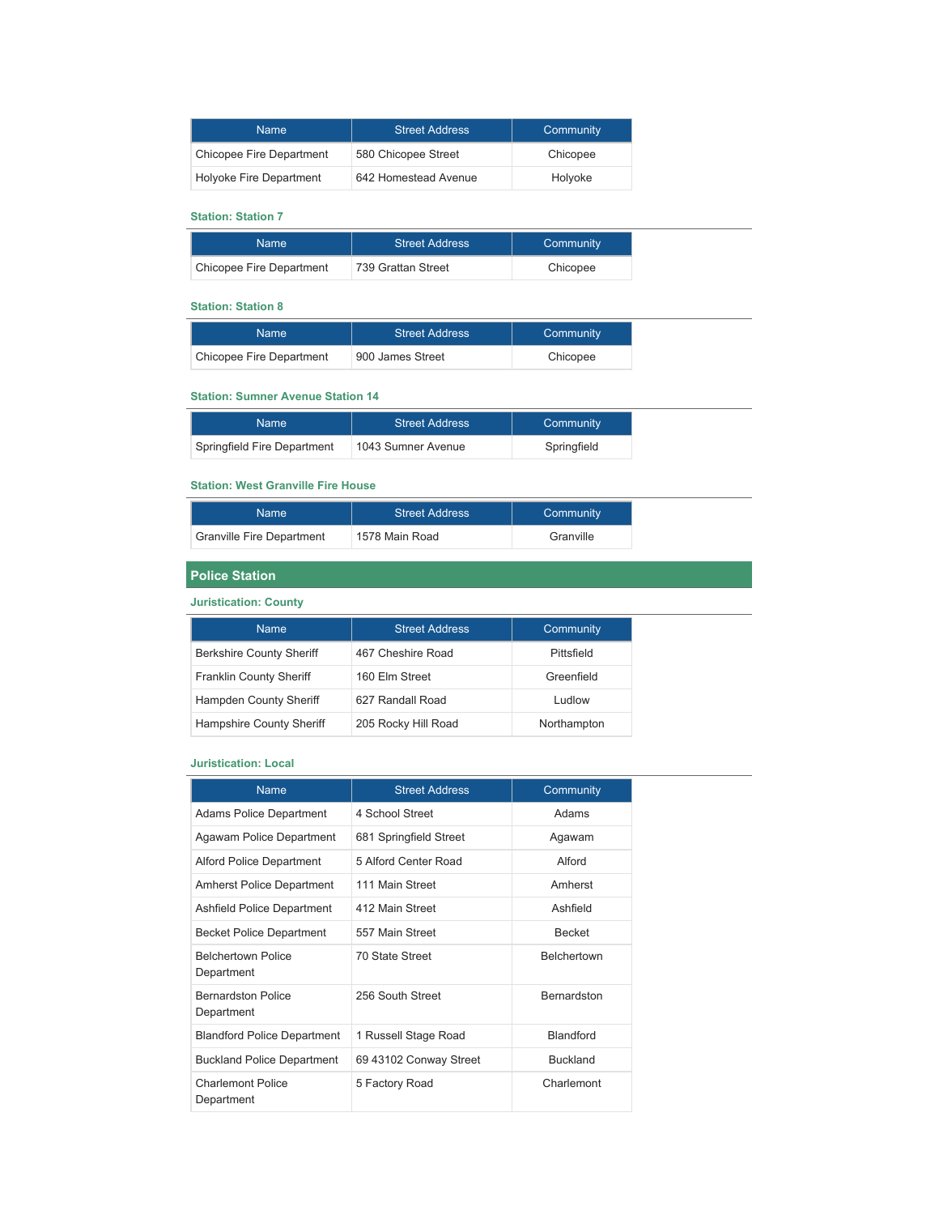| <b>Name</b>              | <b>Street Address</b> | Community |
|--------------------------|-----------------------|-----------|
| Chicopee Fire Department | 580 Chicopee Street   | Chicopee  |
| Holyoke Fire Department  | 642 Homestead Avenue  | Holyoke   |

## **Station: Station 7**

| Name '                   | <b>Street Address</b> | Community |
|--------------------------|-----------------------|-----------|
| Chicopee Fire Department | 739 Grattan Street    | Chicopee  |

# **Station: Station 8**

| Name:                    | <b>Street Address</b> | Community |
|--------------------------|-----------------------|-----------|
| Chicopee Fire Department | 900 James Street      | Chicopee  |

## **Station: Sumner Avenue Station 14**

| Name                        | <b>Street Address</b> | Community   |
|-----------------------------|-----------------------|-------------|
| Springfield Fire Department | 1043 Sumner Avenue    | Springfield |

#### **Station: West Granville Fire House**

| Name:                            | <b>Street Address</b> | Community |
|----------------------------------|-----------------------|-----------|
| <b>Granville Fire Department</b> | 1578 Main Road        | Granville |

## **Police Station**

#### **Juristication: County**

| <b>Name</b>                     | <b>Street Address</b> | Community     |
|---------------------------------|-----------------------|---------------|
| <b>Berkshire County Sheriff</b> | 467 Cheshire Road     | Pittsfield    |
| <b>Franklin County Sheriff</b>  | 160 Elm Street        | Greenfield    |
| Hampden County Sheriff          | 627 Randall Road      | <b>Ludlow</b> |
| Hampshire County Sheriff        | 205 Rocky Hill Road   | Northampton   |

## **Juristication: Local**

| <b>Name</b>                             | <b>Street Address</b>  | Community          |
|-----------------------------------------|------------------------|--------------------|
| <b>Adams Police Department</b>          | 4 School Street        | Adams              |
| Agawam Police Department                | 681 Springfield Street | Agawam             |
| <b>Alford Police Department</b>         | 5 Alford Center Road   | Alford             |
| <b>Amherst Police Department</b>        | 111 Main Street        | Amherst            |
| Ashfield Police Department              | 412 Main Street        | Ashfield           |
| <b>Becket Police Department</b>         | 557 Main Street        | <b>Becket</b>      |
| <b>Belchertown Police</b><br>Department | 70 State Street        | <b>Belchertown</b> |
| <b>Bernardston Police</b><br>Department | 256 South Street       | <b>Bernardston</b> |
| <b>Blandford Police Department</b>      | 1 Russell Stage Road   | Blandford          |
| <b>Buckland Police Department</b>       | 69 43102 Conway Street | <b>Buckland</b>    |
| <b>Charlemont Police</b><br>Department  | 5 Factory Road         | Charlemont         |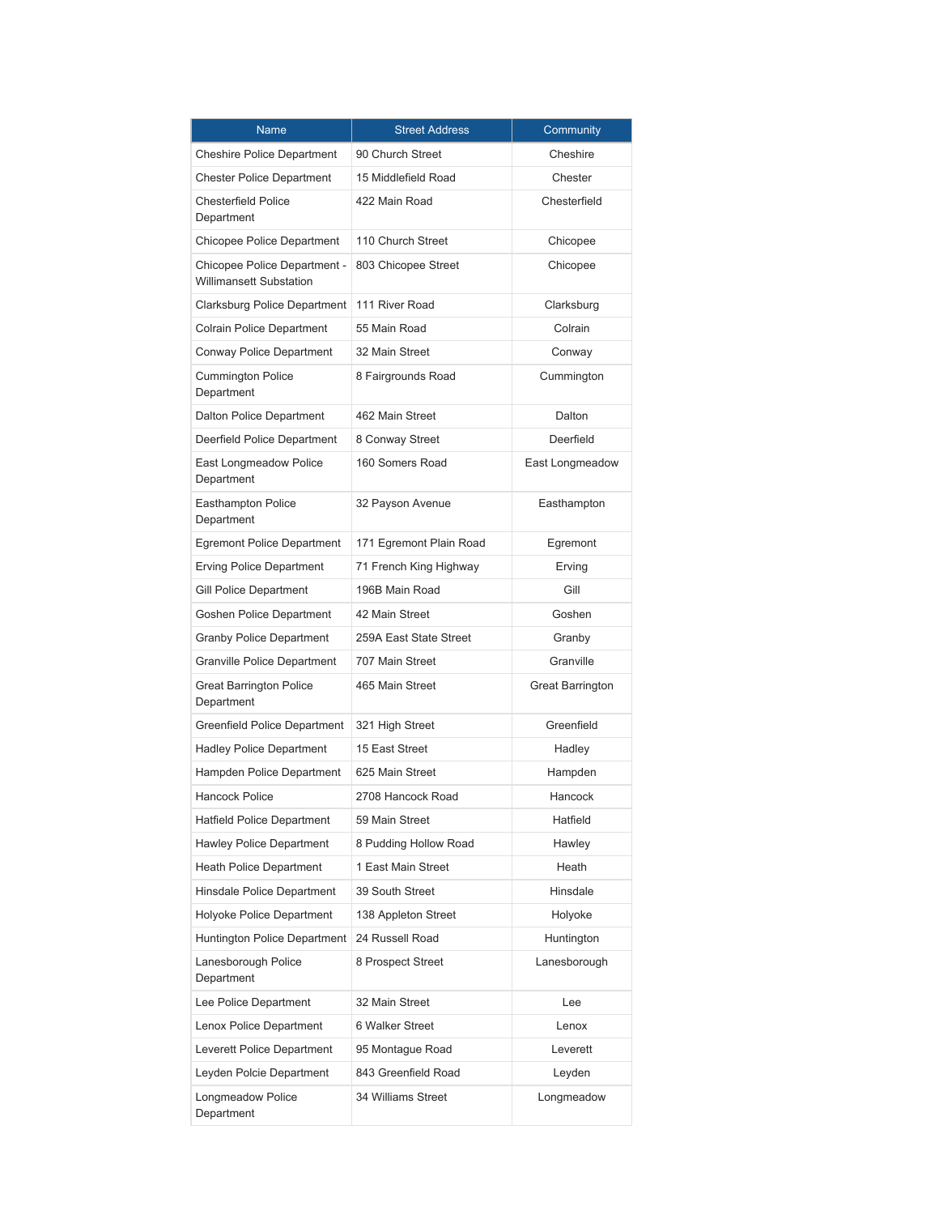| <b>Name</b>                                                    | <b>Street Address</b>   | Community               |
|----------------------------------------------------------------|-------------------------|-------------------------|
| <b>Cheshire Police Department</b>                              | 90 Church Street        | Cheshire                |
| <b>Chester Police Department</b>                               | 15 Middlefield Road     | Chester                 |
| <b>Chesterfield Police</b><br>Department                       | 422 Main Road           | Chesterfield            |
| Chicopee Police Department                                     | 110 Church Street       | Chicopee                |
| Chicopee Police Department -<br><b>Willimansett Substation</b> | 803 Chicopee Street     | Chicopee                |
| Clarksburg Police Department                                   | 111 River Road          | Clarksburg              |
| Colrain Police Department                                      | 55 Main Road            | Colrain                 |
| Conway Police Department                                       | 32 Main Street          | Conway                  |
| <b>Cummington Police</b><br>Department                         | 8 Fairgrounds Road      | Cummington              |
| Dalton Police Department                                       | 462 Main Street         | Dalton                  |
| Deerfield Police Department                                    | 8 Conway Street         | Deerfield               |
| East Longmeadow Police<br>Department                           | 160 Somers Road         | East Longmeadow         |
| <b>Easthampton Police</b><br>Department                        | 32 Payson Avenue        | Easthampton             |
| <b>Egremont Police Department</b>                              | 171 Egremont Plain Road | Egremont                |
| <b>Erving Police Department</b>                                | 71 French King Highway  | Erving                  |
| Gill Police Department                                         | 196B Main Road          | Gill                    |
| Goshen Police Department                                       | 42 Main Street          | Goshen                  |
| <b>Granby Police Department</b>                                | 259A East State Street  | Granby                  |
| <b>Granville Police Department</b>                             | 707 Main Street         | Granville               |
| <b>Great Barrington Police</b><br>Department                   | 465 Main Street         | <b>Great Barrington</b> |
| Greenfield Police Department                                   | 321 High Street         | Greenfield              |
| <b>Hadley Police Department</b>                                | 15 East Street          | Hadley                  |
| Hampden Police Department                                      | 625 Main Street         | Hampden                 |
| <b>Hancock Police</b>                                          | 2708 Hancock Road       | Hancock                 |
| <b>Hatfield Police Department</b>                              | 59 Main Street          | Hatfield                |
| <b>Hawley Police Department</b>                                | 8 Pudding Hollow Road   | Hawley                  |
| <b>Heath Police Department</b>                                 | 1 East Main Street      | Heath                   |
| Hinsdale Police Department                                     | 39 South Street         | Hinsdale                |
| Holyoke Police Department                                      | 138 Appleton Street     | Holyoke                 |
| <b>Huntington Police Department</b>                            | 24 Russell Road         | Huntington              |
| Lanesborough Police<br>Department                              | 8 Prospect Street       | Lanesborough            |
| Lee Police Department                                          | 32 Main Street          | Lee                     |
| Lenox Police Department                                        | 6 Walker Street         | Lenox                   |
| Leverett Police Department                                     | 95 Montague Road        | Leverett                |
| Leyden Polcie Department                                       | 843 Greenfield Road     | Leyden                  |
| Longmeadow Police<br>Department                                | 34 Williams Street      | Longmeadow              |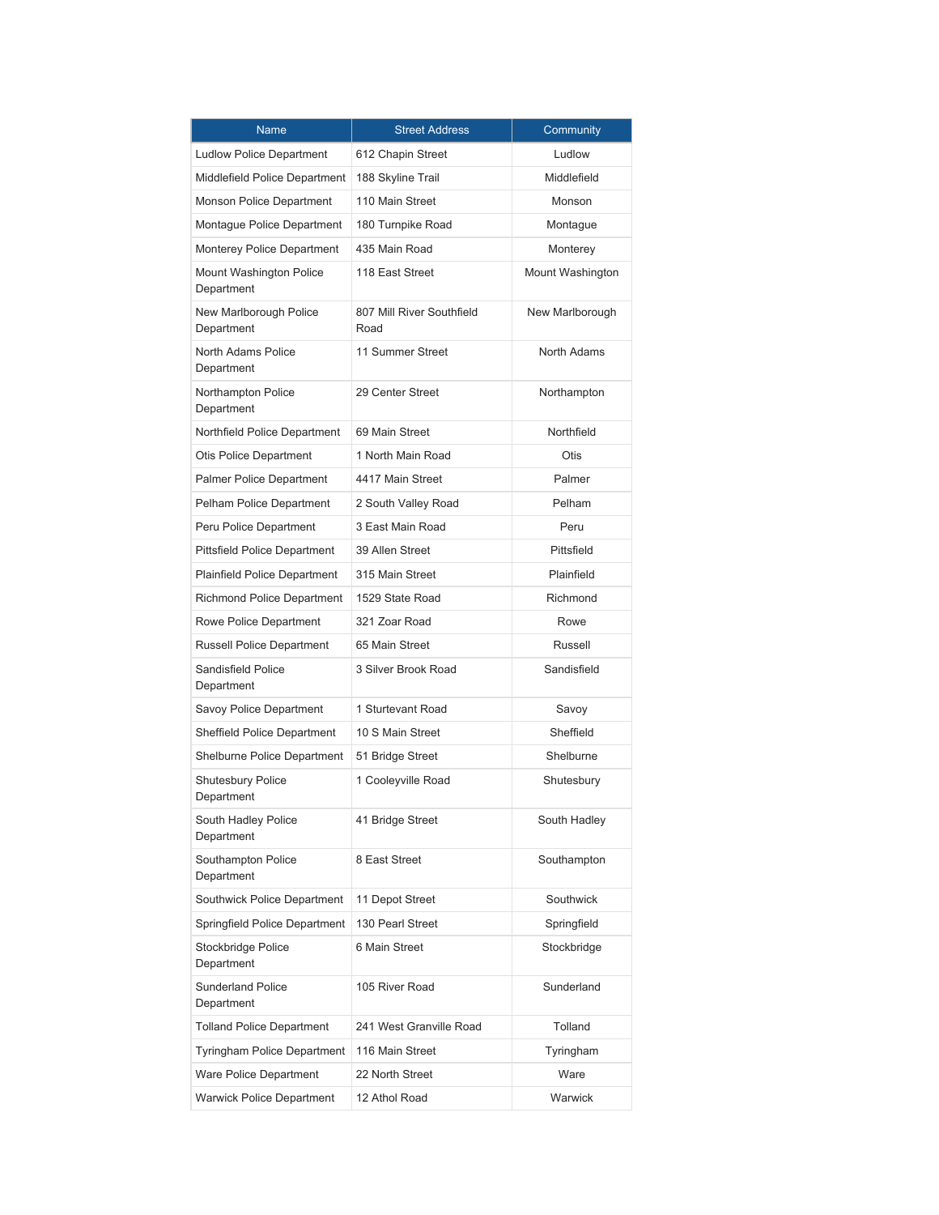| <b>Name</b>                             | <b>Street Address</b>             | Community        |
|-----------------------------------------|-----------------------------------|------------------|
| <b>Ludlow Police Department</b>         | 612 Chapin Street                 | Ludlow           |
| Middlefield Police Department           | 188 Skyline Trail                 | Middlefield      |
| Monson Police Department                | 110 Main Street                   | Monson           |
| Montague Police Department              | 180 Turnpike Road                 | Montaque         |
| Monterey Police Department              | 435 Main Road                     | Monterey         |
| Mount Washington Police<br>Department   | 118 East Street                   | Mount Washington |
| New Marlborough Police<br>Department    | 807 Mill River Southfield<br>Road | New Marlborough  |
| North Adams Police<br>Department        | 11 Summer Street                  | North Adams      |
| Northampton Police<br>Department        | 29 Center Street                  | Northampton      |
| Northfield Police Department            | 69 Main Street                    | Northfield       |
| Otis Police Department                  | 1 North Main Road                 | Otis             |
| <b>Palmer Police Department</b>         | 4417 Main Street                  | Palmer           |
| Pelham Police Department                | 2 South Valley Road               | Pelham           |
| Peru Police Department                  | 3 East Main Road                  | Peru             |
| <b>Pittsfield Police Department</b>     | 39 Allen Street                   | Pittsfield       |
| <b>Plainfield Police Department</b>     | 315 Main Street                   | Plainfield       |
| <b>Richmond Police Department</b>       | 1529 State Road                   | Richmond         |
| Rowe Police Department                  | 321 Zoar Road                     | Rowe             |
| <b>Russell Police Department</b>        | 65 Main Street                    | Russell          |
| <b>Sandisfield Police</b><br>Department | 3 Silver Brook Road               | Sandisfield      |
| Savoy Police Department                 | 1 Sturtevant Road                 | Savoy            |
| <b>Sheffield Police Department</b>      | 10 S Main Street                  | Sheffield        |
| Shelburne Police Department             | 51 Bridge Street                  | Shelburne        |
| Shutesbury Police<br>Department         | 1 Cooleyville Road                | Shutesbury       |
| South Hadley Police<br>Department       | 41 Bridge Street                  | South Hadley     |
| Southampton Police<br>Department        | 8 East Street                     | Southampton      |
| Southwick Police Department             | 11 Depot Street                   | Southwick        |
| Springfield Police Department           | 130 Pearl Street                  | Springfield      |
| Stockbridge Police<br>Department        | 6 Main Street                     | Stockbridge      |
| <b>Sunderland Police</b><br>Department  | 105 River Road                    | Sunderland       |
| <b>Tolland Police Department</b>        | 241 West Granville Road           | Tolland          |
| <b>Tyringham Police Department</b>      | 116 Main Street                   | Tyringham        |
| Ware Police Department                  | 22 North Street                   | Ware             |
| <b>Warwick Police Department</b>        | 12 Athol Road                     | Warwick          |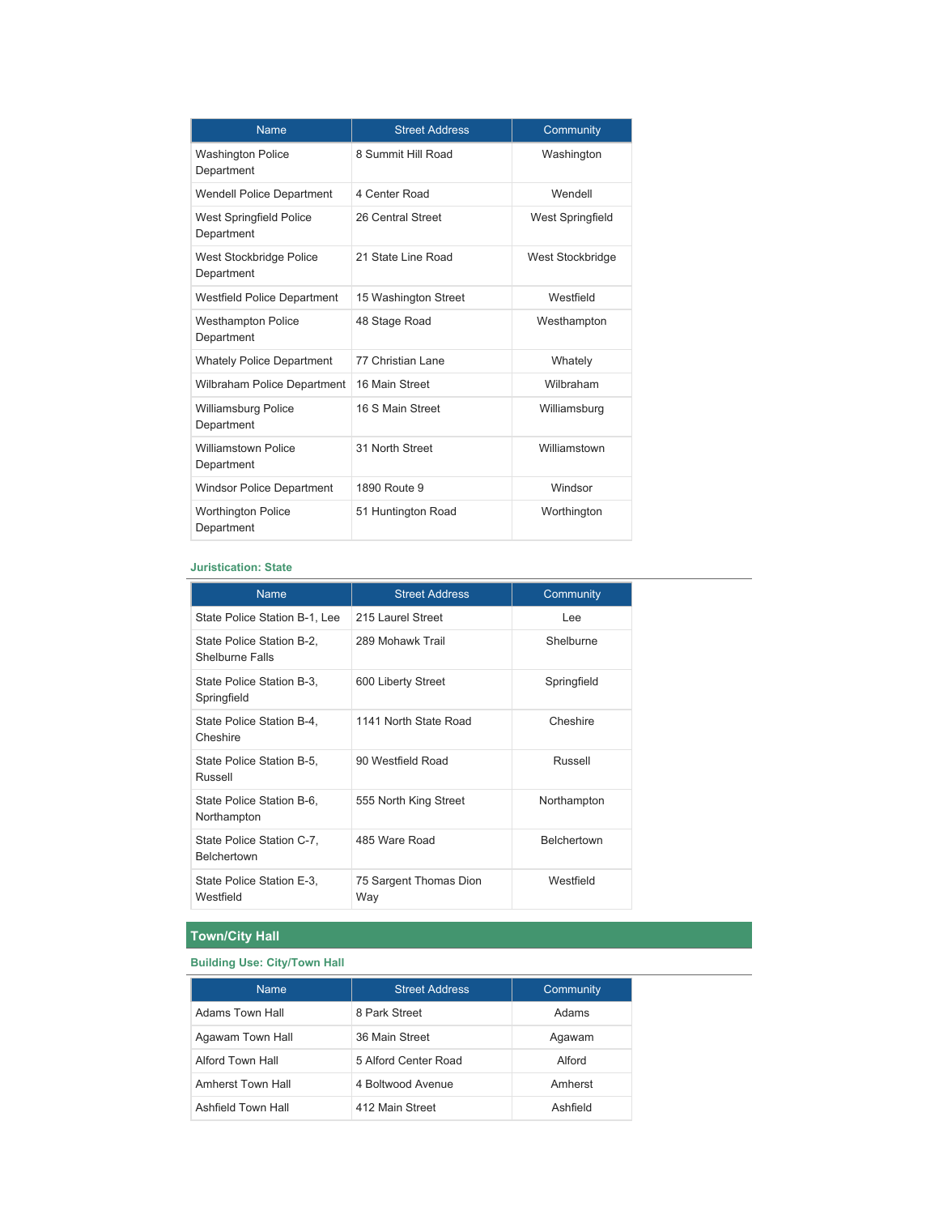| <b>Name</b>                                  | <b>Street Address</b> | Community        |
|----------------------------------------------|-----------------------|------------------|
| <b>Washington Police</b><br>Department       | 8 Summit Hill Road    | Washington       |
| <b>Wendell Police Department</b>             | 4 Center Road         | Wendell          |
| <b>West Springfield Police</b><br>Department | 26 Central Street     | West Springfield |
| West Stockbridge Police<br>Department        | 21 State Line Road    | West Stockbridge |
| <b>Westfield Police Department</b>           | 15 Washington Street  | Westfield        |
| <b>Westhampton Police</b><br>Department      | 48 Stage Road         | Westhampton      |
| <b>Whately Police Department</b>             | 77 Christian Lane     | Whately          |
| Wilbraham Police Department                  | 16 Main Street        | Wilbraham        |
| <b>Williamsburg Police</b><br>Department     | 16 S Main Street      | Williamsburg     |
| <b>Williamstown Police</b><br>Department     | 31 North Street       | Williamstown     |
| <b>Windsor Police Department</b>             | 1890 Route 9          | Windsor          |
| <b>Worthington Police</b><br>Department      | 51 Huntington Road    | Worthington      |

#### **Juristication: State**

| <b>Name</b>                                         | <b>Street Address</b>         | Community          |
|-----------------------------------------------------|-------------------------------|--------------------|
| State Police Station B-1, Lee                       | 215 Laurel Street             | Lee                |
| State Police Station B-2,<br><b>Shelburne Falls</b> | 289 Mohawk Trail              | Shelburne          |
| State Police Station B-3,<br>Springfield            | 600 Liberty Street            | Springfield        |
| State Police Station B-4,<br>Cheshire               | 1141 North State Road         | Cheshire           |
| State Police Station B-5,<br>Russell                | 90 Westfield Road             | Russell            |
| State Police Station B-6,<br>Northampton            | 555 North King Street         | Northampton        |
| State Police Station C-7,<br>Belchertown            | 485 Ware Road                 | <b>Belchertown</b> |
| State Police Station E-3,<br>Westfield              | 75 Sargent Thomas Dion<br>Way | Westfield          |

## **Town/City Hall**

## **Building Use: City/Town Hall**

| <b>Name</b>        | <b>Street Address</b> | Community |
|--------------------|-----------------------|-----------|
| Adams Town Hall    | 8 Park Street         | Adams     |
| Agawam Town Hall   | 36 Main Street        | Agawam    |
| Alford Town Hall   | 5 Alford Center Road  | Alford    |
| Amherst Town Hall  | 4 Boltwood Avenue     | Amherst   |
| Ashfield Town Hall | 412 Main Street       | Ashfield  |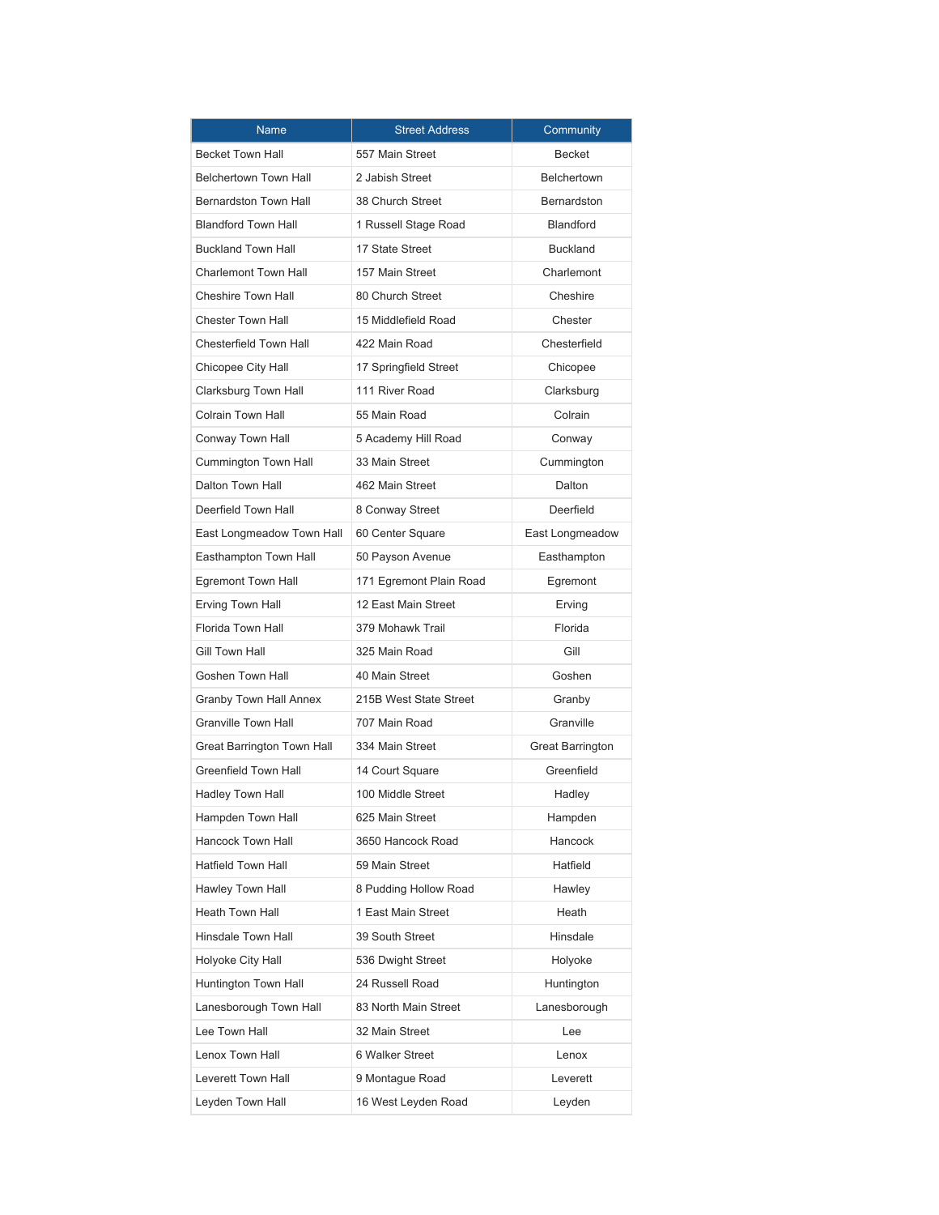| <b>Name</b>                   | <b>Street Address</b>   | Community          |
|-------------------------------|-------------------------|--------------------|
| <b>Becket Town Hall</b>       | 557 Main Street         | <b>Becket</b>      |
| <b>Belchertown Town Hall</b>  | 2 Jabish Street         | <b>Belchertown</b> |
| <b>Bernardston Town Hall</b>  | 38 Church Street        | <b>Bernardston</b> |
| <b>Blandford Town Hall</b>    | 1 Russell Stage Road    | <b>Blandford</b>   |
| <b>Buckland Town Hall</b>     | 17 State Street         | <b>Buckland</b>    |
| <b>Charlemont Town Hall</b>   | 157 Main Street         | Charlemont         |
| Cheshire Town Hall            | 80 Church Street        | Cheshire           |
| <b>Chester Town Hall</b>      | 15 Middlefield Road     | Chester            |
| <b>Chesterfield Town Hall</b> | 422 Main Road           | Chesterfield       |
| Chicopee City Hall            | 17 Springfield Street   | Chicopee           |
| Clarksburg Town Hall          | 111 River Road          | Clarksburg         |
| <b>Colrain Town Hall</b>      | 55 Main Road            | Colrain            |
| Conway Town Hall              | 5 Academy Hill Road     | Conway             |
| Cummington Town Hall          | 33 Main Street          | Cummington         |
| <b>Dalton Town Hall</b>       | 462 Main Street         | Dalton             |
| Deerfield Town Hall           | 8 Conway Street         | Deerfield          |
| East Longmeadow Town Hall     | 60 Center Square        | East Longmeadow    |
| Easthampton Town Hall         | 50 Payson Avenue        | Easthampton        |
| Egremont Town Hall            | 171 Egremont Plain Road | Egremont           |
| Erving Town Hall              | 12 East Main Street     | Erving             |
| Florida Town Hall             | 379 Mohawk Trail        | Florida            |
| Gill Town Hall                | 325 Main Road           | Gill               |
| <b>Goshen Town Hall</b>       | 40 Main Street          | Goshen             |
| Granby Town Hall Annex        | 215B West State Street  | Granby             |
| <b>Granville Town Hall</b>    | 707 Main Road           | Granville          |
| Great Barrington Town Hall    | 334 Main Street         | Great Barrington   |
| Greenfield Town Hall          | 14 Court Square         | Greenfield         |
| Hadley Town Hall              | 100 Middle Street       | Hadley             |
| Hampden Town Hall             | 625 Main Street         | Hampden            |
| <b>Hancock Town Hall</b>      | 3650 Hancock Road       | <b>Hancock</b>     |
| <b>Hatfield Town Hall</b>     | 59 Main Street          | Hatfield           |
| Hawley Town Hall              | 8 Pudding Hollow Road   | Hawley             |
| <b>Heath Town Hall</b>        | 1 East Main Street      | Heath              |
| Hinsdale Town Hall            | 39 South Street         | Hinsdale           |
| Holyoke City Hall             | 536 Dwight Street       | Holyoke            |
| Huntington Town Hall          | 24 Russell Road         | Huntington         |
| Lanesborough Town Hall        | 83 North Main Street    | Lanesborough       |
| Lee Town Hall                 | 32 Main Street          | Lee                |
| Lenox Town Hall               | 6 Walker Street         | Lenox              |
| Leverett Town Hall            | 9 Montague Road         | Leverett           |
| Leyden Town Hall              | 16 West Leyden Road     | Leyden             |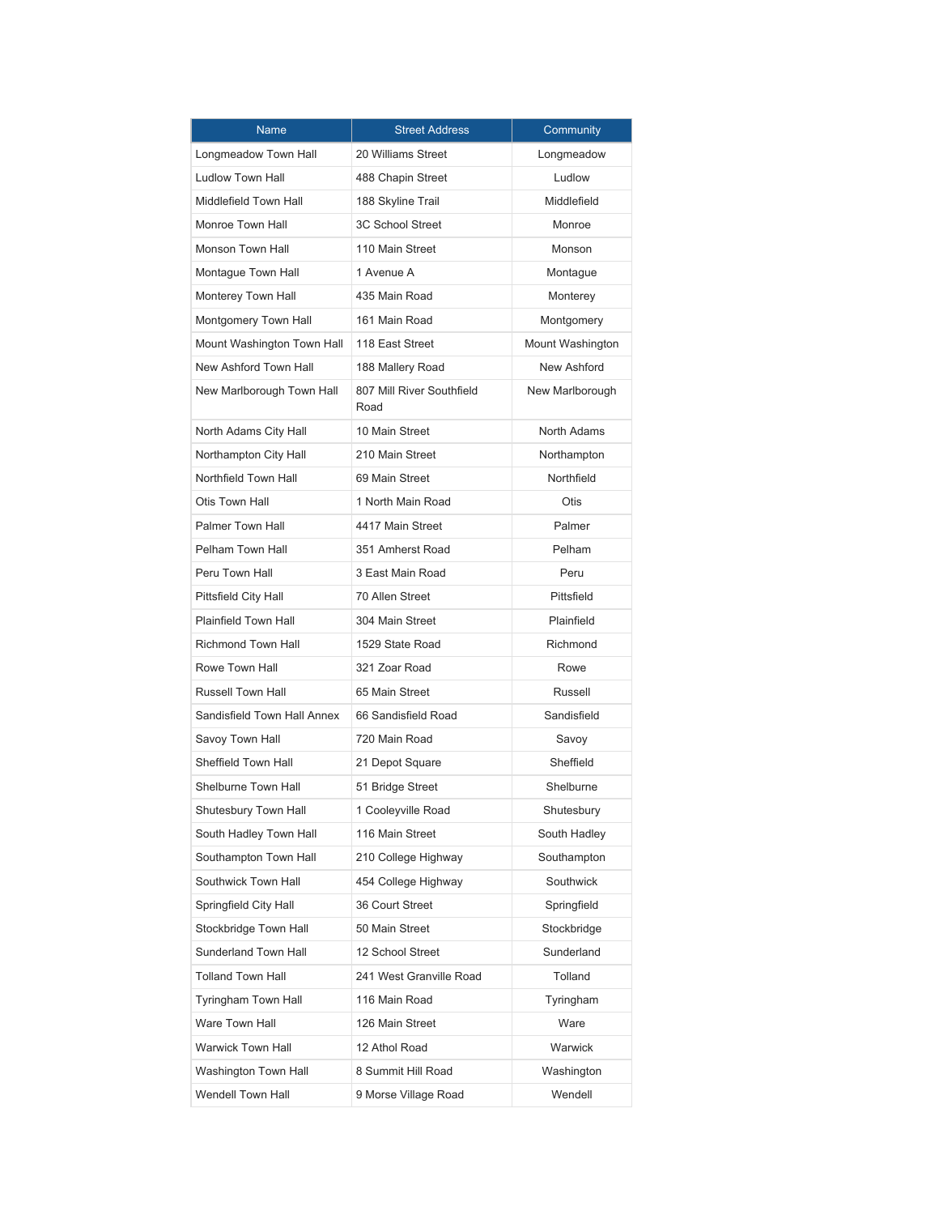| <b>Name</b>                 | <b>Street Address</b>             | Community        |
|-----------------------------|-----------------------------------|------------------|
| Longmeadow Town Hall        | 20 Williams Street                | Longmeadow       |
| <b>Ludlow Town Hall</b>     | 488 Chapin Street                 | Ludlow           |
| Middlefield Town Hall       | 188 Skyline Trail                 | Middlefield      |
| Monroe Town Hall            | <b>3C School Street</b>           | Monroe           |
| Monson Town Hall            | 110 Main Street                   | Monson           |
| Montaque Town Hall          | 1 Avenue A                        | Montague         |
| Monterey Town Hall          | 435 Main Road                     | Monterey         |
| Montgomery Town Hall        | 161 Main Road                     | Montgomery       |
| Mount Washington Town Hall  | 118 East Street                   | Mount Washington |
| New Ashford Town Hall       | 188 Mallery Road                  | New Ashford      |
| New Marlborough Town Hall   | 807 Mill River Southfield<br>Road | New Marlborough  |
| North Adams City Hall       | 10 Main Street                    | North Adams      |
| Northampton City Hall       | 210 Main Street                   | Northampton      |
| Northfield Town Hall        | 69 Main Street                    | Northfield       |
| Otis Town Hall              | 1 North Main Road                 | Otis             |
| <b>Palmer Town Hall</b>     | 4417 Main Street                  | Palmer           |
| Pelham Town Hall            | 351 Amherst Road                  | Pelham           |
| Peru Town Hall              | 3 East Main Road                  | Peru             |
| Pittsfield City Hall        | 70 Allen Street                   | Pittsfield       |
| <b>Plainfield Town Hall</b> | 304 Main Street                   | Plainfield       |
| <b>Richmond Town Hall</b>   | 1529 State Road                   | Richmond         |
| Rowe Town Hall              | 321 Zoar Road                     | Rowe             |
| <b>Russell Town Hall</b>    | 65 Main Street                    | Russell          |
| Sandisfield Town Hall Annex | 66 Sandisfield Road               | Sandisfield      |
| Savoy Town Hall             | 720 Main Road                     | Savoy            |
| Sheffield Town Hall         | 21 Depot Square                   | Sheffield        |
| Shelburne Town Hall         | 51 Bridge Street                  | Shelburne        |
| Shutesbury Town Hall        | 1 Cooleyville Road                | Shutesbury       |
| South Hadley Town Hall      | 116 Main Street                   | South Hadley     |
| Southampton Town Hall       | 210 College Highway               | Southampton      |
| Southwick Town Hall         | 454 College Highway               | Southwick        |
| Springfield City Hall       | 36 Court Street                   | Springfield      |
| Stockbridge Town Hall       | 50 Main Street                    | Stockbridge      |
| Sunderland Town Hall        | 12 School Street                  | Sunderland       |
| <b>Tolland Town Hall</b>    | 241 West Granville Road           | Tolland          |
| Tyringham Town Hall         | 116 Main Road                     | Tyringham        |
| <b>Ware Town Hall</b>       | 126 Main Street                   | Ware             |
| <b>Warwick Town Hall</b>    | 12 Athol Road                     | Warwick          |
| Washington Town Hall        | 8 Summit Hill Road                | Washington       |
| Wendell Town Hall           | 9 Morse Village Road              | Wendell          |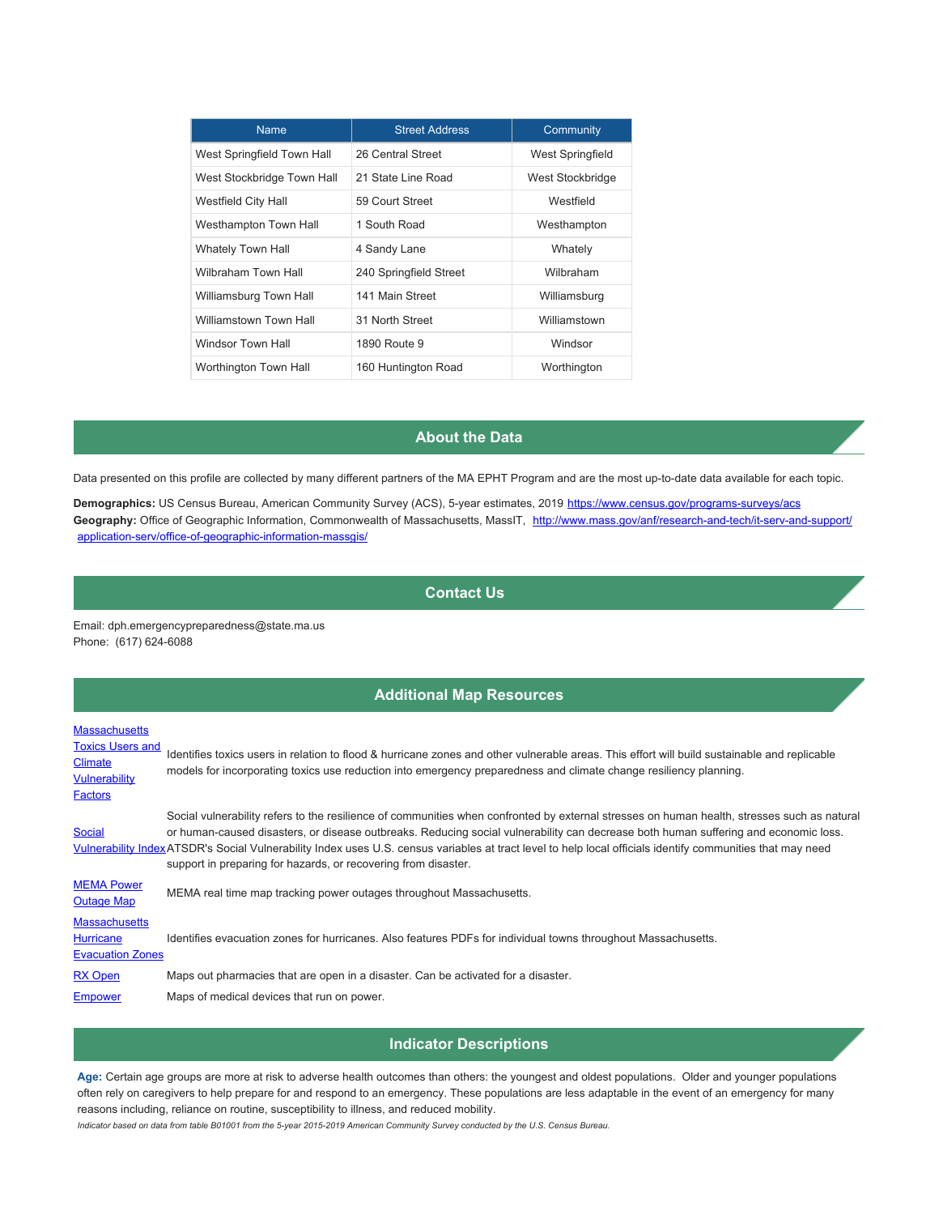| <b>Name</b>                | <b>Street Address</b>  | Community               |
|----------------------------|------------------------|-------------------------|
| West Springfield Town Hall | 26 Central Street      | <b>West Springfield</b> |
| West Stockbridge Town Hall | 21 State Line Road     | West Stockbridge        |
| Westfield City Hall        | 59 Court Street        | Westfield               |
| Westhampton Town Hall      | 1 South Road           | Westhampton             |
| <b>Whately Town Hall</b>   | 4 Sandy Lane           | Whately                 |
| Wilbraham Town Hall        | 240 Springfield Street | Wilbraham               |
| Williamsburg Town Hall     | 141 Main Street        | Williamsburg            |
| Williamstown Town Hall     | 31 North Street        | Williamstown            |
| Windsor Town Hall          | 1890 Route 9           | Windsor                 |
| Worthington Town Hall      | 160 Huntington Road    | Worthington             |

## **About the Data**

Data presented on this profile are collected by many different partners of the MA EPHT Program and are the most up-to-date data available for each topic.

Demographics: US Census Bureau, American Community Survey (ACS), 5-year estimates, 2019 <https://www.census.gov/programs-surveys/acs> Geography: Office of Geographic Information, Commonwealth of Massachusetts, MassIT, [http://www.mass.gov/anf/research-and-tech/it-serv-and-support/](http://www.mass.gov/anf/research-and-tech/it-serv-and-support/application-serv/office-of-geographic-information-massgis/) [application-serv/office-of-geographic-information-massgis/](http://www.mass.gov/anf/research-and-tech/it-serv-and-support/application-serv/office-of-geographic-information-massgis/)

## **Contact Us**

Email: dph.emergencypreparedness@state.ma.us Phone: (617) 624-6088

## **Additional Map Resources**

## **[Massachusetts](https://mass-eoeea.maps.arcgis.com/apps/OnePane/basicviewer/index.html?appid=36d72b75ad55454fb8a9c1af809fa92a)**

| <b>Toxics Users and</b><br><b>Climate</b><br><b>Vulnerability</b><br>Factors | Identifies toxics users in relation to flood & hurricane zones and other vulnerable areas. This effort will build sustainable and replicable<br>models for incorporating toxics use reduction into emergency preparedness and climate change resiliency planning.                                                                                                                                                                                                                                                  |
|------------------------------------------------------------------------------|--------------------------------------------------------------------------------------------------------------------------------------------------------------------------------------------------------------------------------------------------------------------------------------------------------------------------------------------------------------------------------------------------------------------------------------------------------------------------------------------------------------------|
| <b>Social</b>                                                                | Social vulnerability refers to the resilience of communities when confronted by external stresses on human health, stresses such as natural<br>or human-caused disasters, or disease outbreaks. Reducing social vulnerability can decrease both human suffering and economic loss.<br>Vulnerability IndexATSDR's Social Vulnerability Index uses U.S. census variables at tract level to help local officials identify communities that may need<br>support in preparing for hazards, or recovering from disaster. |
| <b>MEMA Power</b><br><b>Outage Map</b>                                       | MEMA real time map tracking power outages throughout Massachusetts.                                                                                                                                                                                                                                                                                                                                                                                                                                                |
| <b>Massachusetts</b><br><b>Hurricane</b><br><b>Evacuation Zones</b>          | Identifies evacuation zones for hurricanes. Also features PDFs for individual towns throughout Massachusetts.                                                                                                                                                                                                                                                                                                                                                                                                      |
| <b>RX Open</b>                                                               | Maps out pharmacies that are open in a disaster. Can be activated for a disaster.                                                                                                                                                                                                                                                                                                                                                                                                                                  |
| <b>Empower</b>                                                               | Maps of medical devices that run on power.                                                                                                                                                                                                                                                                                                                                                                                                                                                                         |

### **Indicator Descriptions**

**Age:** Certain age groups are more at risk to adverse health outcomes than others: the youngest and oldest populations. Older and younger populations often rely on caregivers to help prepare for and respond to an emergency. These populations are less adaptable in the event of an emergency for many reasons including, reliance on routine, susceptibility to illness, and reduced mobility.

*Indicator based on data from table B01001 from the 5-year 2015-2019 American Community Survey conducted by the U.S. Census Bureau.*